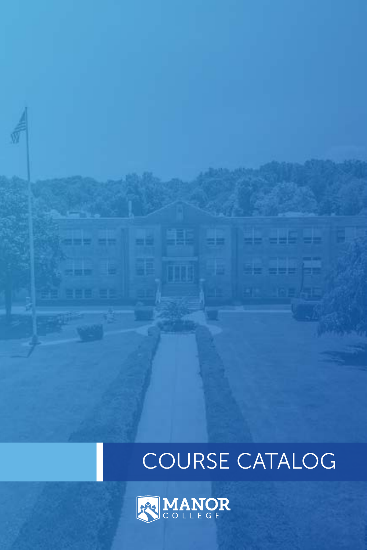# COURSE CATALOG



3 H H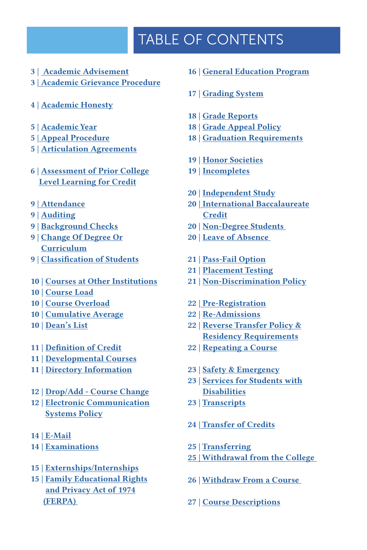## TABLE OF CONTENTS

- 3 | [Academic Advisement](#page-4-0)
- [3 | Academic Grievance Procedure](#page-4-0)
- [4 | Academic Honesty](#page-4-0)
- 5 | [Academic Year](#page-5-0)
- [5 | Appeal Procedure](#page-5-0)
- [5 | Articulation Agreements](#page-5-0)
- 6 | [Assessment of Prior College](#page-6-0)  [Level Learning for Credit](#page-6-0)
- 9 | [Attendance](#page-9-0)
- [9 | Auditing](#page-9-0)
- [9 | Background Checks](#page-9-0)
- [9 | Change Of Degree Or](#page-9-0)  [Curriculum](#page-9-0)
- [9](#page-10-0) | [Classification of Students](#page-10-0)
- [10 | Courses at Other Institutions](#page-10-0)
- [10 | Course Load](#page-10-0)
- [10 | Course Overload](#page-10-0)
- [10 | Cumulative Average](#page-10-0)
- [10 | Dean's List](#page-10-0)
- 11 | [Definition of Credit](#page-10-0)
- 11 | [Developmental Courses](#page-12-0)
- [11 | Directory Information](#page-12-0)
- [12 | Drop/Add Course Change](#page-12-0)
- 12 | [Electronic Communication](#page-12-0) [Systems Policy](#page-12-0)
- [14 | E-Mail](#page-14-0)
- [14 | Examinations](#page-14-0)
- [15 | Externships/Internships](#page-15-0)
- [15 | Family Educational Rights](#page-15-0)  [and Privacy Act of 1974](#page-15-0)  [\(FERPA\)](#page-15-0)
- [16 | General Education Program](#page-16-0)
- [1](#page-17-0)7 | [Grading System](#page-17-0)
- [18 | Grade Reports](#page-17-0)
- 18 | [Grade Appeal Policy](#page-18-0)
- [18 | Graduation Requirements](#page-18-0)
- 19 | [Honor Societies](#page-19-0)
- [19 | Incompletes](#page-19-0)
- 20 | [Independent Study](#page-20-0)
- [20 | International Baccalaureate](#page-20-0) **[Credit](#page-20-0)**
- 20 | [Non-Degree Students](#page-20-0)
- [20 | Leave of Absence](#page-20-0)
- 21 | [Pass-Fail Option](#page-21-0)
- 21 | [Placement Testing](#page-23-0)
- [21 | Non-Discrimination Policy](#page-23-0)
- [22 | Pre-Registration](#page-23-0)
- [22 | Re-Admissions](#page-23-0)
- [22 | Reverse Transfer Policy &](#page-23-0)  [Residency Requirements](#page-23-0)
- [22 | Repeating a Course](#page-23-0)
- 23 | [Safety & Emergency](#page-23-0)
- 23 | [Services for Students with](#page-23-0) **Disabilities**
- 23 | [Transcripts](#page-23-0)
- 24 | [Transfer of Credits](#page-24-0)
- 25 | [Transferring](#page-25-0)
- [25 | Withdrawal from the College](#page-25-0)
- 26 | [Withdraw From a Course](#page-26-0)
- 27 | [Course Descriptions](#page-27-0)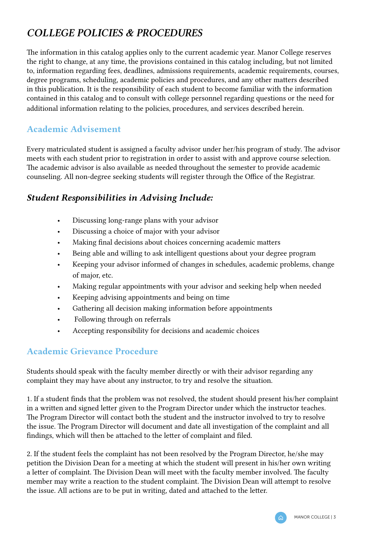### *COLLEGE POLICIES & PROCEDURES*

The information in this catalog applies only to the current academic year. Manor College reserves the right to change, at any time, the provisions contained in this catalog including, but not limited to, information regarding fees, deadlines, admissions requirements, academic requirements, courses, degree programs, scheduling, academic policies and procedures, and any other matters described in this publication. It is the responsibility of each student to become familiar with the information contained in this catalog and to consult with college personnel regarding questions or the need for additional information relating to the policies, procedures, and services described herein.

### Academic Advisement

Every matriculated student is assigned a faculty advisor under her/his program of study. The advisor meets with each student prior to registration in order to assist with and approve course selection. The academic advisor is also available as needed throughout the semester to provide academic counseling. All non-degree seeking students will register through the Office of the Registrar.

### *Student Responsibilities in Advising Include:*

- Discussing long-range plans with your advisor
- Discussing a choice of major with your advisor
- Making final decisions about choices concerning academic matters
- Being able and willing to ask intelligent questions about your degree program
- Keeping your advisor informed of changes in schedules, academic problems, change of major, etc.
- Making regular appointments with your advisor and seeking help when needed
- Keeping advising appointments and being on time
- Gathering all decision making information before appointments
- Following through on referrals
- Accepting responsibility for decisions and academic choices

### Academic Grievance Procedure

Students should speak with the faculty member directly or with their advisor regarding any complaint they may have about any instructor, to try and resolve the situation.

1. If a student finds that the problem was not resolved, the student should present his/her complaint in a written and signed letter given to the Program Director under which the instructor teaches. The Program Director will contact both the student and the instructor involved to try to resolve the issue. The Program Director will document and date all investigation of the complaint and all findings, which will then be attached to the letter of complaint and filed.

2. If the student feels the complaint has not been resolved by the Program Director, he/she may petition the Division Dean for a meeting at which the student will present in his/her own writing a letter of complaint. The Division Dean will meet with the faculty member involved. The faculty member may write a reaction to the student complaint. The Division Dean will attempt to resolve the issue. All actions are to be put in writing, dated and attached to the letter.

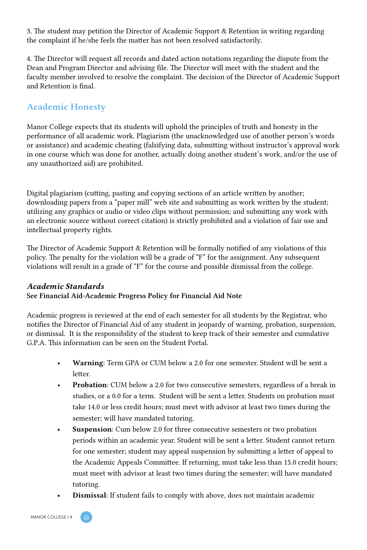<span id="page-4-0"></span>3. The student may petition the Director of Academic Support & Retention in writing regarding the complaint if he/she feels the matter has not been resolved satisfactorily.

4. The Director will request all records and dated action notations regarding the dispute from the Dean and Program Director and advising file. The Director will meet with the student and the faculty member involved to resolve the complaint. The decision of the Director of Academic Support and Retention is final.

### Academic Honesty

Manor College expects that its students will uphold the principles of truth and honesty in the performance of all academic work. Plagiarism (the unacknowledged use of another person's words or assistance) and academic cheating (falsifying data, submitting without instructor's approval work in one course which was done for another, actually doing another student's work, and/or the use of any unauthorized aid) are prohibited.

Digital plagiarism (cutting, pasting and copying sections of an article written by another; downloading papers from a "paper mill" web site and submitting as work written by the student; utilizing any graphics or audio or video clips without permission; and submitting any work with an electronic source without correct citation) is strictly prohibited and a violation of fair use and intellectual property rights.

The Director of Academic Support & Retention will be formally notified of any violations of this policy. The penalty for the violation will be a grade of "F" for the assignment. Any subsequent violations will result in a grade of "F" for the course and possible dismissal from the college.

#### *Academic Standards*

See Financial Aid-Academic Progress Policy for Financial Aid Note

Academic progress is reviewed at the end of each semester for all students by the Registrar, who notifies the Director of Financial Aid of any student in jeopardy of warning, probation, suspension, or dismissal. It is the responsibility of the student to keep track of their semester and cumulative G.P.A. This information can be seen on the Student Portal.

- Warning: Term GPA or CUM below a 2.0 for one semester. Student will be sent a letter.
- Probation: CUM below a 2.0 for two consecutive semesters, regardless of a break in studies, or a 0.0 for a term. Student will be sent a letter. Students on probation must take 14.0 or less credit hours; must meet with advisor at least two times during the semester; will have mandated tutoring.
- Suspension: Cum below 2.0 for three consecutive semesters or two probation periods within an academic year. Student will be sent a letter. Student cannot return for one semester; student may appeal suspension by submitting a letter of appeal to the Academic Appeals Committee. If returning, must take less than 15.0 credit hours; must meet with advisor at least two times during the semester; will have mandated tutoring.
- Dismissal: If student fails to comply with above, does not maintain academic

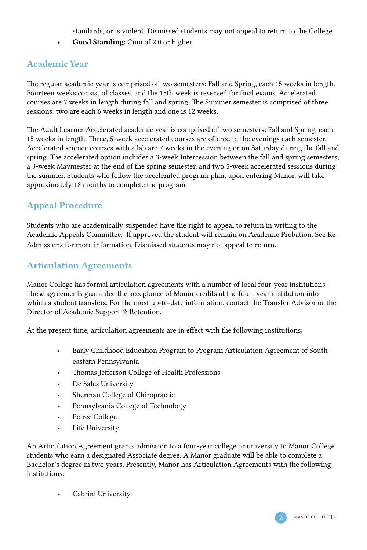standards, or is violent. Dismissed students may not appeal to return to the College.

• Good Standing: Cum of 2.0 or higher

### <span id="page-5-0"></span>Academic Year

The regular academic year is comprised of two semesters: Fall and Spring, each 15 weeks in length. Fourteen weeks consist of classes, and the 15th week is reserved for final exams. Accelerated courses are 7 weeks in length during fall and spring. The Summer semester is comprised of three sessions: two are each 6 weeks in length and one is 12 weeks.

The Adult Learner Accelerated academic year is comprised of two semesters: Fall and Spring, each 15 weeks in length. Three, 5-week accelerated courses are offered in the evenings each semester. Accelerated science courses with a lab are 7 weeks in the evening or on Saturday during the fall and spring. The accelerated option includes a 3-week Intercession between the fall and spring semesters, a 3-week Maymester at the end of the spring semester, and two 5-week accelerated sessions during the summer. Students who follow the accelerated program plan, upon entering Manor, will take approximately 18 months to complete the program.

### Appeal Procedure

Students who are academically suspended have the right to appeal to return in writing to the Academic Appeals Committee. If approved the student will remain on Academic Probation. See Re-Admissions for more information. Dismissed students may not appeal to return.

### Articulation Agreements

Manor College has formal articulation agreements with a number of local four-year institutions. These agreements guarantee the acceptance of Manor credits at the four- year institution into which a student transfers. For the most up-to-date information, contact the Transfer Advisor or the Director of Academic Support & Retention.

At the present time, articulation agreements are in effect with the following institutions:

- Early Childhood Education Program to Program Articulation Agreement of Southeastern Pennsylvania
- Thomas Jefferson College of Health Professions
- De Sales University
- Sherman College of Chiropractic
- Pennsylvania College of Technology
- Peirce College
- Life University

An Articulation Agreement grants admission to a four-year college or university to Manor College students who earn a designated Associate degree. A Manor graduate will be able to complete a Bachelor's degree in two years. Presently, Manor has Articulation Agreements with the following institutions:

• Cabrini University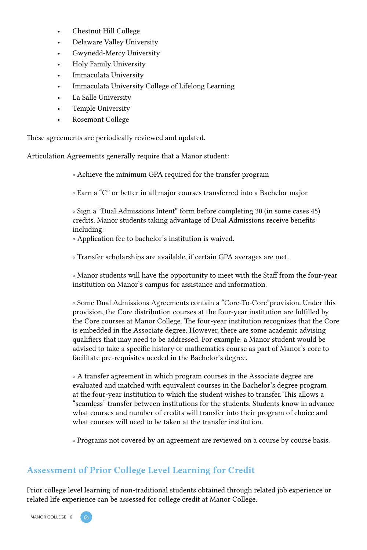- <span id="page-6-0"></span>• Chestnut Hill College
- Delaware Valley University
- Gwynedd-Mercy University
- Holy Family University
- Immaculata University
- Immaculata University College of Lifelong Learning
- La Salle University
- Temple University
- Rosemont College

These agreements are periodically reviewed and updated.

Articulation Agreements generally require that a Manor student:

◦ Achieve the minimum GPA required for the transfer program

◦ Earn a "C" or better in all major courses transferred into a Bachelor major

◦ Sign a "Dual Admissions Intent" form before completing 30 (in some cases 45) credits. Manor students taking advantage of Dual Admissions receive benefits including:

◦ Application fee to bachelor's institution is waived.

◦ Transfer scholarships are available, if certain GPA averages are met.

◦ Manor students will have the opportunity to meet with the Staff from the four-year institution on Manor's campus for assistance and information.

◦ Some Dual Admissions Agreements contain a "Core-To-Core"provision. Under this provision, the Core distribution courses at the four-year institution are fulfilled by the Core courses at Manor College. The four-year institution recognizes that the Core is embedded in the Associate degree. However, there are some academic advising qualifiers that may need to be addressed. For example: a Manor student would be advised to take a specific history or mathematics course as part of Manor's core to facilitate pre-requisites needed in the Bachelor's degree.

◦ A transfer agreement in which program courses in the Associate degree are evaluated and matched with equivalent courses in the Bachelor's degree program at the four-year institution to which the student wishes to transfer. This allows a "seamless" transfer between institutions for the students. Students know in advance what courses and number of credits will transfer into their program of choice and what courses will need to be taken at the transfer institution.

◦ Programs not covered by an agreement are reviewed on a course by course basis.

### Assessment of Prior College Level Learning for Credit

Prior college level learning of non-traditional students obtained through related job experience or related life experience can be assessed for college credit at Manor College.

MANOR COLLEGE | 6

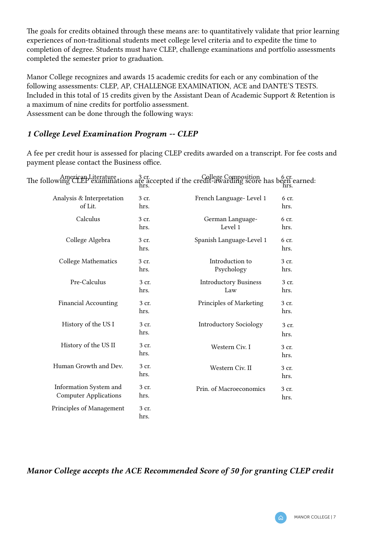The goals for credits obtained through these means are: to quantitatively validate that prior learning experiences of non-traditional students meet college level criteria and to expedite the time to completion of degree. Students must have CLEP, challenge examinations and portfolio assessments completed the semester prior to graduation.

Manor College recognizes and awards 15 academic credits for each or any combination of the following assessments: CLEP, AP, CHALLENGE EXAMINATION, ACE and DANTE'S TESTS. Included in this total of 15 credits given by the Assistant Dean of Academic Support & Retention is a maximum of nine credits for portfolio assessment. Assessment can be done through the following ways:

### *1 College Level Examination Program -- CLEP*

A fee per credit hour is assessed for placing CLEP credits awarded on a transcript. For fee costs and payment please contact the Business office.

The following CLEP examinations are accepted if the credit-awarding score has been earned: American Literature 3 cr. hrs.  $G$ ollege Composition  $h_{\text{max}}$  6 cr. hrs.

| Analysis & Interpretation<br>of Lit.                   | 3 cr.<br>hrs. | French Language-Level 1             | 6 cr.<br>hrs. |
|--------------------------------------------------------|---------------|-------------------------------------|---------------|
| Calculus                                               | 3 cr.<br>hrs. | German Language-<br>Level 1         | 6 cr.<br>hrs. |
| College Algebra                                        | 3 cr.<br>hrs. | Spanish Language-Level 1            | 6 cr.<br>hrs. |
| College Mathematics                                    | 3 cr.<br>hrs. | Introduction to<br>Psychology       | 3 cr.<br>hrs. |
| Pre-Calculus                                           | 3 cr.<br>hrs. | <b>Introductory Business</b><br>Law | 3 cr.<br>hrs. |
| <b>Financial Accounting</b>                            | 3 cr.<br>hrs. | Principles of Marketing             | 3 cr.<br>hrs. |
| History of the US I                                    | 3 cr.<br>hrs. | <b>Introductory Sociology</b>       | 3 cr.<br>hrs. |
| History of the US II                                   | 3 cr.<br>hrs. | Western Civ. I                      | 3 cr.<br>hrs. |
| Human Growth and Dev.                                  | 3 cr.<br>hrs. | Western Civ. II                     | 3 cr.<br>hrs. |
| Information System and<br><b>Computer Applications</b> | 3 cr.<br>hrs. | Prin. of Macroeconomics             | 3 cr.<br>hrs. |
| Principles of Management                               | 3 cr.<br>hrs. |                                     |               |

*Manor College accepts the ACE Recommended Score of 50 for granting CLEP credit*

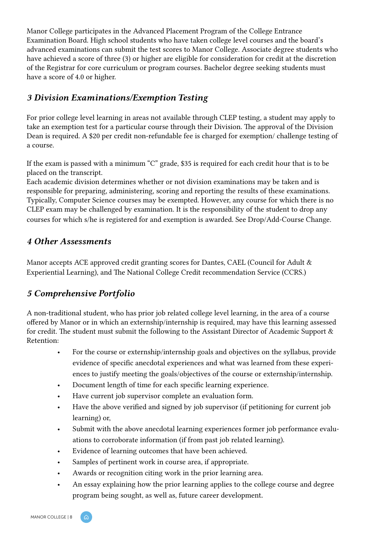Manor College participates in the Advanced Placement Program of the College Entrance Examination Board. High school students who have taken college level courses and the board's advanced examinations can submit the test scores to Manor College. Associate degree students who have achieved a score of three (3) or higher are eligible for consideration for credit at the discretion of the Registrar for core curriculum or program courses. Bachelor degree seeking students must have a score of 4.0 or higher.

### *3 Division Examinations/Exemption Testing*

For prior college level learning in areas not available through CLEP testing, a student may apply to take an exemption test for a particular course through their Division. The approval of the Division Dean is required. A \$20 per credit non-refundable fee is charged for exemption/ challenge testing of a course.

If the exam is passed with a minimum "C" grade, \$35 is required for each credit hour that is to be placed on the transcript.

Each academic division determines whether or not division examinations may be taken and is responsible for preparing, administering, scoring and reporting the results of these examinations. Typically, Computer Science courses may be exempted. However, any course for which there is no CLEP exam may be challenged by examination. It is the responsibility of the student to drop any courses for which s/he is registered for and exemption is awarded. See Drop/Add-Course Change.

### *4 Other Assessments*

Manor accepts ACE approved credit granting scores for Dantes, CAEL (Council for Adult & Experiential Learning), and The National College Credit recommendation Service (CCRS.)

### *5 Comprehensive Portfolio*

A non-traditional student, who has prior job related college level learning, in the area of a course offered by Manor or in which an externship/internship is required, may have this learning assessed for credit. The student must submit the following to the Assistant Director of Academic Support & Retention:

- For the course or externship/internship goals and objectives on the syllabus, provide evidence of specific anecdotal experiences and what was learned from these experiences to justify meeting the goals/objectives of the course or externship/internship.
- Document length of time for each specific learning experience.
- Have current job supervisor complete an evaluation form.
- Have the above verified and signed by job supervisor (if petitioning for current job learning) or,
- Submit with the above anecdotal learning experiences former job performance evaluations to corroborate information (if from past job related learning).
- Evidence of learning outcomes that have been achieved.
- Samples of pertinent work in course area, if appropriate.
- Awards or recognition citing work in the prior learning area.
- An essay explaining how the prior learning applies to the college course and degree program being sought, as well as, future career development.

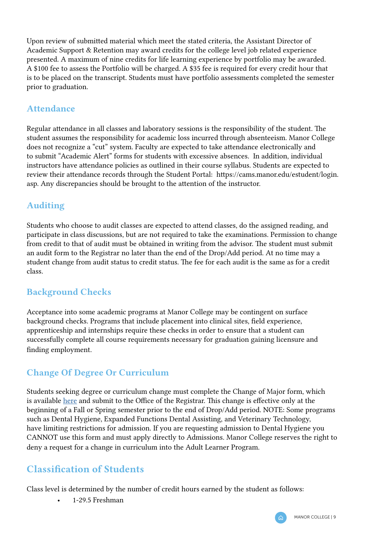<span id="page-9-0"></span>Upon review of submitted material which meet the stated criteria, the Assistant Director of Academic Support & Retention may award credits for the college level job related experience presented. A maximum of nine credits for life learning experience by portfolio may be awarded. A \$100 fee to assess the Portfolio will be charged. A \$35 fee is required for every credit hour that is to be placed on the transcript. Students must have portfolio assessments completed the semester prior to graduation.

### Attendance

Regular attendance in all classes and laboratory sessions is the responsibility of the student. The student assumes the responsibility for academic loss incurred through absenteeism. Manor College does not recognize a "cut" system. Faculty are expected to take attendance electronically and to submit "Academic Alert" forms for students with excessive absences. In addition, individual instructors have attendance policies as outlined in their course syllabus. Students are expected to review their attendance records through the Student Portal: https://cams.manor.edu/estudent/login. asp. Any discrepancies should be brought to the attention of the instructor.

### Auditing

Students who choose to audit classes are expected to attend classes, do the assigned reading, and participate in class discussions, but are not required to take the examinations. Permission to change from credit to that of audit must be obtained in writing from the advisor. The student must submit an audit form to the Registrar no later than the end of the Drop/Add period. At no time may a student change from audit status to credit status. The fee for each audit is the same as for a credit class.

### Background Checks

Acceptance into some academic programs at Manor College may be contingent on surface background checks. Programs that include placement into clinical sites, field experience, apprenticeship and internships require these checks in order to ensure that a student can successfully complete all course requirements necessary for graduation gaining licensure and finding employment.

### Change Of Degree Or Curriculum

Students seeking degree or curriculum change must complete the Change of Major form, which is available [here](https://manor.edu/wp-content/uploads/2018/08/Manor-College-Change-of-Program-1.pdf) and submit to the Office of the Registrar. This change is effective only at the beginning of a Fall or Spring semester prior to the end of Drop/Add period. NOTE: Some programs such as Dental Hygiene, Expanded Functions Dental Assisting, and Veterinary Technology, have limiting restrictions for admission. If you are requesting admission to Dental Hygiene you CANNOT use this form and must apply directly to Admissions. Manor College reserves the right to deny a request for a change in curriculum into the Adult Learner Program.

### Classification of Students

Class level is determined by the number of credit hours earned by the student as follows:

• 1-29.5 Freshman

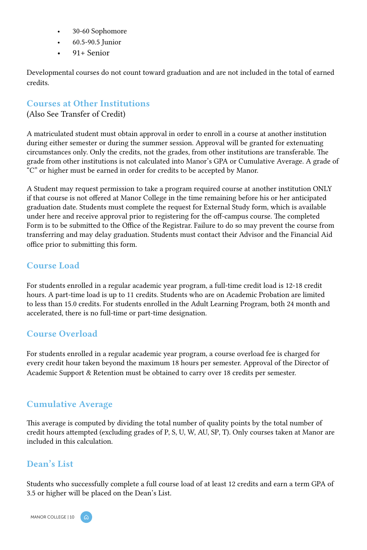- <span id="page-10-0"></span>• 30-60 Sophomore
- 60.5-90.5 Junior
- 91+ Senior

Developmental courses do not count toward graduation and are not included in the total of earned credits.

### Courses at Other Institutions

(Also See Transfer of Credit)

A matriculated student must obtain approval in order to enroll in a course at another institution during either semester or during the summer session. Approval will be granted for extenuating circumstances only. Only the credits, not the grades, from other institutions are transferable. The grade from other institutions is not calculated into Manor's GPA or Cumulative Average. A grade of "C" or higher must be earned in order for credits to be accepted by Manor.

A Student may request permission to take a program required course at another institution ONLY if that course is not offered at Manor College in the time remaining before his or her anticipated graduation date. Students must complete the request for External Study form, which is available under here and receive approval prior to registering for the off-campus course. The completed Form is to be submitted to the Office of the Registrar. Failure to do so may prevent the course from transferring and may delay graduation. Students must contact their Advisor and the Financial Aid office prior to submitting this form.

### Course Load

For students enrolled in a regular academic year program, a full-time credit load is 12-18 credit hours. A part-time load is up to 11 credits. Students who are on Academic Probation are limited to less than 15.0 credits. For students enrolled in the Adult Learning Program, both 24 month and accelerated, there is no full-time or part-time designation.

### Course Overload

For students enrolled in a regular academic year program, a course overload fee is charged for every credit hour taken beyond the maximum 18 hours per semester. Approval of the Director of Academic Support & Retention must be obtained to carry over 18 credits per semester.

### Cumulative Average

This average is computed by dividing the total number of quality points by the total number of credit hours attempted (excluding grades of P, S, U, W, AU, SP, T). Only courses taken at Manor are included in this calculation.

### Dean's List

Students who successfully complete a full course load of at least 12 credits and earn a term GPA of 3.5 or higher will be placed on the Dean's List.

MANOR COLLEGE | 10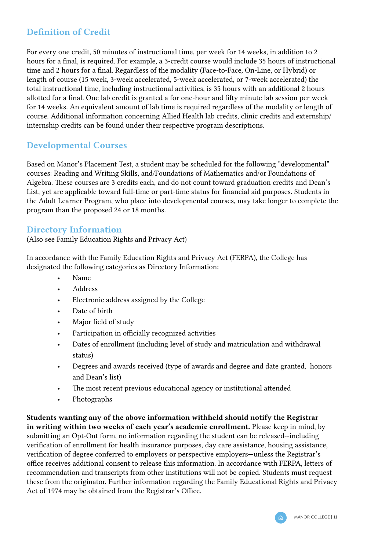### Definition of Credit

For every one credit, 50 minutes of instructional time, per week for 14 weeks, in addition to 2 hours for a final, is required. For example, a 3-credit course would include 35 hours of instructional time and 2 hours for a final. Regardless of the modality (Face-to-Face, On-Line, or Hybrid) or length of course (15 week, 3-week accelerated, 5-week accelerated, or 7-week accelerated) the total instructional time, including instructional activities, is 35 hours with an additional 2 hours allotted for a final. One lab credit is granted a for one-hour and fifty minute lab session per week for 14 weeks. An equivalent amount of lab time is required regardless of the modality or length of course. Additional information concerning Allied Health lab credits, clinic credits and externship/ internship credits can be found under their respective program descriptions.

### Developmental Courses

Based on Manor's Placement Test, a student may be scheduled for the following "developmental" courses: Reading and Writing Skills, and/Foundations of Mathematics and/or Foundations of Algebra. These courses are 3 credits each, and do not count toward graduation credits and Dean's List, yet are applicable toward full-time or part-time status for financial aid purposes. Students in the Adult Learner Program, who place into developmental courses, may take longer to complete the program than the proposed 24 or 18 months.

### Directory Information

(Also see Family Education Rights and Privacy Act)

In accordance with the Family Education Rights and Privacy Act (FERPA), the College has designated the following categories as Directory Information:

- Name
- Address
- Electronic address assigned by the College
- Date of birth
- Major field of study
- Participation in officially recognized activities
- Dates of enrollment (including level of study and matriculation and withdrawal status)
- Degrees and awards received (type of awards and degree and date granted, honors and Dean's list)
- The most recent previous educational agency or institutional attended
- Photographs

Students wanting any of the above information withheld should notify the Registrar in writing within two weeks of each year's academic enrollment. Please keep in mind, by submitting an Opt-Out form, no information regarding the student can be released--including verification of enrollment for health insurance purposes, day care assistance, housing assistance, verification of degree conferred to employers or perspective employers—unless the Registrar's office receives additional consent to release this information. In accordance with FERPA, letters of recommendation and transcripts from other institutions will not be copied. Students must request these from the originator. Further information regarding the Family Educational Rights and Privacy Act of 1974 may be obtained from the Registrar's Office.

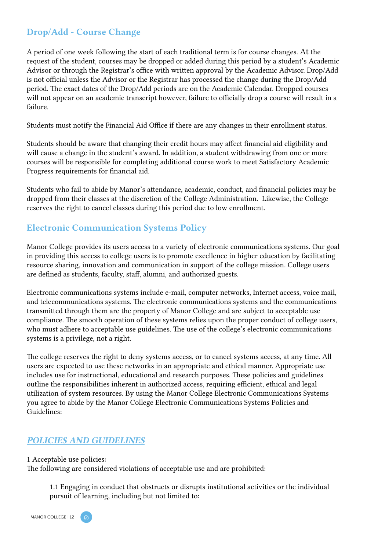### <span id="page-12-0"></span>Drop/Add - Course Change

A period of one week following the start of each traditional term is for course changes. At the request of the student, courses may be dropped or added during this period by a student's Academic Advisor or through the Registrar's office with written approval by the Academic Advisor. Drop/Add is not official unless the Advisor or the Registrar has processed the change during the Drop/Add period. The exact dates of the Drop/Add periods are on the Academic Calendar. Dropped courses will not appear on an academic transcript however, failure to officially drop a course will result in a failure.

Students must notify the Financial Aid Office if there are any changes in their enrollment status.

Students should be aware that changing their credit hours may affect financial aid eligibility and will cause a change in the student's award. In addition, a student withdrawing from one or more courses will be responsible for completing additional course work to meet Satisfactory Academic Progress requirements for financial aid.

Students who fail to abide by Manor's attendance, academic, conduct, and financial policies may be dropped from their classes at the discretion of the College Administration. Likewise, the College reserves the right to cancel classes during this period due to low enrollment.

### Electronic Communication Systems Policy

Manor College provides its users access to a variety of electronic communications systems. Our goal in providing this access to college users is to promote excellence in higher education by facilitating resource sharing, innovation and communication in support of the college mission. College users are defined as students, faculty, staff, alumni, and authorized guests.

Electronic communications systems include e-mail, computer networks, Internet access, voice mail, and telecommunications systems. The electronic communications systems and the communications transmitted through them are the property of Manor College and are subject to acceptable use compliance. The smooth operation of these systems relies upon the proper conduct of college users, who must adhere to acceptable use guidelines. The use of the college's electronic communications systems is a privilege, not a right.

The college reserves the right to deny systems access, or to cancel systems access, at any time. All users are expected to use these networks in an appropriate and ethical manner. Appropriate use includes use for instructional, educational and research purposes. These policies and guidelines outline the responsibilities inherent in authorized access, requiring efficient, ethical and legal utilization of system resources. By using the Manor College Electronic Communications Systems you agree to abide by the Manor College Electronic Communications Systems Policies and Guidelines:

### *POLICIES AND GUIDELINES*

1 Acceptable use policies:

The following are considered violations of acceptable use and are prohibited:

1.1 Engaging in conduct that obstructs or disrupts institutional activities or the individual pursuit of learning, including but not limited to:

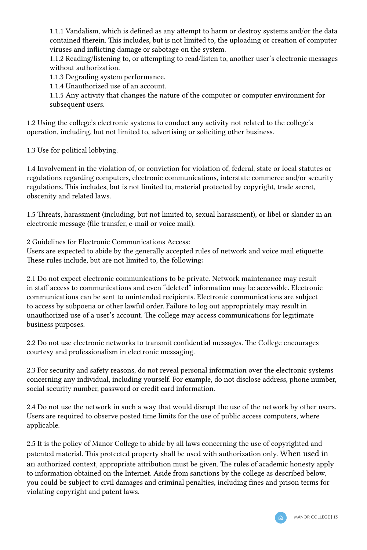1.1.1 Vandalism, which is defined as any attempt to harm or destroy systems and/or the data contained therein. This includes, but is not limited to, the uploading or creation of computer viruses and inflicting damage or sabotage on the system.

1.1.2 Reading/listening to, or attempting to read/listen to, another user's electronic messages without authorization.

1.1.3 Degrading system performance.

1.1.4 Unauthorized use of an account.

1.1.5 Any activity that changes the nature of the computer or computer environment for subsequent users.

1.2 Using the college's electronic systems to conduct any activity not related to the college's operation, including, but not limited to, advertising or soliciting other business.

1.3 Use for political lobbying.

1.4 Involvement in the violation of, or conviction for violation of, federal, state or local statutes or regulations regarding computers, electronic communications, interstate commerce and/or security regulations. This includes, but is not limited to, material protected by copyright, trade secret, obscenity and related laws.

1.5 Threats, harassment (including, but not limited to, sexual harassment), or libel or slander in an electronic message (file transfer, e-mail or voice mail).

2 Guidelines for Electronic Communications Access:

Users are expected to abide by the generally accepted rules of network and voice mail etiquette. These rules include, but are not limited to, the following:

2.1 Do not expect electronic communications to be private. Network maintenance may result in staff access to communications and even "deleted" information may be accessible. Electronic communications can be sent to unintended recipients. Electronic communications are subject to access by subpoena or other lawful order. Failure to log out appropriately may result in unauthorized use of a user's account. The college may access communications for legitimate business purposes.

2.2 Do not use electronic networks to transmit confidential messages. The College encourages courtesy and professionalism in electronic messaging.

2.3 For security and safety reasons, do not reveal personal information over the electronic systems concerning any individual, including yourself. For example, do not disclose address, phone number, social security number, password or credit card information.

2.4 Do not use the network in such a way that would disrupt the use of the network by other users. Users are required to observe posted time limits for the use of public access computers, where applicable.

2.5 It is the policy of Manor College to abide by all laws concerning the use of copyrighted and patented material. This protected property shall be used with authorization only. When used in an authorized context, appropriate attribution must be given. The rules of academic honesty apply to information obtained on the Internet. Aside from sanctions by the college as described below, you could be subject to civil damages and criminal penalties, including fines and prison terms for violating copyright and patent laws.

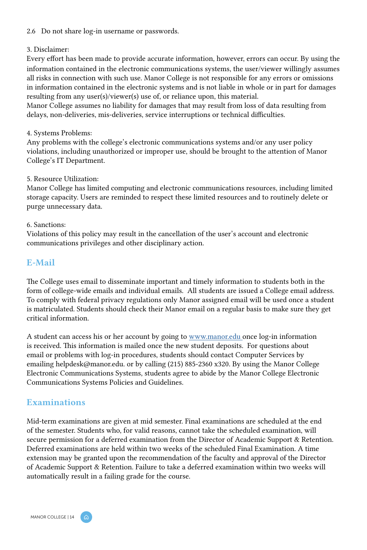#### <span id="page-14-0"></span>2.6 Do not share log-in username or passwords.

#### 3. Disclaimer:

Every effort has been made to provide accurate information, however, errors can occur. By using the information contained in the electronic communications systems, the user/viewer willingly assumes all risks in connection with such use. Manor College is not responsible for any errors or omissions in information contained in the electronic systems and is not liable in whole or in part for damages resulting from any user(s)/viewer(s) use of, or reliance upon, this material.

Manor College assumes no liability for damages that may result from loss of data resulting from delays, non-deliveries, mis-deliveries, service interruptions or technical difficulties.

#### 4. Systems Problems:

Any problems with the college's electronic communications systems and/or any user policy violations, including unauthorized or improper use, should be brought to the attention of Manor College's IT Department.

#### 5. Resource Utilization:

Manor College has limited computing and electronic communications resources, including limited storage capacity. Users are reminded to respect these limited resources and to routinely delete or purge unnecessary data.

#### 6. Sanctions:

Violations of this policy may result in the cancellation of the user's account and electronic communications privileges and other disciplinary action.

### E-Mail

The College uses email to disseminate important and timely information to students both in the form of college-wide emails and individual emails. All students are issued a College email address. To comply with federal privacy regulations only Manor assigned email will be used once a student is matriculated. Students should check their Manor email on a regular basis to make sure they get critical information.

A student can access his or her account by going to [www.manor.edu](http://www.manor.edu ) once log-in information is received. This information is mailed once the new student deposits. For questions about email or problems with log-in procedures, students should contact Computer Services by emailing helpdesk@manor.edu. or by calling (215) 885-2360 x320. By using the Manor College Electronic Communications Systems, students agree to abide by the Manor College Electronic Communications Systems Policies and Guidelines.

### Examinations

Mid-term examinations are given at mid semester. Final examinations are scheduled at the end of the semester. Students who, for valid reasons, cannot take the scheduled examination, will secure permission for a deferred examination from the Director of Academic Support & Retention. Deferred examinations are held within two weeks of the scheduled Final Examination. A time extension may be granted upon the recommendation of the faculty and approval of the Director of Academic Support & Retention. Failure to take a deferred examination within two weeks will automatically result in a failing grade for the course.

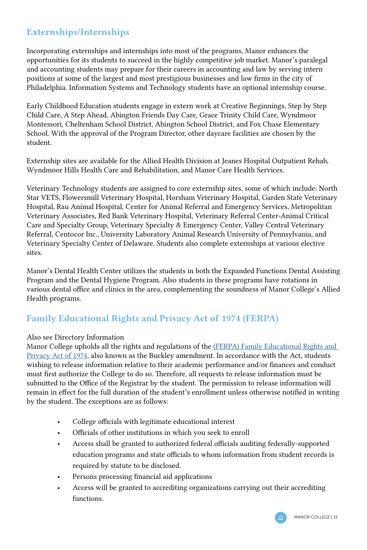### <span id="page-15-0"></span>Externships/Internships

Incorporating externships and internships into most of the programs, Manor enhances the opportunities for its students to succeed in the highly competitive job market. Manor's paralegal and accounting students may prepare for their careers in accounting and law by serving intern positions at some of the largest and most prestigious businesses and law firms in the city of Philadelphia. Information Systems and Technology students have an optional internship course.

Early Childhood Education students engage in extern work at Creative Beginnings, Step by Step Child Care, A Step Ahead, Abington Friends Day Care, Grace Trinity Child Care, Wyndmoor Montessori, Cheltenham School District, Abington School District, and Fox Chase Elementary School. With the approval of the Program Director, other daycare facilities are chosen by the student.

Externship sites are available for the Allied Health Division at Jeanes Hospital Outpatient Rehab, Wyndmoor Hills Health Care and Rehabilitation, and Manor Care Health Services.

Veterinary Technology students are assigned to core externship sites, some of which include: North Star VETS, Flowersmill Veterinary Hospital, Horsham Veterinary Hospital, Garden State Veterinary Hospital, Rau Animal Hospital, Center for Animal Referral and Emergency Services, Metropolitan Veterinary Associates, Red Bank Veterinary Hospital, Veterinary Referral Center-Animal Critical Care and Specialty Group, Veterinary Specialty & Emergency Center, Valley Central Veterinary Referral, Centocor Inc., University Laboratory Animal Research University of Pennsylvania, and Veterinary Specialty Center of Delaware. Students also complete externships at various elective sites.

Manor's Dental Health Center utilizes the students in both the Expanded Functions Dental Assisting Program and the Dental Hygiene Program. Also students in these programs have rotations in various dental office and clinics in the area, complementing the soundness of Manor College's Allied Health programs.

### Family Educational Rights and Privacy Act of 1974 (FERPA)

#### Also see Directory Information

Manor College upholds all the rights and regulations of the ([FERPA\) Family Educational Rights and](https://www2.ed.gov/policy/gen/guid/fpco/ferpa/index.html)  [Privacy Act of 1974,](https://www2.ed.gov/policy/gen/guid/fpco/ferpa/index.html) also known as the Buckley amendment. In accordance with the Act, students wishing to release information relative to their academic performance and/or finances and conduct must first authorize the College to do so. Therefore, all requests to release information must be submitted to the Office of the Registrar by the student. The permission to release information will remain in effect for the full duration of the student's enrollment unless otherwise notified in writing by the student. The exceptions are as follows:

- College officials with legitimate educational interest
- Officials of other institutions in which you seek to enroll
- Access shall be granted to authorized federal officials auditing federally-supported education programs and state officials to whom information from student records is required by statute to be disclosed.
- Persons processing financial aid applications
- Access will be granted to accrediting organizations carrying out their accrediting functions.

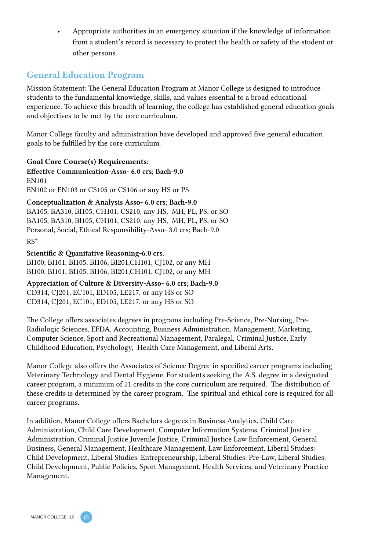<span id="page-16-0"></span>• Appropriate authorities in an emergency situation if the knowledge of information from a student's record is necessary to protect the health or safety of the student or other persons.

### General Education Program

Mission Statement: The General Education Program at Manor College is designed to introduce students to the fundamental knowledge, skills, and values essential to a broad educational experience. To achieve this breadth of learning, the college has established general education goals and objectives to be met by the core curriculum.

Manor College faculty and administration have developed and approved five general education goals to be fulfilled by the core curriculum.

### Goal Core Course(s) Requirements:

Effective Communication-Asso- 6.0 crs; Bach-9.0 EN101 EN102 or EN103 or CS105 or CS106 or any HS or PS

Conceptualization & Analysis Asso- 6.0 crs; Bach-9.0 BA105, BA310, BI105, CH101, CS210, any HS, MH, PL, PS, or SO BA105, BA310, BI105, CH101, CS210, any HS, MH, PL, PS, or SO Personal, Social, Ethical Responsibility-Asso- 3.0 crs; Bach-9.0 RS\*

Scientific & Quanitative Reasoning-6.0 crs. BI100, BI101, BI105, BI106, BI201,CH101, CJ102, or any MH BI100, BI101, BI105, BI106, BI201,CH101, CJ102, or any MH

Appreciation of Culture & Diversity-Asso- 6.0 crs; Bach-9.0 CD314, CJ201, EC101, ED105, LE217, or any HS or SO CD314, CJ201, EC101, ED105, LE217, or any HS or SO

The College offers associates degrees in programs including Pre-Science, Pre-Nursing, Pre-Radiologic Sciences, EFDA, Accounting, Business Administration, Management, Marketing, Computer Science, Sport and Recreational Management, Paralegal, Criminal Justice, Early Childhood Education, Psychology, Health Care Management, and Liberal Arts.

Manor College also offers the Associates of Science Degree in specified career programs including Veterinary Technology and Dental Hygiene. For students seeking the A.S. degree in a designated career program, a minimum of 21 credits in the core curriculum are required. The distribution of these credits is determined by the career program. The spiritual and ethical core is required for all career programs.

In addition, Manor College offers Bachelors degrees in Business Analytics, Child Care Administration, Child Care Development, Computer Information Systems, Criminal Justice Administration, Criminal Justice Juvenile Justice, Criminal Justice Law Enforcement, General Business, General Management, Healthcare Management, Law Enforcement, Liberal Studies: Child Development, Liberal Studies: Entrepreneurship, Liberal Studies: Pre-Law, Liberal Studies: Child Development, Public Policies, Sport Management, Health Services, and Veterinary Practice Management.

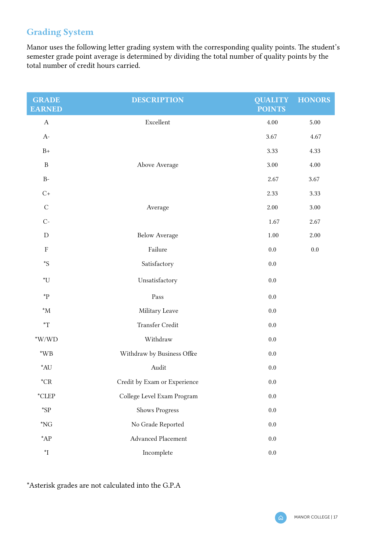### <span id="page-17-0"></span>Grading System

Manor uses the following letter grading system with the corresponding quality points. The student's semester grade point average is determined by dividing the total number of quality points by the total number of credit hours carried.

| <b>GRADE</b><br><b>EARNED</b> | <b>DESCRIPTION</b>           | <b>QUALITY</b><br><b>POINTS</b> | <b>HONORS</b> |
|-------------------------------|------------------------------|---------------------------------|---------------|
| А                             | Excellent                    | 4.00                            | 5.00          |
| $A-$                          |                              | 3.67                            | 4.67          |
| $B+$                          |                              | 3.33                            | 4.33          |
| $\mathbf B$                   | Above Average                | 3.00                            | 4.00          |
| $B-$                          |                              | 2.67                            | 3.67          |
| $C+$                          |                              | 2.33                            | 3.33          |
| $\mathcal{C}$                 | Average                      | 2.00                            | 3.00          |
| $C-$                          |                              | 1.67                            | 2.67          |
| D                             | <b>Below Average</b>         | 1.00                            | 2.00          |
| $\mathbf F$                   | Failure                      | $0.0\,$                         | $0.0\,$       |
| $^{\ast}S$                    | Satisfactory                 | 0.0                             |               |
| *U                            | Unsatisfactory               | 0.0                             |               |
| *P                            | Pass                         | 0.0                             |               |
| $^*M$                         | Military Leave               | 0.0                             |               |
| $\mathbf{T}^*$                | Transfer Credit              | 0.0                             |               |
| $*$ W/WD                      | Withdraw                     | 0.0                             |               |
| $*WB$                         | Withdraw by Business Offce   | 0.0                             |               |
| $*$ AU                        | Audit                        | 0.0                             |               |
| $^{\star} \text{CR}$          | Credit by Exam or Experience | 0.0                             |               |
| $^{\star}$ CLEP               | College Level Exam Program   | 0.0                             |               |
| $*$ sp                        | Shows Progress               | 0.0                             |               |
| $*_{NG}$                      | No Grade Reported            | 0.0                             |               |
| $^*AP$                        | Advanced Placement           | 0.0                             |               |
| $\mathbf{I}^{\star}$          | Incomplete                   | 0.0                             |               |

\*Asterisk grades are not calculated into the G.P.A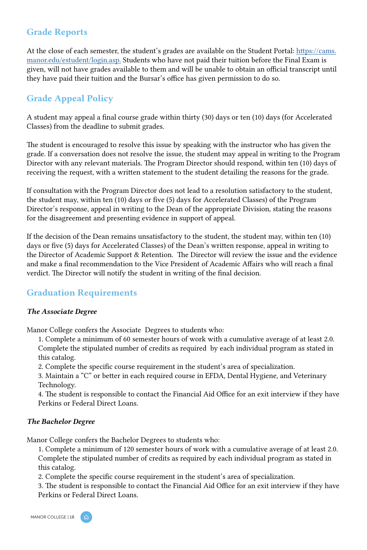### <span id="page-18-0"></span>Grade Reports

At the close of each semester, the student's grades are available on the Student Portal: [https://cams.](https://cams.manor.edu/estudent/login.asp.) [manor.edu/estudent/login.asp.](https://cams.manor.edu/estudent/login.asp.) Students who have not paid their tuition before the Final Exam is given, will not have grades available to them and will be unable to obtain an official transcript until they have paid their tuition and the Bursar's office has given permission to do so.

### Grade Appeal Policy

A student may appeal a final course grade within thirty (30) days or ten (10) days (for Accelerated Classes) from the deadline to submit grades.

The student is encouraged to resolve this issue by speaking with the instructor who has given the grade. If a conversation does not resolve the issue, the student may appeal in writing to the Program Director with any relevant materials. The Program Director should respond, within ten (10) days of receiving the request, with a written statement to the student detailing the reasons for the grade.

If consultation with the Program Director does not lead to a resolution satisfactory to the student, the student may, within ten (10) days or five (5) days for Accelerated Classes) of the Program Director's response, appeal in writing to the Dean of the appropriate Division, stating the reasons for the disagreement and presenting evidence in support of appeal.

If the decision of the Dean remains unsatisfactory to the student, the student may, within ten (10) days or five (5) days for Accelerated Classes) of the Dean's written response, appeal in writing to the Director of Academic Support & Retention. The Director will review the issue and the evidence and make a final recommendation to the Vice President of Academic Affairs who will reach a final verdict. The Director will notify the student in writing of the final decision.

### Graduation Requirements

#### *The Associate Degree*

Manor College confers the Associate Degrees to students who:

1. Complete a minimum of 60 semester hours of work with a cumulative average of at least 2.0. Complete the stipulated number of credits as required by each individual program as stated in this catalog.

2. Complete the specific course requirement in the student's area of specialization.

3. Maintain a "C" or better in each required course in EFDA, Dental Hygiene, and Veterinary Technology.

4. The student is responsible to contact the Financial Aid Office for an exit interview if they have Perkins or Federal Direct Loans.

#### *The Bachelor Degree*

Manor College confers the Bachelor Degrees to students who:

1. Complete a minimum of 120 semester hours of work with a cumulative average of at least 2.0. Complete the stipulated number of credits as required by each individual program as stated in this catalog.

2. Complete the specific course requirement in the student's area of specialization.

3. The student is responsible to contact the Financial Aid Office for an exit interview if they have Perkins or Federal Direct Loans.

MANOR COLLEGE | 18

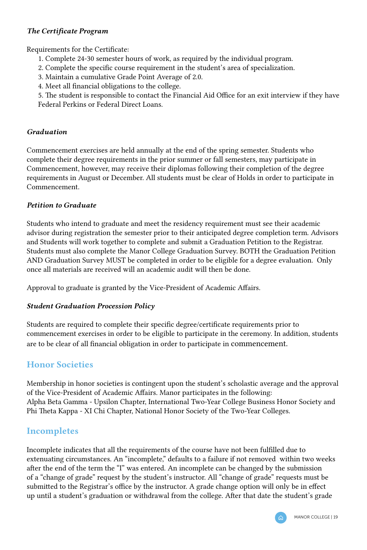### <span id="page-19-0"></span>*The Certificate Program*

Requirements for the Certificate:

- 1. Complete 24-30 semester hours of work, as required by the individual program.
- 2. Complete the specific course requirement in the student's area of specialization.
- 3. Maintain a cumulative Grade Point Average of 2.0.
- 4. Meet all financial obligations to the college.

5. The student is responsible to contact the Financial Aid Office for an exit interview if they have Federal Perkins or Federal Direct Loans.

#### *Graduation*

Commencement exercises are held annually at the end of the spring semester. Students who complete their degree requirements in the prior summer or fall semesters, may participate in Commencement, however, may receive their diplomas following their completion of the degree requirements in August or December. All students must be clear of Holds in order to participate in Commencement.

#### *Petition to Graduate*

Students who intend to graduate and meet the residency requirement must see their academic advisor during registration the semester prior to their anticipated degree completion term. Advisors and Students will work together to complete and submit a Graduation Petition to the Registrar. Students must also complete the Manor College Graduation Survey. BOTH the Graduation Petition AND Graduation Survey MUST be completed in order to be eligible for a degree evaluation. Only once all materials are received will an academic audit will then be done.

Approval to graduate is granted by the Vice-President of Academic Affairs.

#### *Student Graduation Procession Policy*

Students are required to complete their specific degree/certificate requirements prior to commencement exercises in order to be eligible to participate in the ceremony. In addition, students are to be clear of all financial obligation in order to participate in commencement.

### Honor Societies

Membership in honor societies is contingent upon the student's scholastic average and the approval of the Vice-President of Academic Affairs. Manor participates in the following: Alpha Beta Gamma - Upsilon Chapter, International Two-Year College Business Honor Society and Phi Theta Kappa - XI Chi Chapter, National Honor Society of the Two-Year Colleges.

### Incompletes

Incomplete indicates that all the requirements of the course have not been fulfilled due to extenuating circumstances. An "incomplete," defaults to a failure if not removed within two weeks after the end of the term the "I" was entered. An incomplete can be changed by the submission of a "change of grade" request by the student's instructor. All "change of grade" requests must be submitted to the Registrar's office by the instructor. A grade change option will only be in effect up until a student's graduation or withdrawal from the college. After that date the student's grade

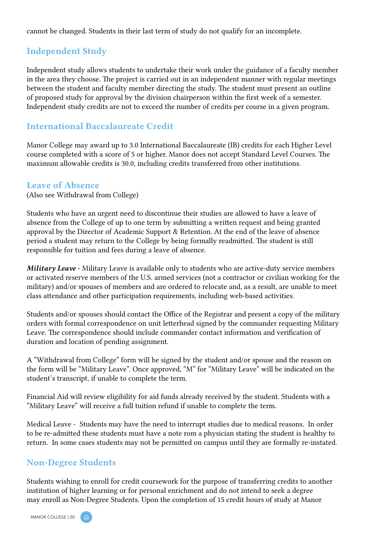<span id="page-20-0"></span>cannot be changed. Students in their last term of study do not qualify for an incomplete.

### Independent Study

Independent study allows students to undertake their work under the guidance of a faculty member in the area they choose. The project is carried out in an independent manner with regular meetings between the student and faculty member directing the study. The student must present an outline of proposed study for approval by the division chairperson within the first week of a semester. Independent study credits are not to exceed the number of credits per course in a given program.

### International Baccalaureate Credit

Manor College may award up to 3.0 International Baccalaureate (IB) credits for each Higher Level course completed with a score of 5 or higher. Manor does not accept Standard Level Courses. The maximum allowable credits is 30.0, including credits transferred from other institutions.

#### Leave of Absence

(Also see Withdrawal from College)

Students who have an urgent need to discontinue their studies are allowed to have a leave of absence from the College of up to one term by submitting a written request and being granted approval by the Director of Academic Support & Retention. At the end of the leave of absence period a student may return to the College by being formally readmitted. The student is still responsible for tuition and fees during a leave of absence.

*Military Leave* - Military Leave is available only to students who are active-duty service members or activated reserve members of the U.S. armed services (not a contractor or civilian working for the military) and/or spouses of members and are ordered to relocate and, as a result, are unable to meet class attendance and other participation requirements, including web-based activities.

Students and/or spouses should contact the Office of the Registrar and present a copy of the military orders with formal correspondence on unit letterhead signed by the commander requesting Military Leave. The correspondence should include commander contact information and verification of duration and location of pending assignment.

A "Withdrawal from College" form will be signed by the student and/or spouse and the reason on the form will be "Military Leave". Once approved, "M" for "Military Leave" will be indicated on the student's transcript, if unable to complete the term.

Financial Aid will review eligibility for aid funds already received by the student. Students with a "Military Leave" will receive a full tuition refund if unable to complete the term.

Medical Leave - Students may have the need to interrupt studies due to medical reasons. In order to be re-admitted these students must have a note rom a physician stating the student is healthy to return. In some cases students may not be permitted on campus until they are formally re-instated.

### Non-Degree Students

Students wishing to enroll for credit coursework for the purpose of transferring credits to another institution of higher learning or for personal enrichment and do not intend to seek a degree may enroll as Non-Degree Students. Upon the completion of 15 credit hours of study at Manor

MANOR COLLEGE | 20 A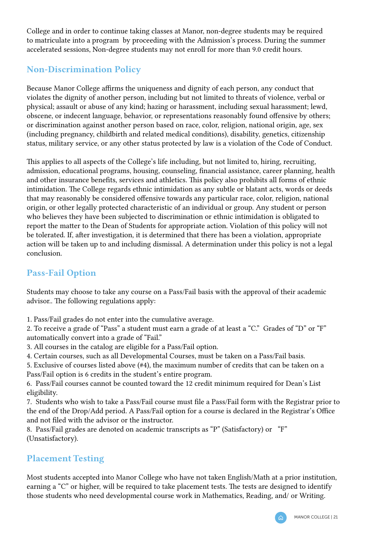<span id="page-21-0"></span>College and in order to continue taking classes at Manor, non-degree students may be required to matriculate into a program by proceeding with the Admission's process. During the summer accelerated sessions, Non-degree students may not enroll for more than 9.0 credit hours.

### Non-Discrimination Policy

Because Manor College affirms the uniqueness and dignity of each person, any conduct that violates the dignity of another person, including but not limited to threats of violence, verbal or physical; assault or abuse of any kind; hazing or harassment, including sexual harassment; lewd, obscene, or indecent language, behavior, or representations reasonably found offensive by others; or discrimination against another person based on race, color, religion, national origin, age, sex (including pregnancy, childbirth and related medical conditions), disability, genetics, citizenship status, military service, or any other status protected by law is a violation of the Code of Conduct.

This applies to all aspects of the College's life including, but not limited to, hiring, recruiting, admission, educational programs, housing, counseling, financial assistance, career planning, health and other insurance benefits, services and athletics. This policy also prohibits all forms of ethnic intimidation. The College regards ethnic intimidation as any subtle or blatant acts, words or deeds that may reasonably be considered offensive towards any particular race, color, religion, national origin, or other legally protected characteristic of an individual or group. Any student or person who believes they have been subjected to discrimination or ethnic intimidation is obligated to report the matter to the Dean of Students for appropriate action. Violation of this policy will not be tolerated. If, after investigation, it is determined that there has been a violation, appropriate action will be taken up to and including dismissal. A determination under this policy is not a legal conclusion.

### Pass-Fail Option

Students may choose to take any course on a Pass/Fail basis with the approval of their academic advisor.. The following regulations apply:

1. Pass/Fail grades do not enter into the cumulative average.

2. To receive a grade of "Pass" a student must earn a grade of at least a "C." Grades of "D" or "F" automatically convert into a grade of "Fail."

3. All courses in the catalog are eligible for a Pass/Fail option.

4. Certain courses, such as all Developmental Courses, must be taken on a Pass/Fail basis.

5. Exclusive of courses listed above (#4), the maximum number of credits that can be taken on a Pass/Fail option is 6 credits in the student's entire program.

6. Pass/Fail courses cannot be counted toward the 12 credit minimum required for Dean's List eligibility.

7. Students who wish to take a Pass/Fail course must file a Pass/Fail form with the Registrar prior to the end of the Drop/Add period. A Pass/Fail option for a course is declared in the Registrar's Office and not filed with the advisor or the instructor.

8. Pass/Fail grades are denoted on academic transcripts as "P" (Satisfactory) or "F" (Unsatisfactory).

### Placement Testing

Most students accepted into Manor College who have not taken English/Math at a prior institution, earning a "C" or higher, will be required to take placement tests. The tests are designed to identify those students who need developmental course work in Mathematics, Reading, and/ or Writing.

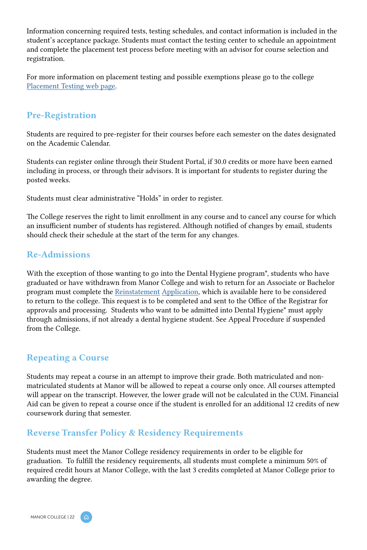Information concerning required tests, testing schedules, and contact information is included in the student's acceptance package. Students must contact the testing center to schedule an appointment and complete the placement test process before meeting with an advisor for course selection and registration.

For more information on placement testing and possible exemptions please go to the college [Placement Testing web page.](https://manor.edu/admissions/accepted-students/placement-test/)

### Pre-Registration

Students are required to pre-register for their courses before each semester on the dates designated on the Academic Calendar.

Students can register online through their Student Portal, if 30.0 credits or more have been earned including in process, or through their advisors. It is important for students to register during the posted weeks.

Students must clear administrative "Holds" in order to register.

The College reserves the right to limit enrollment in any course and to cancel any course for which an insufficient number of students has registered. Although notified of changes by email, students should check their schedule at the start of the term for any changes.

### Re-Admissions

With the exception of those wanting to go into the Dental Hygiene program\*, students who have graduated or have withdrawn from Manor College and wish to return for an Associate or Bachelor program must complete the [Reinstatement](https://manor.edu/wp-content/uploads/2018/09/Manor-College-Reinstatement-Form-4.pdf) [Application](https://manor.edu/wp-content/uploads/2018/09/Manor-College-Reinstatement-Form-4.pdf), which is available here to be considered to return to the college. This request is to be completed and sent to the Office of the Registrar for approvals and processing. Students who want to be admitted into Dental Hygiene\* must apply through admissions, if not already a dental hygiene student. See Appeal Procedure if suspended from the College.

### Repeating a Course

Students may repeat a course in an attempt to improve their grade. Both matriculated and nonmatriculated students at Manor will be allowed to repeat a course only once. All courses attempted will appear on the transcript. However, the lower grade will not be calculated in the CUM. Financial Aid can be given to repeat a course once if the student is enrolled for an additional 12 credits of new coursework during that semester.

### Reverse Transfer Policy & Residency Requirements

Students must meet the Manor College residency requirements in order to be eligible for graduation. To fulfill the residency requirements, all students must complete a minimum 50% of required credit hours at Manor College, with the last 3 credits completed at Manor College prior to awarding the degree.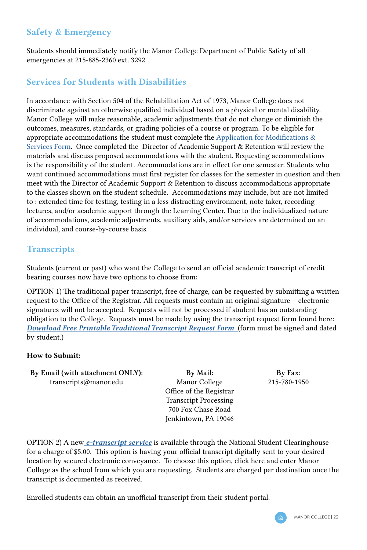### <span id="page-23-0"></span>Safety & Emergency

Students should immediately notify the Manor College Department of Public Safety of all emergencies at 215-885-2360 ext. 3292

### Services for Students with Disabilities

In accordance with Section 504 of the Rehabilitation Act of 1973, Manor College does not discriminate against an otherwise qualified individual based on a physical or mental disability. Manor College will make reasonable, academic adjustments that do not change or diminish the outcomes, measures, standards, or grading policies of a course or program. To be eligible for appropriate accommodations the student must complete the Application for Modifications  $\&$ [Services Form](https://docs.google.com/forms/d/1jU6PasHGl44dlz1eh44ef221r0I29koCgy9bdGZc_8o/viewform?edit_requested=true). Once completed the Director of Academic Support & Retention will review the materials and discuss proposed accommodations with the student. Requesting accommodations is the responsibility of the student. Accommodations are in effect for one semester. Students who want continued accommodations must first register for classes for the semester in question and then meet with the Director of Academic Support & Retention to discuss accommodations appropriate to the classes shown on the student schedule. Accommodations may include, but are not limited to : extended time for testing, testing in a less distracting environment, note taker, recording lectures, and/or academic support through the Learning Center. Due to the individualized nature of accommodations, academic adjustments, auxiliary aids, and/or services are determined on an individual, and course-by-course basis.

### **Transcripts**

Students (current or past) who want the College to send an official academic transcript of credit bearing courses now have two options to choose from:

OPTION 1) The traditional paper transcript, free of charge, can be requested by submitting a written request to the Office of the Registrar. All requests must contain an original signature – electronic signatures will not be accepted. Requests will not be processed if student has an outstanding obligation to the College. Requests must be made by using the transcript request form found here: *[Download Free Printable Traditional Transcript Request Form](https://manor.edu/wp-content/uploads/2020/09/Transcript-Request-Form_fillable.pdf)* (form must be signed and dated by student.)

### How to Submit:

By Email (with attachment ONLY): transcripts@manor.edu

By Mail: Manor College Office of the Registrar Transcript Processing 700 Fox Chase Road Jenkintown, PA 19046

By Fax: 215-780-1950

OPTION 2) A new *[e-transcript service](https://tsorder.studentclearinghouse.org/school/ficecode/00329400)* is available through the National Student Clearinghouse for a charge of \$5.00. This option is having your official transcript digitally sent to your desired location by secured electronic conveyance. To choose this option, click here and enter Manor College as the school from which you are requesting. Students are charged per destination once the transcript is documented as received.

Enrolled students can obtain an unofficial transcript from their student portal.

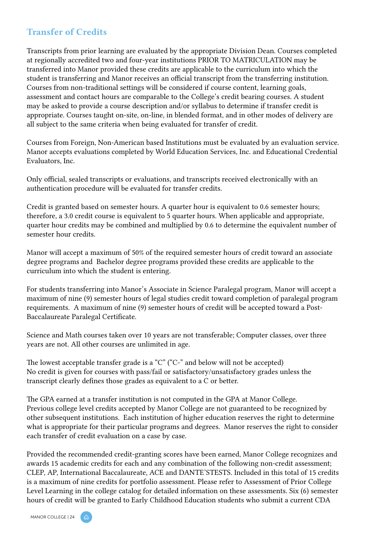### <span id="page-24-0"></span>Transfer of Credits

Transcripts from prior learning are evaluated by the appropriate Division Dean. Courses completed at regionally accredited two and four-year institutions PRIOR TO MATRICULATION may be transferred into Manor provided these credits are applicable to the curriculum into which the student is transferring and Manor receives an official transcript from the transferring institution. Courses from non-traditional settings will be considered if course content, learning goals, assessment and contact hours are comparable to the College's credit bearing courses. A student may be asked to provide a course description and/or syllabus to determine if transfer credit is appropriate. Courses taught on-site, on-line, in blended format, and in other modes of delivery are all subject to the same criteria when being evaluated for transfer of credit.

Courses from Foreign, Non-American based Institutions must be evaluated by an evaluation service. Manor accepts evaluations completed by World Education Services, Inc. and Educational Credential Evaluators, Inc.

Only official, sealed transcripts or evaluations, and transcripts received electronically with an authentication procedure will be evaluated for transfer credits.

Credit is granted based on semester hours. A quarter hour is equivalent to 0.6 semester hours; therefore, a 3.0 credit course is equivalent to 5 quarter hours. When applicable and appropriate, quarter hour credits may be combined and multiplied by 0.6 to determine the equivalent number of semester hour credits.

Manor will accept a maximum of 50% of the required semester hours of credit toward an associate degree programs and Bachelor degree programs provided these credits are applicable to the curriculum into which the student is entering.

For students transferring into Manor's Associate in Science Paralegal program, Manor will accept a maximum of nine (9) semester hours of legal studies credit toward completion of paralegal program requirements. A maximum of nine (9) semester hours of credit will be accepted toward a Post-Baccalaureate Paralegal Certificate.

Science and Math courses taken over 10 years are not transferable; Computer classes, over three years are not. All other courses are unlimited in age.

The lowest acceptable transfer grade is a "C" ("C-" and below will not be accepted) No credit is given for courses with pass/fail or satisfactory/unsatisfactory grades unless the transcript clearly defines those grades as equivalent to a C or better.

The GPA earned at a transfer institution is not computed in the GPA at Manor College. Previous college level credits accepted by Manor College are not guaranteed to be recognized by other subsequent institutions. Each institution of higher education reserves the right to determine what is appropriate for their particular programs and degrees. Manor reserves the right to consider each transfer of credit evaluation on a case by case.

Provided the recommended credit-granting scores have been earned, Manor College recognizes and awards 15 academic credits for each and any combination of the following non-credit assessment; CLEP, AP, International Baccalaureate, ACE and DANTE'STESTS. Included in this total of 15 credits is a maximum of nine credits for portfolio assessment. Please refer to Assessment of Prior College Level Learning in the college catalog for detailed information on these assessments. Six (6) semester hours of credit will be granted to Early Childhood Education students who submit a current CDA

MANOR COLLEGE | 24 ( ෬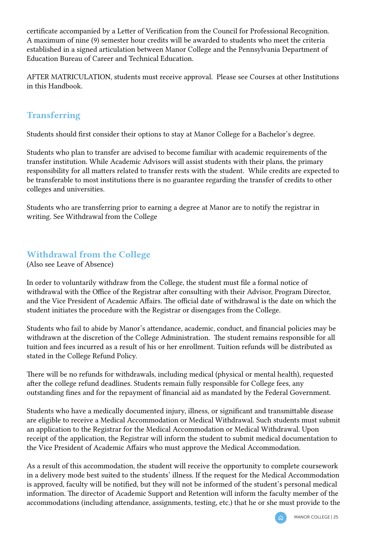<span id="page-25-0"></span>certificate accompanied by a Letter of Verification from the Council for Professional Recognition. A maximum of nine (9) semester hour credits will be awarded to students who meet the criteria established in a signed articulation between Manor College and the Pennsylvania Department of Education Bureau of Career and Technical Education.

AFTER MATRICULATION, students must receive approval. Please see Courses at other Institutions in this Handbook.

### Transferring

Students should first consider their options to stay at Manor College for a Bachelor's degree.

Students who plan to transfer are advised to become familiar with academic requirements of the transfer institution. While Academic Advisors will assist students with their plans, the primary responsibility for all matters related to transfer rests with the student. While credits are expected to be transferable to most institutions there is no guarantee regarding the transfer of credits to other colleges and universities.

Students who are transferring prior to earning a degree at Manor are to notify the registrar in writing. See Withdrawal from the College

### Withdrawal from the College

(Also see Leave of Absence)

In order to voluntarily withdraw from the College, the student must file a formal notice of withdrawal with the Office of the Registrar after consulting with their Advisor, Program Director, and the Vice President of Academic Affairs. The official date of withdrawal is the date on which the student initiates the procedure with the Registrar or disengages from the College.

Students who fail to abide by Manor's attendance, academic, conduct, and financial policies may be withdrawn at the discretion of the College Administration. The student remains responsible for all tuition and fees incurred as a result of his or her enrollment. Tuition refunds will be distributed as stated in the College Refund Policy.

There will be no refunds for withdrawals, including medical (physical or mental health), requested after the college refund deadlines. Students remain fully responsible for College fees, any outstanding fines and for the repayment of financial aid as mandated by the Federal Government.

Students who have a medically documented injury, illness, or significant and transmittable disease are eligible to receive a Medical Accommodation or Medical Withdrawal. Such students must submit an application to the Registrar for the Medical Accommodation or Medical Withdrawal. Upon receipt of the application, the Registrar will inform the student to submit medical documentation to the Vice President of Academic Affairs who must approve the Medical Accommodation.

As a result of this accommodation, the student will receive the opportunity to complete coursework in a delivery mode best suited to the students' illness. If the request for the Medical Accommodation is approved, faculty will be notified, but they will not be informed of the student's personal medical information. The director of Academic Support and Retention will inform the faculty member of the accommodations (including attendance, assignments, testing, etc.) that he or she must provide to the

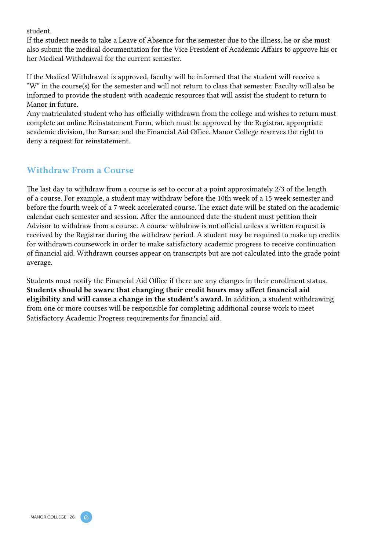<span id="page-26-0"></span>student.

If the student needs to take a Leave of Absence for the semester due to the illness, he or she must also submit the medical documentation for the Vice President of Academic Affairs to approve his or her Medical Withdrawal for the current semester.

If the Medical Withdrawal is approved, faculty will be informed that the student will receive a "W" in the course(s) for the semester and will not return to class that semester. Faculty will also be informed to provide the student with academic resources that will assist the student to return to Manor in future.

Any matriculated student who has officially withdrawn from the college and wishes to return must complete an online Reinstatement Form, which must be approved by the Registrar, appropriate academic division, the Bursar, and the Financial Aid Office. Manor College reserves the right to deny a request for reinstatement.

### Withdraw From a Course

The last day to withdraw from a course is set to occur at a point approximately 2/3 of the length of a course. For example, a student may withdraw before the 10th week of a 15 week semester and before the fourth week of a 7 week accelerated course. The exact date will be stated on the academic calendar each semester and session. After the announced date the student must petition their Advisor to withdraw from a course. A course withdraw is not official unless a written request is received by the Registrar during the withdraw period. A student may be required to make up credits for withdrawn coursework in order to make satisfactory academic progress to receive continuation of financial aid. Withdrawn courses appear on transcripts but are not calculated into the grade point average.

Students must notify the Financial Aid Office if there are any changes in their enrollment status. Students should be aware that changing their credit hours may affect financial aid eligibility and will cause a change in the student's award. In addition, a student withdrawing from one or more courses will be responsible for completing additional course work to meet Satisfactory Academic Progress requirements for financial aid.

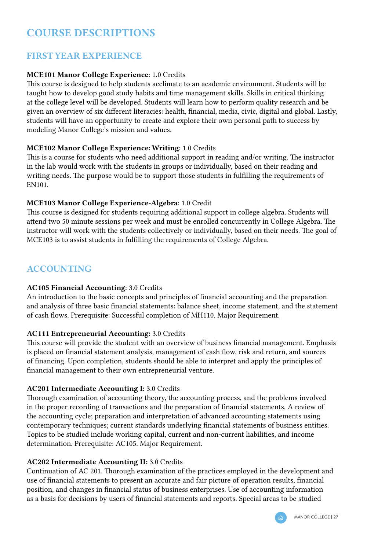### <span id="page-27-0"></span>COURSE DESCRIPTIONS

### FIRST YEAR EXPERIENCE

### MCE101 Manor College Experience: 1.0 Credits

This course is designed to help students acclimate to an academic environment. Students will be taught how to develop good study habits and time management skills. Skills in critical thinking at the college level will be developed. Students will learn how to perform quality research and be given an overview of six different literacies: health, financial, media, civic, digital and global. Lastly, students will have an opportunity to create and explore their own personal path to success by modeling Manor College's mission and values.

#### MCE102 Manor College Experience: Writing: 1.0 Credits

This is a course for students who need additional support in reading and/or writing. The instructor in the lab would work with the students in groups or individually, based on their reading and writing needs. The purpose would be to support those students in fulfilling the requirements of EN101.

### MCE103 Manor College Experience-Algebra: 1.0 Credit

This course is designed for students requiring additional support in college algebra. Students will attend two 50 minute sessions per week and must be enrolled concurrently in College Algebra. The instructor will work with the students collectively or individually, based on their needs. The goal of MCE103 is to assist students in fulfilling the requirements of College Algebra.

### ACCOUNTING

### AC105 Financial Accounting: 3.0 Credits

An introduction to the basic concepts and principles of financial accounting and the preparation and analysis of three basic financial statements: balance sheet, income statement, and the statement of cash flows. Prerequisite: Successful completion of MH110. Major Requirement.

#### AC111 Entrepreneurial Accounting: 3.0 Credits

This course will provide the student with an overview of business financial management. Emphasis is placed on financial statement analysis, management of cash flow, risk and return, and sources of financing. Upon completion, students should be able to interpret and apply the principles of financial management to their own entrepreneurial venture.

#### AC201 Intermediate Accounting I: 3.0 Credits

Thorough examination of accounting theory, the accounting process, and the problems involved in the proper recording of transactions and the preparation of financial statements. A review of the accounting cycle; preparation and interpretation of advanced accounting statements using contemporary techniques; current standards underlying financial statements of business entities. Topics to be studied include working capital, current and non-current liabilities, and income determination. Prerequisite: AC105. Major Requirement.

#### AC202 Intermediate Accounting II: 3.0 Credits

Continuation of AC 201. Thorough examination of the practices employed in the development and use of financial statements to present an accurate and fair picture of operation results, financial position, and changes in financial status of business enterprises. Use of accounting information as a basis for decisions by users of financial statements and reports. Special areas to be studied

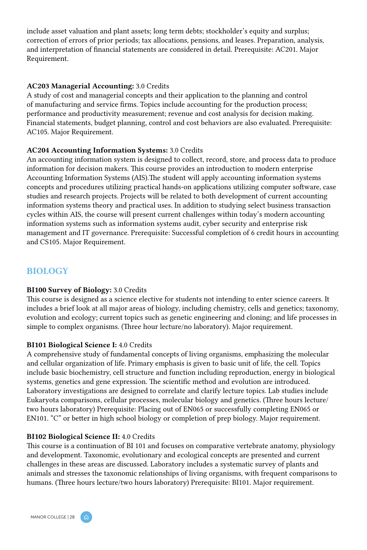include asset valuation and plant assets; long term debts; stockholder's equity and surplus; correction of errors of prior periods; tax allocations, pensions, and leases. Preparation, analysis, and interpretation of financial statements are considered in detail. Prerequisite: AC201. Major Requirement.

#### AC203 Managerial Accounting: 3.0 Credits

A study of cost and managerial concepts and their application to the planning and control of manufacturing and service firms. Topics include accounting for the production process; performance and productivity measurement; revenue and cost analysis for decision making. Financial statements, budget planning, control and cost behaviors are also evaluated. Prerequisite: AC105. Major Requirement.

#### AC204 Accounting Information Systems: 3.0 Credits

An accounting information system is designed to collect, record, store, and process data to produce information for decision makers. This course provides an introduction to modern enterprise Accounting Information Systems (AIS).The student will apply accounting information systems concepts and procedures utilizing practical hands-on applications utilizing computer software, case studies and research projects. Projects will be related to both development of current accounting information systems theory and practical uses. In addition to studying select business transaction cycles within AIS, the course will present current challenges within today's modern accounting information systems such as information systems audit, cyber security and enterprise risk management and IT governance. Prerequisite: Successful completion of 6 credit hours in accounting and CS105. Major Requirement.

### **BIOLOGY**

#### BI100 Survey of Biology: 3.0 Credits

This course is designed as a science elective for students not intending to enter science careers. It includes a brief look at all major areas of biology, including chemistry, cells and genetics; taxonomy, evolution and ecology; current topics such as genetic engineering and cloning; and life processes in simple to complex organisms. (Three hour lecture/no laboratory). Major requirement.

### BI101 Biological Science I: 4.0 Credits

A comprehensive study of fundamental concepts of living organisms, emphasizing the molecular and cellular organization of life. Primary emphasis is given to basic unit of life, the cell. Topics include basic biochemistry, cell structure and function including reproduction, energy in biological systems, genetics and gene expression. The scientific method and evolution are introduced. Laboratory investigations are designed to correlate and clarify lecture topics. Lab studies include Eukaryota comparisons, cellular processes, molecular biology and genetics. (Three hours lecture/ two hours laboratory) Prerequisite: Placing out of EN065 or successfully completing EN065 or EN101. "C" or better in high school biology or completion of prep biology. Major requirement.

#### BI102 Biological Science II: 4.0 Credits

This course is a continuation of BI 101 and focuses on comparative vertebrate anatomy, physiology and development. Taxonomic, evolutionary and ecological concepts are presented and current challenges in these areas are discussed. Laboratory includes a systematic survey of plants and animals and stresses the taxonomic relationships of living organisms, with frequent comparisons to humans. (Three hours lecture/two hours laboratory) Prerequisite: BI101. Major requirement.

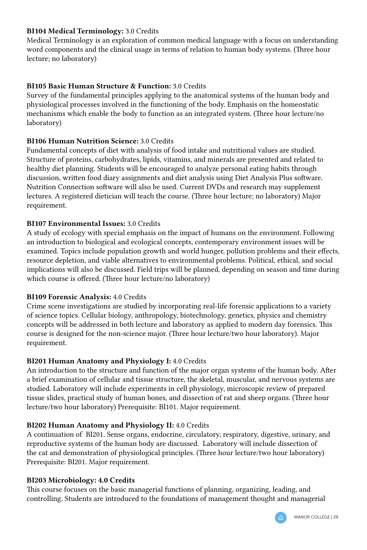### BI104 Medical Terminology: 3.0 Credits

Medical Terminology is an exploration of common medical language with a focus on understanding word components and the clinical usage in terms of relation to human body systems. (Three hour lecture; no laboratory)

### BI105 Basic Human Structure & Function: 3.0 Credits

Survey of the fundamental principles applying to the anatomical systems of the human body and physiological processes involved in the functioning of the body. Emphasis on the homeostatic mechanisms which enable the body to function as an integrated system. (Three hour lecture/no laboratory)

### BI106 Human Nutrition Science: 3.0 Credits

Fundamental concepts of diet with analysis of food intake and nutritional values are studied. Structure of proteins, carbohydrates, lipids, vitamins, and minerals are presented and related to healthy diet planning. Students will be encouraged to analyze personal eating habits through discussion, written food diary assignments and diet analysis using Diet Analysis Plus software. Nutrition Connection software will also be used. Current DVDs and research may supplement lectures. A registered dietician will teach the course. (Three hour lecture; no laboratory) Major requirement.

### BI107 Environmental Issues: 3.0 Credits

A study of ecology with special emphasis on the impact of humans on the environment. Following an introduction to biological and ecological concepts, contemporary environment issues will be examined. Topics include population growth and world hunger, pollution problems and their effects, resource depletion, and viable alternatives to environmental problems. Political, ethical, and social implications will also be discussed. Field trips will be planned, depending on season and time during which course is offered. (Three hour lecture/no laboratory)

### BI109 Forensic Analysis: 4.0 Credits

Crime scene investigations are studied by incorporating real-life forensic applications to a variety of science topics. Cellular biology, anthropology, biotechnology, genetics, physics and chemistry concepts will be addressed in both lecture and laboratory as applied to modern day forensics. This course is designed for the non-science major. (Three hour lecture/two hour laboratory). Major requirement.

### BI201 Human Anatomy and Physiology I: 4.0 Credits

An introduction to the structure and function of the major organ systems of the human body. After a brief examination of cellular and tissue structure, the skeletal, muscular, and nervous systems are studied. Laboratory will include experiments in cell physiology, microscopic review of prepared tissue slides, practical study of human bones, and dissection of rat and sheep organs. (Three hour lecture/two hour laboratory) Prerequisite: BI101. Major requirement.

#### BI202 Human Anatomy and Physiology II: 4.0 Credits

A continuation of BI201. Sense organs, endocrine, circulatory, respiratory, digestive, urinary, and reproductive systems of the human body are discussed. Laboratory will include dissection of the cat and demonstration of physiological principles. (Three hour lecture/two hour laboratory) Prerequisite: BI201. Major requirement.

#### BI203 Microbiology: 4.0 Credits

This course focuses on the basic managerial functions of planning, organizing, leading, and controlling. Students are introduced to the foundations of management thought and managerial

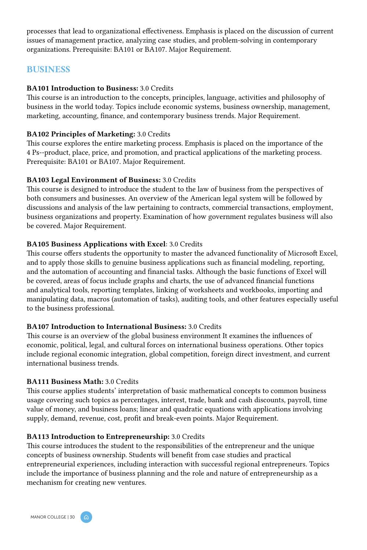processes that lead to organizational effectiveness. Emphasis is placed on the discussion of current issues of management practice, analyzing case studies, and problem-solving in contemporary organizations. Prerequisite: BA101 or BA107. Major Requirement.

### BUSINESS

#### BA101 Introduction to Business: 3.0 Credits

This course is an introduction to the concepts, principles, language, activities and philosophy of business in the world today. Topics include economic systems, business ownership, management, marketing, accounting, finance, and contemporary business trends. Major Requirement.

#### BA102 Principles of Marketing: 3.0 Credits

This course explores the entire marketing process. Emphasis is placed on the importance of the 4 Ps--product, place, price, and promotion, and practical applications of the marketing process. Prerequisite: BA101 or BA107. Major Requirement.

#### BA103 Legal Environment of Business: 3.0 Credits

This course is designed to introduce the student to the law of business from the perspectives of both consumers and businesses. An overview of the American legal system will be followed by discussions and analysis of the law pertaining to contracts, commercial transactions, employment, business organizations and property. Examination of how government regulates business will also be covered. Major Requirement.

#### BA105 Business Applications with Excel: 3.0 Credits

This course offers students the opportunity to master the advanced functionality of Microsoft Excel, and to apply those skills to genuine business applications such as financial modeling, reporting, and the automation of accounting and financial tasks. Although the basic functions of Excel will be covered, areas of focus include graphs and charts, the use of advanced financial functions and analytical tools, reporting templates, linking of worksheets and workbooks, importing and manipulating data, macros (automation of tasks), auditing tools, and other features especially useful to the business professional.

#### BA107 Introduction to International Business: 3.0 Credits

This course is an overview of the global business environment It examines the influences of economic, political, legal, and cultural forces on international business operations. Other topics include regional economic integration, global competition, foreign direct investment, and current international business trends.

#### BA111 Business Math: 3.0 Credits

This course applies students' interpretation of basic mathematical concepts to common business usage covering such topics as percentages, interest, trade, bank and cash discounts, payroll, time value of money, and business loans; linear and quadratic equations with applications involving supply, demand, revenue, cost, profit and break-even points. Major Requirement.

#### BA113 Introduction to Entrepreneurship: 3.0 Credits

This course introduces the student to the responsibilities of the entrepreneur and the unique concepts of business ownership. Students will benefit from case studies and practical entrepreneurial experiences, including interaction with successful regional entrepreneurs. Topics include the importance of business planning and the role and nature of entrepreneurship as a mechanism for creating new ventures.

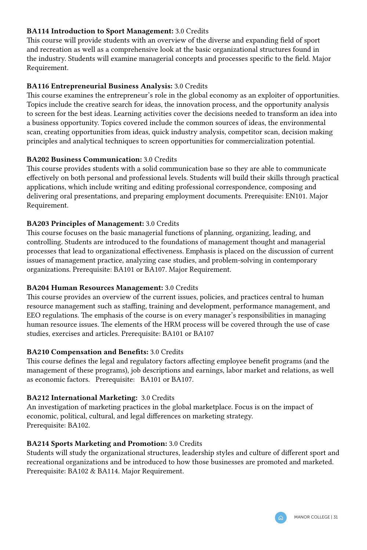#### BA114 Introduction to Sport Management: 3.0 Credits

This course will provide students with an overview of the diverse and expanding field of sport and recreation as well as a comprehensive look at the basic organizational structures found in the industry. Students will examine managerial concepts and processes specific to the field. Major Requirement.

#### BA116 Entrepreneurial Business Analysis: 3.0 Credits

This course examines the entrepreneur's role in the global economy as an exploiter of opportunities. Topics include the creative search for ideas, the innovation process, and the opportunity analysis to screen for the best ideas. Learning activities cover the decisions needed to transform an idea into a business opportunity. Topics covered include the common sources of ideas, the environmental scan, creating opportunities from ideas, quick industry analysis, competitor scan, decision making principles and analytical techniques to screen opportunities for commercialization potential.

#### BA202 Business Communication: 3.0 Credits

This course provides students with a solid communication base so they are able to communicate effectively on both personal and professional levels. Students will build their skills through practical applications, which include writing and editing professional correspondence, composing and delivering oral presentations, and preparing employment documents. Prerequisite: EN101. Major Requirement.

#### BA203 Principles of Management: 3.0 Credits

This course focuses on the basic managerial functions of planning, organizing, leading, and controlling. Students are introduced to the foundations of management thought and managerial processes that lead to organizational effectiveness. Emphasis is placed on the discussion of current issues of management practice, analyzing case studies, and problem-solving in contemporary organizations. Prerequisite: BA101 or BA107. Major Requirement.

#### BA204 Human Resources Management: 3.0 Credits

This course provides an overview of the current issues, policies, and practices central to human resource management such as staffing, training and development, performance management, and EEO regulations. The emphasis of the course is on every manager's responsibilities in managing human resource issues. The elements of the HRM process will be covered through the use of case studies, exercises and articles. Prerequisite: BA101 or BA107

#### BA210 Compensation and Benefits: 3.0 Credits

This course defines the legal and regulatory factors affecting employee benefit programs (and the management of these programs), job descriptions and earnings, labor market and relations, as well as economic factors. Prerequisite: BA101 or BA107.

#### BA212 International Marketing: 3.0 Credits

An investigation of marketing practices in the global marketplace. Focus is on the impact of economic, political, cultural, and legal differences on marketing strategy. Prerequisite: BA102.

#### BA214 Sports Marketing and Promotion: 3.0 Credits

Students will study the organizational structures, leadership styles and culture of different sport and recreational organizations and be introduced to how those businesses are promoted and marketed. Prerequisite: BA102 & BA114. Major Requirement.

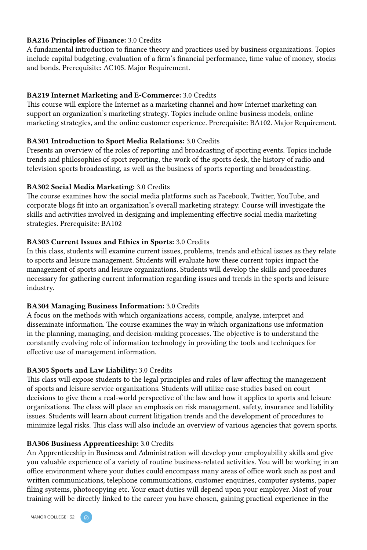#### BA216 Principles of Finance: 3.0 Credits

A fundamental introduction to finance theory and practices used by business organizations. Topics include capital budgeting, evaluation of a firm's financial performance, time value of money, stocks and bonds. Prerequisite: AC105. Major Requirement.

#### BA219 Internet Marketing and E-Commerce: 3.0 Credits

This course will explore the Internet as a marketing channel and how Internet marketing can support an organization's marketing strategy. Topics include online business models, online marketing strategies, and the online customer experience. Prerequisite: BA102. Major Requirement.

#### BA301 Introduction to Sport Media Relations: 3.0 Credits

Presents an overview of the roles of reporting and broadcasting of sporting events. Topics include trends and philosophies of sport reporting, the work of the sports desk, the history of radio and television sports broadcasting, as well as the business of sports reporting and broadcasting.

### BA302 Social Media Marketing: 3.0 Credits

The course examines how the social media platforms such as Facebook, Twitter, YouTube, and corporate blogs fit into an organization's overall marketing strategy. Course will investigate the skills and activities involved in designing and implementing effective social media marketing strategies. Prerequisite: BA102

### BA303 Current Issues and Ethics in Sports: 3.0 Credits

In this class, students will examine current issues, problems, trends and ethical issues as they relate to sports and leisure management. Students will evaluate how these current topics impact the management of sports and leisure organizations. Students will develop the skills and procedures necessary for gathering current information regarding issues and trends in the sports and leisure industry.

#### BA304 Managing Business Information: 3.0 Credits

A focus on the methods with which organizations access, compile, analyze, interpret and disseminate information. The course examines the way in which organizations use information in the planning, managing, and decision-making processes. The objective is to understand the constantly evolving role of information technology in providing the tools and techniques for effective use of management information.

### BA305 Sports and Law Liability: 3.0 Credits

This class will expose students to the legal principles and rules of law affecting the management of sports and leisure service organizations. Students will utilize case studies based on court decisions to give them a real-world perspective of the law and how it applies to sports and leisure organizations. The class will place an emphasis on risk management, safety, insurance and liability issues. Students will learn about current litigation trends and the development of procedures to minimize legal risks. This class will also include an overview of various agencies that govern sports.

### BA306 Business Apprenticeship: 3.0 Credits

An Apprenticeship in Business and Administration will develop your employability skills and give you valuable experience of a variety of routine business-related activities. You will be working in an office environment where your duties could encompass many areas of office work such as post and written communications, telephone communications, customer enquiries, computer systems, paper filing systems, photocopying etc. Your exact duties will depend upon your employer. Most of your training will be directly linked to the career you have chosen, gaining practical experience in the

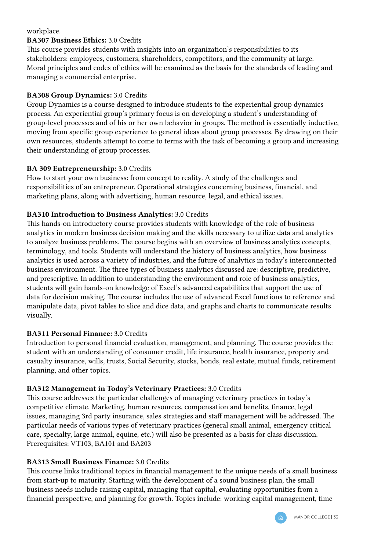#### workplace.

### BA307 Business Ethics: 3.0 Credits

This course provides students with insights into an organization's responsibilities to its stakeholders: employees, customers, shareholders, competitors, and the community at large. Moral principles and codes of ethics will be examined as the basis for the standards of leading and managing a commercial enterprise.

### BA308 Group Dynamics: 3.0 Credits

Group Dynamics is a course designed to introduce students to the experiential group dynamics process. An experiential group's primary focus is on developing a student's understanding of group-level processes and of his or her own behavior in groups. The method is essentially inductive, moving from specific group experience to general ideas about group processes. By drawing on their own resources, students attempt to come to terms with the task of becoming a group and increasing their understanding of group processes.

### BA 309 Entrepreneurship: 3.0 Credits

How to start your own business: from concept to reality. A study of the challenges and responsibilities of an entrepreneur. Operational strategies concerning business, financial, and marketing plans, along with advertising, human resource, legal, and ethical issues.

### BA310 Introduction to Business Analytics: 3.0 Credits

This hands-on introductory course provides students with knowledge of the role of business analytics in modern business decision making and the skills necessary to utilize data and analytics to analyze business problems. The course begins with an overview of business analytics concepts, terminology, and tools. Students will understand the history of business analytics, how business analytics is used across a variety of industries, and the future of analytics in today's interconnected business environment. The three types of business analytics discussed are: descriptive, predictive, and prescriptive. In addition to understanding the environment and role of business analytics, students will gain hands-on knowledge of Excel's advanced capabilities that support the use of data for decision making. The course includes the use of advanced Excel functions to reference and manipulate data, pivot tables to slice and dice data, and graphs and charts to communicate results visually.

### BA311 Personal Finance: 3.0 Credits

Introduction to personal financial evaluation, management, and planning. The course provides the student with an understanding of consumer credit, life insurance, health insurance, property and casualty insurance, wills, trusts, Social Security, stocks, bonds, real estate, mutual funds, retirement planning, and other topics.

### BA312 Management in Today's Veterinary Practices: 3.0 Credits

This course addresses the particular challenges of managing veterinary practices in today's competitive climate. Marketing, human resources, compensation and benefits, finance, legal issues, managing 3rd party insurance, sales strategies and staff management will be addressed. The particular needs of various types of veterinary practices (general small animal, emergency critical care, specialty, large animal, equine, etc.) will also be presented as a basis for class discussion. Prerequisites: VT103, BA101 and BA203

### BA313 Small Business Finance: 3.0 Credits

This course links traditional topics in financial management to the unique needs of a small business from start-up to maturity. Starting with the development of a sound business plan, the small business needs include raising capital, managing that capital, evaluating opportunities from a financial perspective, and planning for growth. Topics include: working capital management, time

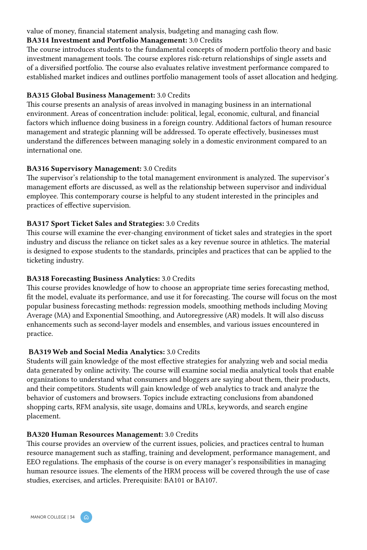#### value of money, financial statement analysis, budgeting and managing cash flow.

#### BA314 Investment and Portfolio Management: 3.0 Credits

The course introduces students to the fundamental concepts of modern portfolio theory and basic investment management tools. The course explores risk-return relationships of single assets and of a diversified portfolio. The course also evaluates relative investment performance compared to established market indices and outlines portfolio management tools of asset allocation and hedging.

#### BA315 Global Business Management: 3.0 Credits

This course presents an analysis of areas involved in managing business in an international environment. Areas of concentration include: political, legal, economic, cultural, and financial factors which influence doing business in a foreign country. Additional factors of human resource management and strategic planning will be addressed. To operate effectively, businesses must understand the differences between managing solely in a domestic environment compared to an international one.

### BA316 Supervisory Management: 3.0 Credits

The supervisor's relationship to the total management environment is analyzed. The supervisor's management efforts are discussed, as well as the relationship between supervisor and individual employee. This contemporary course is helpful to any student interested in the principles and practices of effective supervision.

### BA317 Sport Ticket Sales and Strategies: 3.0 Credits

This course will examine the ever-changing environment of ticket sales and strategies in the sport industry and discuss the reliance on ticket sales as a key revenue source in athletics. The material is designed to expose students to the standards, principles and practices that can be applied to the ticketing industry.

### BA318 Forecasting Business Analytics: 3.0 Credits

This course provides knowledge of how to choose an appropriate time series forecasting method, fit the model, evaluate its performance, and use it for forecasting. The course will focus on the most popular business forecasting methods: regression models, smoothing methods including Moving Average (MA) and Exponential Smoothing, and Autoregressive (AR) models. It will also discuss enhancements such as second-layer models and ensembles, and various issues encountered in practice.

### BA319 Web and Social Media Analytics: 3.0 Credits

Students will gain knowledge of the most effective strategies for analyzing web and social media data generated by online activity. The course will examine social media analytical tools that enable organizations to understand what consumers and bloggers are saying about them, their products, and their competitors. Students will gain knowledge of web analytics to track and analyze the behavior of customers and browsers. Topics include extracting conclusions from abandoned shopping carts, RFM analysis, site usage, domains and URLs, keywords, and search engine placement.

#### BA320 Human Resources Management: 3.0 Credits

This course provides an overview of the current issues, policies, and practices central to human resource management such as staffing, training and development, performance management, and EEO regulations. The emphasis of the course is on every manager's responsibilities in managing human resource issues. The elements of the HRM process will be covered through the use of case studies, exercises, and articles. Prerequisite: BA101 or BA107.

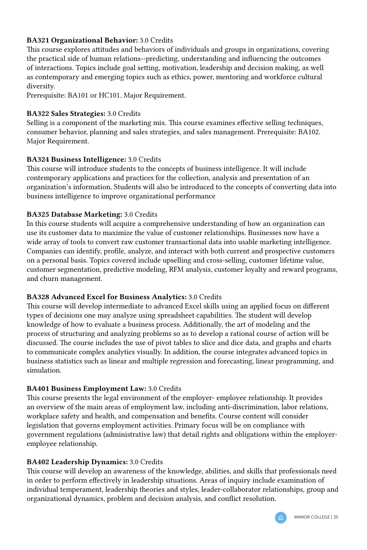### BA321 Organizational Behavior: 3.0 Credits

This course explores attitudes and behaviors of individuals and groups in organizations, covering the practical side of human relations--predicting, understanding and influencing the outcomes of interactions. Topics include goal setting, motivation, leadership and decision making, as well as contemporary and emerging topics such as ethics, power, mentoring and workforce cultural diversity.

Prerequisite: BA101 or HC101. Major Requirement.

### BA322 Sales Strategies: 3.0 Credits

Selling is a component of the marketing mix. This course examines effective selling techniques, consumer behavior, planning and sales strategies, and sales management. Prerequisite: BA102. Major Requirement.

### BA324 Business Intelligence: 3.0 Credits

This course will introduce students to the concepts of business intelligence. It will include contemporary applications and practices for the collection, analysis and presentation of an organization's information. Students will also be introduced to the concepts of converting data into business intelligence to improve organizational performance

### BA325 Database Marketing: 3.0 Credits

In this course students will acquire a comprehensive understanding of how an organization can use its customer data to maximize the value of customer relationships. Businesses now have a wide array of tools to convert raw customer transactional data into usable marketing intelligence. Companies can identify, profile, analyze, and interact with both current and prospective customers on a personal basis. Topics covered include upselling and cross-selling, customer lifetime value, customer segmentation, predictive modeling, RFM analysis, customer loyalty and reward programs, and churn management.

#### BA328 Advanced Excel for Business Analytics: 3.0 Credits

This course will develop intermediate to advanced Excel skills using an applied focus on different types of decisions one may analyze using spreadsheet capabilities. The student will develop knowledge of how to evaluate a business process. Additionally, the art of modeling and the process of structuring and analyzing problems so as to develop a rational course of action will be discussed. The course includes the use of pivot tables to slice and dice data, and graphs and charts to communicate complex analytics visually. In addition, the course integrates advanced topics in business statistics such as linear and multiple regression and forecasting, linear programming, and simulation.

### BA401 Business Employment Law: 3.0 Credits

This course presents the legal environment of the employer- employee relationship. It provides an overview of the main areas of employment law, including anti-discrimination, labor relations, workplace safety and health, and compensation and benefits. Course content will consider legislation that governs employment activities. Primary focus will be on compliance with government regulations (administrative law) that detail rights and obligations within the employeremployee relationship.

### BA402 Leadership Dynamics: 3.0 Credits

This course will develop an awareness of the knowledge, abilities, and skills that professionals need in order to perform effectively in leadership situations. Areas of inquiry include examination of individual temperament, leadership theories and styles, leader-collaborator relationships, group and organizational dynamics, problem and decision analysis, and conflict resolution.

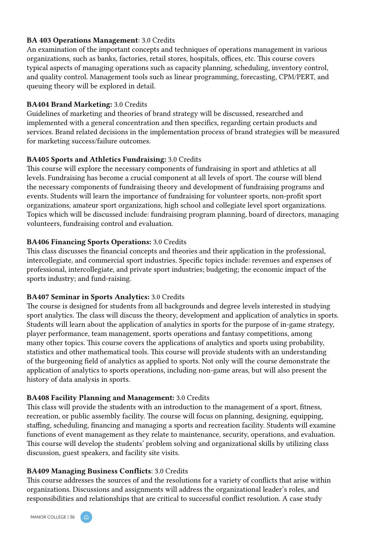### BA 403 Operations Management: 3.0 Credits

An examination of the important concepts and techniques of operations management in various organizations, such as banks, factories, retail stores, hospitals, offices, etc. This course covers typical aspects of managing operations such as capacity planning, scheduling, inventory control, and quality control. Management tools such as linear programming, forecasting, CPM/PERT, and queuing theory will be explored in detail.

#### BA404 Brand Marketing: 3.0 Credits

Guidelines of marketing and theories of brand strategy will be discussed, researched and implemented with a general concentration and then specifics, regarding certain products and services. Brand related decisions in the implementation process of brand strategies will be measured for marketing success/failure outcomes.

### BA405 Sports and Athletics Fundraising: 3.0 Credits

This course will explore the necessary components of fundraising in sport and athletics at all levels. Fundraising has become a crucial component at all levels of sport. The course will blend the necessary components of fundraising theory and development of fundraising programs and events. Students will learn the importance of fundraising for volunteer sports, non-profit sport organizations, amateur sport organizations, high school and collegiate level sport organizations. Topics which will be discussed include: fundraising program planning, board of directors, managing volunteers, fundraising control and evaluation.

#### BA406 Financing Sports Operations: 3.0 Credits

This class discusses the financial concepts and theories and their application in the professional, intercollegiate, and commercial sport industries. Specific topics include: revenues and expenses of professional, intercollegiate, and private sport industries; budgeting; the economic impact of the sports industry; and fund-raising.

#### BA407 Seminar in Sports Analytics: 3.0 Credits

The course is designed for students from all backgrounds and degree levels interested in studying sport analytics. The class will discuss the theory, development and application of analytics in sports. Students will learn about the application of analytics in sports for the purpose of in-game strategy, player performance, team management, sports operations and fantasy competitions, among many other topics. This course covers the applications of analytics and sports using probability, statistics and other mathematical tools. This course will provide students with an understanding of the burgeoning field of analytics as applied to sports. Not only will the course demonstrate the application of analytics to sports operations, including non-game areas, but will also present the history of data analysis in sports.

#### BA408 Facility Planning and Management: 3.0 Credits

This class will provide the students with an introduction to the management of a sport, fitness, recreation, or public assembly facility. The course will focus on planning, designing, equipping, staffing, scheduling, financing and managing a sports and recreation facility. Students will examine functions of event management as they relate to maintenance, security, operations, and evaluation. This course will develop the students' problem solving and organizational skills by utilizing class discussion, guest speakers, and facility site visits.

### BA409 Managing Business Conflicts: 3.0 Credits

This course addresses the sources of and the resolutions for a variety of conflicts that arise within organizations. Discussions and assignments will address the organizational leader's roles, and responsibilities and relationships that are critical to successful conflict resolution. A case study

MANOR COLLEGE | 36

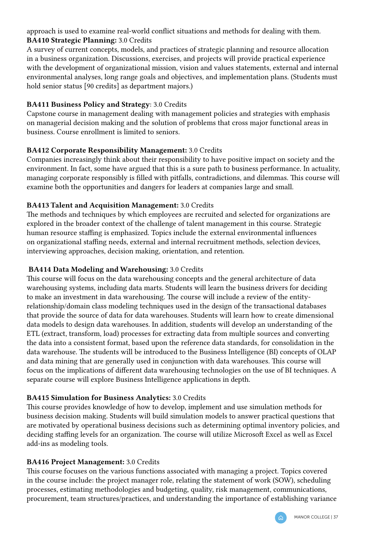approach is used to examine real-world conflict situations and methods for dealing with them. BA410 Strategic Planning: 3.0 Credits

A survey of current concepts, models, and practices of strategic planning and resource allocation in a business organization. Discussions, exercises, and projects will provide practical experience with the development of organizational mission, vision and values statements, external and internal environmental analyses, long range goals and objectives, and implementation plans. (Students must hold senior status [90 credits] as department majors.)

### BA411 Business Policy and Strategy: 3.0 Credits

Capstone course in management dealing with management policies and strategies with emphasis on managerial decision making and the solution of problems that cross major functional areas in business. Course enrollment is limited to seniors.

### BA412 Corporate Responsibility Management: 3.0 Credits

Companies increasingly think about their responsibility to have positive impact on society and the environment. In fact, some have argued that this is a sure path to business performance. In actuality, managing corporate responsibly is filled with pitfalls, contradictions, and dilemmas. This course will examine both the opportunities and dangers for leaders at companies large and small.

# BA413 Talent and Acquisition Management: 3.0 Credits

The methods and techniques by which employees are recruited and selected for organizations are explored in the broader context of the challenge of talent management in this course. Strategic human resource staffing is emphasized. Topics include the external environmental influences on organizational staffing needs, external and internal recruitment methods, selection devices, interviewing approaches, decision making, orientation, and retention.

### BA414 Data Modeling and Warehousing: 3.0 Credits

This course will focus on the data warehousing concepts and the general architecture of data warehousing systems, including data marts. Students will learn the business drivers for deciding to make an investment in data warehousing. The course will include a review of the entityrelationship/domain class modeling techniques used in the design of the transactional databases that provide the source of data for data warehouses. Students will learn how to create dimensional data models to design data warehouses. In addition, students will develop an understanding of the ETL (extract, transform, load) processes for extracting data from multiple sources and converting the data into a consistent format, based upon the reference data standards, for consolidation in the data warehouse. The students will be introduced to the Business Intelligence (BI) concepts of OLAP and data mining that are generally used in conjunction with data warehouses. This course will focus on the implications of different data warehousing technologies on the use of BI techniques. A separate course will explore Business Intelligence applications in depth.

### BA415 Simulation for Business Analytics: 3.0 Credits

This course provides knowledge of how to develop, implement and use simulation methods for business decision making. Students will build simulation models to answer practical questions that are motivated by operational business decisions such as determining optimal inventory policies, and deciding staffing levels for an organization. The course will utilize Microsoft Excel as well as Excel add-ins as modeling tools.

### BA416 Project Management: 3.0 Credits

This course focuses on the various functions associated with managing a project. Topics covered in the course include: the project manager role, relating the statement of work (SOW), scheduling processes, estimating methodologies and budgeting, quality, risk management, communications, procurement, team structures/practices, and understanding the importance of establishing variance

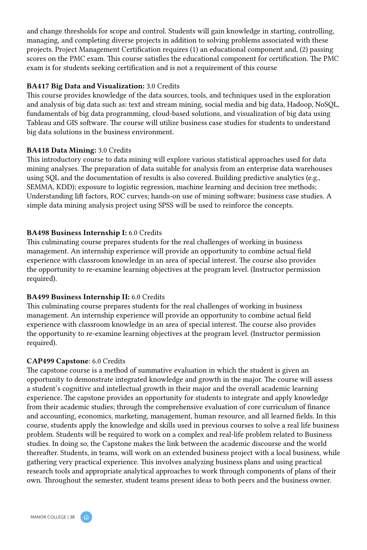and change thresholds for scope and control. Students will gain knowledge in starting, controlling, managing, and completing diverse projects in addition to solving problems associated with these projects. Project Management Certification requires (1) an educational component and, (2) passing scores on the PMC exam. This course satisfies the educational component for certification. The PMC exam is for students seeking certification and is not a requirement of this course

#### BA417 Big Data and Visualization: 3.0 Credits

This course provides knowledge of the data sources, tools, and techniques used in the exploration and analysis of big data such as: text and stream mining, social media and big data, Hadoop, NoSQL, fundamentals of big data programming, cloud-based solutions, and visualization of big data using Tableau and GIS software. The course will utilize business case studies for students to understand big data solutions in the business environment.

#### BA418 Data Mining: 3.0 Credits

This introductory course to data mining will explore various statistical approaches used for data mining analyses. The preparation of data suitable for analysis from an enterprise data warehouses using SQL and the documentation of results is also covered. Building predictive analytics (e.g., SEMMA, KDD); exposure to logistic regression, machine learning and decision tree methods; Understanding lift factors, ROC curves; hands-on use of mining software; business case studies. A simple data mining analysis project using SPSS will be used to reinforce the concepts.

### BA498 Business Internship I: 6.0 Credits

This culminating course prepares students for the real challenges of working in business management. An internship experience will provide an opportunity to combine actual field experience with classroom knowledge in an area of special interest. The course also provides the opportunity to re-examine learning objectives at the program level. (Instructor permission required).

### BA499 Business Internship II: 6.0 Credits

This culminating course prepares students for the real challenges of working in business management. An internship experience will provide an opportunity to combine actual field experience with classroom knowledge in an area of special interest. The course also provides the opportunity to re-examine learning objectives at the program level. (Instructor permission required).

#### CAP499 Capstone: 6.0 Credits

The capstone course is a method of summative evaluation in which the student is given an opportunity to demonstrate integrated knowledge and growth in the major. The course will assess a student's cognitive and intellectual growth in their major and the overall academic learning experience. The capstone provides an opportunity for students to integrate and apply knowledge from their academic studies; through the comprehensive evaluation of core curriculum of finance and accounting, economics, marketing, management, human resource, and all learned fields. In this course, students apply the knowledge and skills used in previous courses to solve a real life business problem. Students will be required to work on a complex and real-life problem related to Business studies. In doing so, the Capstone makes the link between the academic discourse and the world thereafter. Students, in teams, will work on an extended business project with a local business, while gathering very practical experience. This involves analyzing business plans and using practical research tools and appropriate analytical approaches to work through components of plans of their own. Throughout the semester, student teams present ideas to both peers and the business owner.

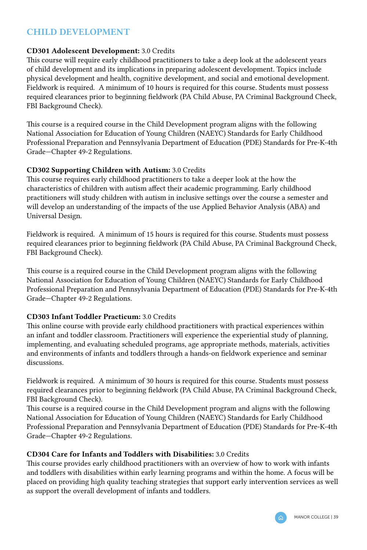# CHILD DEVELOPMENT

### CD301 Adolescent Development: 3.0 Credits

This course will require early childhood practitioners to take a deep look at the adolescent years of child development and its implications in preparing adolescent development. Topics include physical development and health, cognitive development, and social and emotional development. Fieldwork is required. A minimum of 10 hours is required for this course. Students must possess required clearances prior to beginning fieldwork (PA Child Abuse, PA Criminal Background Check, FBI Background Check).

This course is a required course in the Child Development program aligns with the following National Association for Education of Young Children (NAEYC) Standards for Early Childhood Professional Preparation and Pennsylvania Department of Education (PDE) Standards for Pre-K-4th Grade—Chapter 49-2 Regulations.

### CD302 Supporting Children with Autism: 3.0 Credits

This course requires early childhood practitioners to take a deeper look at the how the characteristics of children with autism affect their academic programming. Early childhood practitioners will study children with autism in inclusive settings over the course a semester and will develop an understanding of the impacts of the use Applied Behavior Analysis (ABA) and Universal Design.

Fieldwork is required. A minimum of 15 hours is required for this course. Students must possess required clearances prior to beginning fieldwork (PA Child Abuse, PA Criminal Background Check, FBI Background Check).

This course is a required course in the Child Development program aligns with the following National Association for Education of Young Children (NAEYC) Standards for Early Childhood Professional Preparation and Pennsylvania Department of Education (PDE) Standards for Pre-K-4th Grade—Chapter 49-2 Regulations.

### CD303 Infant Toddler Practicum: 3.0 Credits

This online course with provide early childhood practitioners with practical experiences within an infant and toddler classroom. Practitioners will experience the experiential study of planning, implementing, and evaluating scheduled programs, age appropriate methods, materials, activities and environments of infants and toddlers through a hands-on fieldwork experience and seminar discussions.

Fieldwork is required. A minimum of 30 hours is required for this course. Students must possess required clearances prior to beginning fieldwork (PA Child Abuse, PA Criminal Background Check, FBI Background Check).

This course is a required course in the Child Development program and aligns with the following National Association for Education of Young Children (NAEYC) Standards for Early Childhood Professional Preparation and Pennsylvania Department of Education (PDE) Standards for Pre-K-4th Grade—Chapter 49-2 Regulations.

### CD304 Care for Infants and Toddlers with Disabilities: 3.0 Credits

This course provides early childhood practitioners with an overview of how to work with infants and toddlers with disabilities within early learning programs and within the home. A focus will be placed on providing high quality teaching strategies that support early intervention services as well as support the overall development of infants and toddlers.

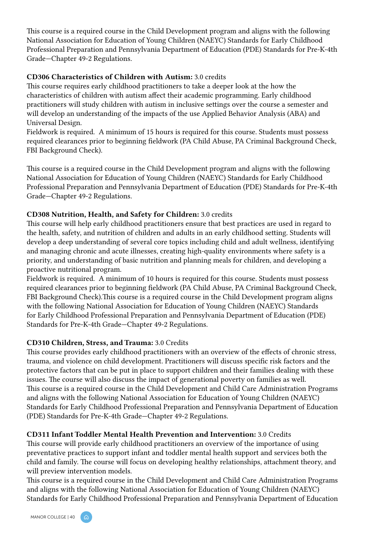This course is a required course in the Child Development program and aligns with the following National Association for Education of Young Children (NAEYC) Standards for Early Childhood Professional Preparation and Pennsylvania Department of Education (PDE) Standards for Pre-K-4th Grade—Chapter 49-2 Regulations.

### CD306 Characteristics of Children with Autism: 3.0 credits

This course requires early childhood practitioners to take a deeper look at the how the characteristics of children with autism affect their academic programming. Early childhood practitioners will study children with autism in inclusive settings over the course a semester and will develop an understanding of the impacts of the use Applied Behavior Analysis (ABA) and Universal Design.

Fieldwork is required. A minimum of 15 hours is required for this course. Students must possess required clearances prior to beginning fieldwork (PA Child Abuse, PA Criminal Background Check, FBI Background Check).

This course is a required course in the Child Development program and aligns with the following National Association for Education of Young Children (NAEYC) Standards for Early Childhood Professional Preparation and Pennsylvania Department of Education (PDE) Standards for Pre-K-4th Grade—Chapter 49-2 Regulations.

### CD308 Nutrition, Health, and Safety for Children: 3.0 credits

This course will help early childhood practitioners ensure that best practices are used in regard to the health, safety, and nutrition of children and adults in an early childhood setting. Students will develop a deep understanding of several core topics including child and adult wellness, identifying and managing chronic and acute illnesses, creating high-quality environments where safety is a priority, and understanding of basic nutrition and planning meals for children, and developing a proactive nutritional program.

Fieldwork is required. A minimum of 10 hours is required for this course. Students must possess required clearances prior to beginning fieldwork (PA Child Abuse, PA Criminal Background Check, FBI Background Check).This course is a required course in the Child Development program aligns with the following National Association for Education of Young Children (NAEYC) Standards for Early Childhood Professional Preparation and Pennsylvania Department of Education (PDE) Standards for Pre-K-4th Grade—Chapter 49-2 Regulations.

# CD310 Children, Stress, and Trauma: 3.0 Credits

This course provides early childhood practitioners with an overview of the effects of chronic stress, trauma, and violence on child development. Practitioners will discuss specific risk factors and the protective factors that can be put in place to support children and their families dealing with these issues. The course will also discuss the impact of generational poverty on families as well. This course is a required course in the Child Development and Child Care Administration Programs and aligns with the following National Association for Education of Young Children (NAEYC) Standards for Early Childhood Professional Preparation and Pennsylvania Department of Education (PDE) Standards for Pre-K-4th Grade—Chapter 49-2 Regulations.

# CD311 Infant Toddler Mental Health Prevention and Intervention: 3.0 Credits

This course will provide early childhood practitioners an overview of the importance of using preventative practices to support infant and toddler mental health support and services both the child and family. The course will focus on developing healthy relationships, attachment theory, and will preview intervention models.

This course is a required course in the Child Development and Child Care Administration Programs and aligns with the following National Association for Education of Young Children (NAEYC) Standards for Early Childhood Professional Preparation and Pennsylvania Department of Education

MANOR COLLEGE | 40

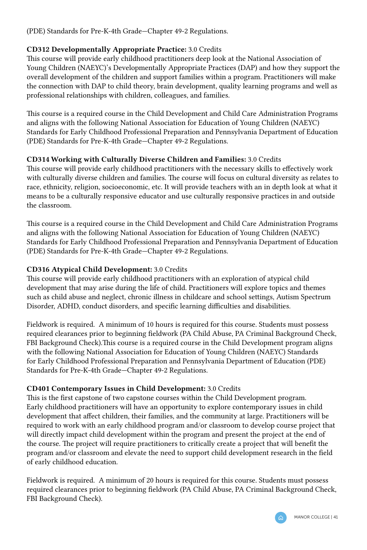(PDE) Standards for Pre-K-4th Grade—Chapter 49-2 Regulations.

# CD312 Developmentally Appropriate Practice: 3.0 Credits

This course will provide early childhood practitioners deep look at the National Association of Young Children (NAEYC)'s Developmentally Appropriate Practices (DAP) and how they support the overall development of the children and support families within a program. Practitioners will make the connection with DAP to child theory, brain development, quality learning programs and well as professional relationships with children, colleagues, and families.

This course is a required course in the Child Development and Child Care Administration Programs and aligns with the following National Association for Education of Young Children (NAEYC) Standards for Early Childhood Professional Preparation and Pennsylvania Department of Education (PDE) Standards for Pre-K-4th Grade—Chapter 49-2 Regulations.

# CD314 Working with Culturally Diverse Children and Families: 3.0 Credits

This course will provide early childhood practitioners with the necessary skills to effectively work with culturally diverse children and families. The course will focus on cultural diversity as relates to race, ethnicity, religion, socioeconomic, etc. It will provide teachers with an in depth look at what it means to be a culturally responsive educator and use culturally responsive practices in and outside the classroom.

This course is a required course in the Child Development and Child Care Administration Programs and aligns with the following National Association for Education of Young Children (NAEYC) Standards for Early Childhood Professional Preparation and Pennsylvania Department of Education (PDE) Standards for Pre-K-4th Grade—Chapter 49-2 Regulations.

# CD316 Atypical Child Development: 3.0 Credits

This course will provide early childhood practitioners with an exploration of atypical child development that may arise during the life of child. Practitioners will explore topics and themes such as child abuse and neglect, chronic illness in childcare and school settings, Autism Spectrum Disorder, ADHD, conduct disorders, and specific learning difficulties and disabilities.

Fieldwork is required. A minimum of 10 hours is required for this course. Students must possess required clearances prior to beginning fieldwork (PA Child Abuse, PA Criminal Background Check, FBI Background Check).This course is a required course in the Child Development program aligns with the following National Association for Education of Young Children (NAEYC) Standards for Early Childhood Professional Preparation and Pennsylvania Department of Education (PDE) Standards for Pre-K-4th Grade—Chapter 49-2 Regulations.

# CD401 Contemporary Issues in Child Development: 3.0 Credits

This is the first capstone of two capstone courses within the Child Development program. Early childhood practitioners will have an opportunity to explore contemporary issues in child development that affect children, their families, and the community at large. Practitioners will be required to work with an early childhood program and/or classroom to develop course project that will directly impact child development within the program and present the project at the end of the course. The project will require practitioners to critically create a project that will benefit the program and/or classroom and elevate the need to support child development research in the field of early childhood education.

Fieldwork is required. A minimum of 20 hours is required for this course. Students must possess required clearances prior to beginning fieldwork (PA Child Abuse, PA Criminal Background Check, FBI Background Check).

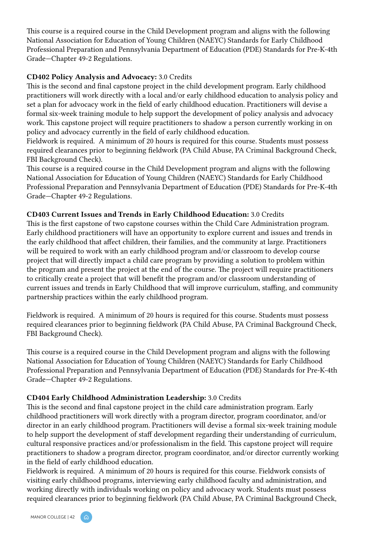This course is a required course in the Child Development program and aligns with the following National Association for Education of Young Children (NAEYC) Standards for Early Childhood Professional Preparation and Pennsylvania Department of Education (PDE) Standards for Pre-K-4th Grade—Chapter 49-2 Regulations.

### CD402 Policy Analysis and Advocacy: 3.0 Credits

This is the second and final capstone project in the child development program. Early childhood practitioners will work directly with a local and/or early childhood education to analysis policy and set a plan for advocacy work in the field of early childhood education. Practitioners will devise a formal six-week training module to help support the development of policy analysis and advocacy work. This capstone project will require practitioners to shadow a person currently working in on policy and advocacy currently in the field of early childhood education.

Fieldwork is required. A minimum of 20 hours is required for this course. Students must possess required clearances prior to beginning fieldwork (PA Child Abuse, PA Criminal Background Check, FBI Background Check).

This course is a required course in the Child Development program and aligns with the following National Association for Education of Young Children (NAEYC) Standards for Early Childhood Professional Preparation and Pennsylvania Department of Education (PDE) Standards for Pre-K-4th Grade—Chapter 49-2 Regulations.

#### CD403 Current Issues and Trends in Early Childhood Education: 3.0 Credits

This is the first capstone of two capstone courses within the Child Care Administration program. Early childhood practitioners will have an opportunity to explore current and issues and trends in the early childhood that affect children, their families, and the community at large. Practitioners will be required to work with an early childhood program and/or classroom to develop course project that will directly impact a child care program by providing a solution to problem within the program and present the project at the end of the course. The project will require practitioners to critically create a project that will benefit the program and/or classroom understanding of current issues and trends in Early Childhood that will improve curriculum, staffing, and community partnership practices within the early childhood program.

Fieldwork is required. A minimum of 20 hours is required for this course. Students must possess required clearances prior to beginning fieldwork (PA Child Abuse, PA Criminal Background Check, FBI Background Check).

This course is a required course in the Child Development program and aligns with the following National Association for Education of Young Children (NAEYC) Standards for Early Childhood Professional Preparation and Pennsylvania Department of Education (PDE) Standards for Pre-K-4th Grade—Chapter 49-2 Regulations.

#### CD404 Early Childhood Administration Leadership: 3.0 Credits

This is the second and final capstone project in the child care administration program. Early childhood practitioners will work directly with a program director, program coordinator, and/or director in an early childhood program. Practitioners will devise a formal six-week training module to help support the development of staff development regarding their understanding of curriculum, cultural responsive practices and/or professionalism in the field. This capstone project will require practitioners to shadow a program director, program coordinator, and/or director currently working in the field of early childhood education.

Fieldwork is required. A minimum of 20 hours is required for this course. Fieldwork consists of visiting early childhood programs, interviewing early childhood faculty and administration, and working directly with individuals working on policy and advocacy work. Students must possess required clearances prior to beginning fieldwork (PA Child Abuse, PA Criminal Background Check,

MANOR COLLEGE | 42

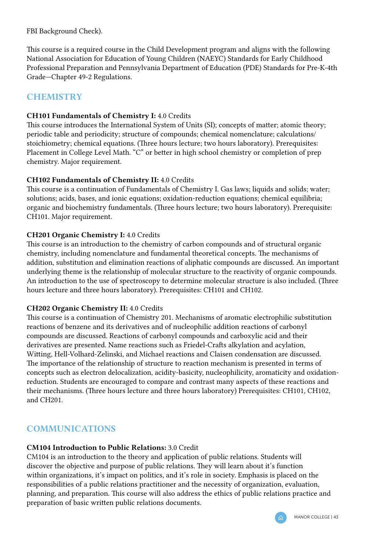FBI Background Check).

This course is a required course in the Child Development program and aligns with the following National Association for Education of Young Children (NAEYC) Standards for Early Childhood Professional Preparation and Pennsylvania Department of Education (PDE) Standards for Pre-K-4th Grade—Chapter 49-2 Regulations.

# **CHEMISTRY**

### CH101 Fundamentals of Chemistry I: 4.0 Credits

This course introduces the International System of Units (SI); concepts of matter; atomic theory; periodic table and periodicity; structure of compounds; chemical nomenclature; calculations/ stoichiometry; chemical equations. (Three hours lecture; two hours laboratory). Prerequisites: Placement in College Level Math. "C" or better in high school chemistry or completion of prep chemistry. Major requirement.

### CH102 Fundamentals of Chemistry II: 4.0 Credits

This course is a continuation of Fundamentals of Chemistry I. Gas laws; liquids and solids; water; solutions; acids, bases, and ionic equations; oxidation-reduction equations; chemical equilibria; organic and biochemistry fundamentals. (Three hours lecture; two hours laboratory). Prerequisite: CH101. Major requirement.

# CH201 Organic Chemistry I: 4.0 Credits

This course is an introduction to the chemistry of carbon compounds and of structural organic chemistry, including nomenclature and fundamental theoretical concepts. The mechanisms of addition, substitution and elimination reactions of aliphatic compounds are discussed. An important underlying theme is the relationship of molecular structure to the reactivity of organic compounds. An introduction to the use of spectroscopy to determine molecular structure is also included. (Three hours lecture and three hours laboratory). Prerequisites: CH101 and CH102.

### CH202 Organic Chemistry II: 4.0 Credits

This course is a continuation of Chemistry 201. Mechanisms of aromatic electrophilic substitution reactions of benzene and its derivatives and of nucleophilic addition reactions of carbonyl compounds are discussed. Reactions of carbonyl compounds and carboxylic acid and their derivatives are presented. Name reactions such as Friedel-Crafts alkylation and acylation, Witting, Hell-Volhard-Zelinski, and Michael reactions and Claisen condensation are discussed. The importance of the relationship of structure to reaction mechanism is presented in terms of concepts such as electron delocalization, acidity-basicity, nucleophilicity, aromaticity and oxidationreduction. Students are encouraged to compare and contrast many aspects of these reactions and their mechanisms. (Three hours lecture and three hours laboratory) Prerequisites: CH101, CH102, and CH201.

# **COMMUNICATIONS**

# CM104 Introduction to Public Relations: 3.0 Credit

CM104 is an introduction to the theory and application of public relations. Students will discover the objective and purpose of public relations. They will learn about it's function within organizations, it's impact on politics, and it's role in society. Emphasis is placed on the responsibilities of a public relations practitioner and the necessity of organization, evaluation, planning, and preparation. This course will also address the ethics of public relations practice and preparation of basic written public relations documents.

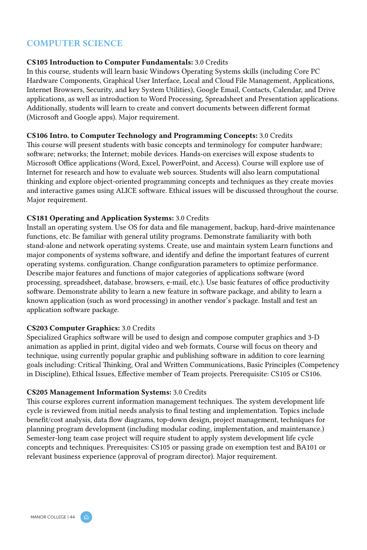# COMPUTER SCIENCE

#### CS105 Introduction to Computer Fundamentals: 3.0 Credits

In this course, students will learn basic Windows Operating Systems skills (including Core PC Hardware Components, Graphical User Interface, Local and Cloud File Management, Applications, Internet Browsers, Security, and key System Utilities), Google Email, Contacts, Calendar, and Drive applications, as well as introduction to Word Processing, Spreadsheet and Presentation applications. Additionally, students will learn to create and convert documents between different format (Microsoft and Google apps). Major requirement.

#### CS106 Intro. to Computer Technology and Programming Concepts: 3.0 Credits

This course will present students with basic concepts and terminology for computer hardware; software; networks; the Internet; mobile devices. Hands-on exercises will expose students to Microsoft Office applications (Word, Excel, PowerPoint, and Access). Course will explore use of Internet for research and how to evaluate web sources. Students will also learn computational thinking and explore object-oriented programming concepts and techniques as they create movies and interactive games using ALICE software. Ethical issues will be discussed throughout the course. Major requirement.

#### CS181 Operating and Application Systems: 3.0 Credits

Install an operating system. Use OS for data and file management, backup, hard-drive maintenance functions, etc. Be familiar with general utility programs. Demonstrate familiarity with both stand-alone and network operating systems. Create, use and maintain system Learn functions and major components of systems software, and identify and define the important features of current operating systems. configuration. Change configuration parameters to optimize performance. Describe major features and functions of major categories of applications software (word processing, spreadsheet, database, browsers, e-mail, etc.). Use basic features of office productivity software. Demonstrate ability to learn a new feature in software package, and ability to learn a known application (such as word processing) in another vendor's package. Install and test an application software package.

### CS203 Computer Graphics: 3.0 Credits

Specialized Graphics software will be used to design and compose computer graphics and 3-D animation as applied in print, digital video and web formats. Course will focus on theory and technique, using currently popular graphic and publishing software in addition to core learning goals including: Critical Thinking, Oral and Written Communications, Basic Principles (Competency in Discipline), Ethical Issues, Effective member of Team projects. Prerequisite: CS105 or CS106.

#### CS205 Management Information Systems: 3.0 Credits

This course explores current information management techniques. The system development life cycle is reviewed from initial needs analysis to final testing and implementation. Topics include benefit/cost analysis, data flow diagrams, top-down design, project management, techniques for planning program development (including modular coding, implementation, and maintenance.) Semester-long team case project will require student to apply system development life cycle concepts and techniques. Prerequisites: CS105 or passing grade on exemption test and BA101 or relevant business experience (approval of program director). Major requirement.

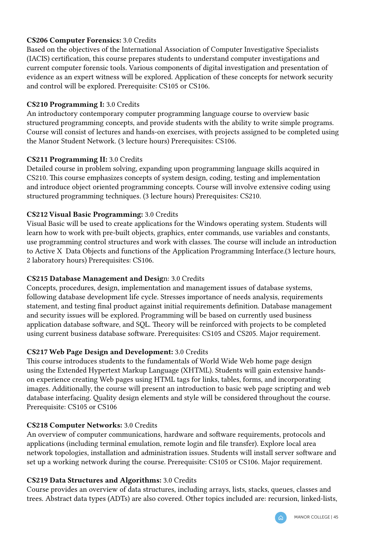### CS206 Computer Forensics: 3.0 Credits

Based on the objectives of the International Association of Computer Investigative Specialists (IACIS) certification, this course prepares students to understand computer investigations and current computer forensic tools. Various components of digital investigation and presentation of evidence as an expert witness will be explored. Application of these concepts for network security and control will be explored. Prerequisite: CS105 or CS106.

### CS210 Programming I: 3.0 Credits

An introductory contemporary computer programming language course to overview basic structured programming concepts, and provide students with the ability to write simple programs. Course will consist of lectures and hands-on exercises, with projects assigned to be completed using the Manor Student Network. (3 lecture hours) Prerequisites: CS106.

### CS211 Programming II: 3.0 Credits

Detailed course in problem solving, expanding upon programming language skills acquired in CS210. This course emphasizes concepts of system design, coding, testing and implementation and introduce object oriented programming concepts. Course will involve extensive coding using structured programming techniques. (3 lecture hours) Prerequisites: CS210.

### CS212 Visual Basic Programming: 3.0 Credits

Visual Basic will be used to create applications for the Windows operating system. Students will learn how to work with pre-built objects, graphics, enter commands, use variables and constants, use programming control structures and work with classes. The course will include an introduction to Active X Data Objects and functions of the Application Programming Interface.(3 lecture hours, 2 laboratory hours) Prerequisites: CS106.

# CS215 Database Management and Design: 3.0 Credits

Concepts, procedures, design, implementation and management issues of database systems, following database development life cycle. Stresses importance of needs analysis, requirements statement, and testing final product against initial requirements definition. Database management and security issues will be explored. Programming will be based on currently used business application database software, and SQL. Theory will be reinforced with projects to be completed using current business database software. Prerequisites: CS105 and CS205. Major requirement.

# CS217 Web Page Design and Development: 3.0 Credits

This course introduces students to the fundamentals of World Wide Web home page design using the Extended Hypertext Markup Language (XHTML). Students will gain extensive handson experience creating Web pages using HTML tags for links, tables, forms, and incorporating images. Additionally, the course will present an introduction to basic web page scripting and web database interfacing. Quality design elements and style will be considered throughout the course. Prerequisite: CS105 or CS106

# CS218 Computer Networks: 3.0 Credits

An overview of computer communications, hardware and software requirements, protocols and applications (including terminal emulation, remote login and file transfer). Explore local area network topologies, installation and administration issues. Students will install server software and set up a working network during the course. Prerequisite: CS105 or CS106. Major requirement.

### CS219 Data Structures and Algorithms: 3.0 Credits

Course provides an overview of data structures, including arrays, lists, stacks, queues, classes and trees. Abstract data types (ADTs) are also covered. Other topics included are: recursion, linked-lists,

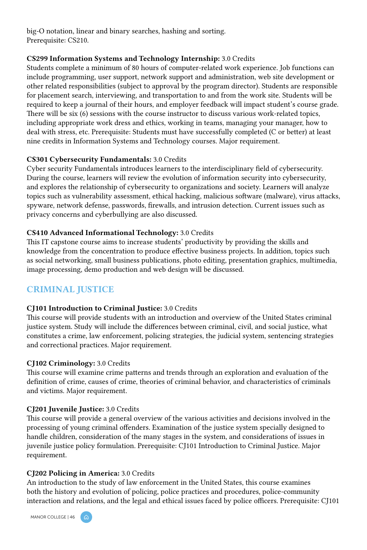big-O notation, linear and binary searches, hashing and sorting. Prerequisite: CS210.

### CS299 Information Systems and Technology Internship: 3.0 Credits

Students complete a minimum of 80 hours of computer-related work experience. Job functions can include programming, user support, network support and administration, web site development or other related responsibilities (subject to approval by the program director). Students are responsible for placement search, interviewing, and transportation to and from the work site. Students will be required to keep a journal of their hours, and employer feedback will impact student's course grade. There will be six (6) sessions with the course instructor to discuss various work-related topics, including appropriate work dress and ethics, working in teams, managing your manager, how to deal with stress, etc. Prerequisite: Students must have successfully completed (C or better) at least nine credits in Information Systems and Technology courses. Major requirement.

### CS301 Cybersecurity Fundamentals: 3.0 Credits

Cyber security Fundamentals introduces learners to the interdisciplinary field of cybersecurity. During the course, learners will review the evolution of information security into cybersecurity, and explores the relationship of cybersecurity to organizations and society. Learners will analyze topics such as vulnerability assessment, ethical hacking, malicious software (malware), virus attacks, spyware, network defense, passwords, firewalls, and intrusion detection. Current issues such as privacy concerns and cyberbullying are also discussed.

### CS410 Advanced Informational Technology: 3.0 Credits

This IT capstone course aims to increase students' productivity by providing the skills and knowledge from the concentration to produce effective business projects. In addition, topics such as social networking, small business publications, photo editing, presentation graphics, multimedia, image processing, demo production and web design will be discussed.

# CRIMINAL JUSTICE

### CJ101 Introduction to Criminal Justice: 3.0 Credits

This course will provide students with an introduction and overview of the United States criminal justice system. Study will include the differences between criminal, civil, and social justice, what constitutes a crime, law enforcement, policing strategies, the judicial system, sentencing strategies and correctional practices. Major requirement.

### CJ102 Criminology: 3.0 Credits

This course will examine crime patterns and trends through an exploration and evaluation of the definition of crime, causes of crime, theories of criminal behavior, and characteristics of criminals and victims. Major requirement.

### CJ201 Juvenile Justice: 3.0 Credits

This course will provide a general overview of the various activities and decisions involved in the processing of young criminal offenders. Examination of the justice system specially designed to handle children, consideration of the many stages in the system, and considerations of issues in juvenile justice policy formulation. Prerequisite: CJ101 Introduction to Criminal Justice. Major requirement.

# CJ202 Policing in America: 3.0 Credits

An introduction to the study of law enforcement in the United States, this course examines both the history and evolution of policing, police practices and procedures, police-community interaction and relations, and the legal and ethical issues faced by police officers. Prerequisite: CJ101

MANOR COLLEGE | 46

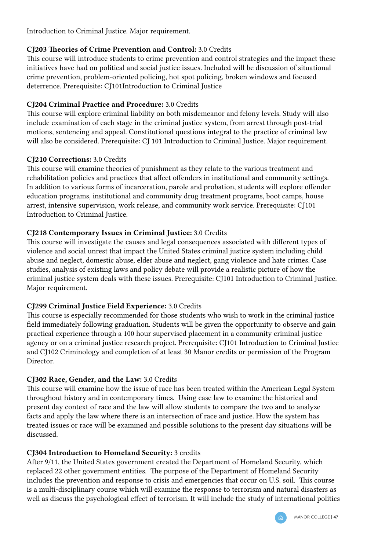Introduction to Criminal Justice. Major requirement.

# CJ203 Theories of Crime Prevention and Control: 3.0 Credits

This course will introduce students to crime prevention and control strategies and the impact these initiatives have had on political and social justice issues. Included will be discussion of situational crime prevention, problem-oriented policing, hot spot policing, broken windows and focused deterrence. Prerequisite: CJ101Introduction to Criminal Justice

# CJ204 Criminal Practice and Procedure: 3.0 Credits

This course will explore criminal liability on both misdemeanor and felony levels. Study will also include examination of each stage in the criminal justice system, from arrest through post-trial motions, sentencing and appeal. Constitutional questions integral to the practice of criminal law will also be considered. Prerequisite: CJ 101 Introduction to Criminal Justice. Major requirement.

### CJ210 Corrections: 3.0 Credits

This course will examine theories of punishment as they relate to the various treatment and rehabilitation policies and practices that affect offenders in institutional and community settings. In addition to various forms of incarceration, parole and probation, students will explore offender education programs, institutional and community drug treatment programs, boot camps, house arrest, intensive supervision, work release, and community work service. Prerequisite: CJ101 Introduction to Criminal Justice.

# CJ218 Contemporary Issues in Criminal Justice: 3.0 Credits

This course will investigate the causes and legal consequences associated with different types of violence and social unrest that impact the United States criminal justice system including child abuse and neglect, domestic abuse, elder abuse and neglect, gang violence and hate crimes. Case studies, analysis of existing laws and policy debate will provide a realistic picture of how the criminal justice system deals with these issues. Prerequisite: CJ101 Introduction to Criminal Justice. Major requirement.

# CJ299 Criminal Justice Field Experience: 3.0 Credits

This course is especially recommended for those students who wish to work in the criminal justice field immediately following graduation. Students will be given the opportunity to observe and gain practical experience through a 100 hour supervised placement in a community criminal justice agency or on a criminal justice research project. Prerequisite: CJ101 Introduction to Criminal Justice and CJ102 Criminology and completion of at least 30 Manor credits or permission of the Program Director.

# CJ302 Race, Gender, and the Law: 3.0 Credits

This course will examine how the issue of race has been treated within the American Legal System throughout history and in contemporary times. Using case law to examine the historical and present day context of race and the law will allow students to compare the two and to analyze facts and apply the law where there is an intersection of race and justice. How the system has treated issues or race will be examined and possible solutions to the present day situations will be discussed.

# CJ304 Introduction to Homeland Security: 3 credits

After 9/11, the United States government created the Department of Homeland Security, which replaced 22 other government entities. The purpose of the Department of Homeland Security includes the prevention and response to crisis and emergencies that occur on U.S. soil. This course is a multi-disciplinary course which will examine the response to terrorism and natural disasters as well as discuss the psychological effect of terrorism. It will include the study of international politics

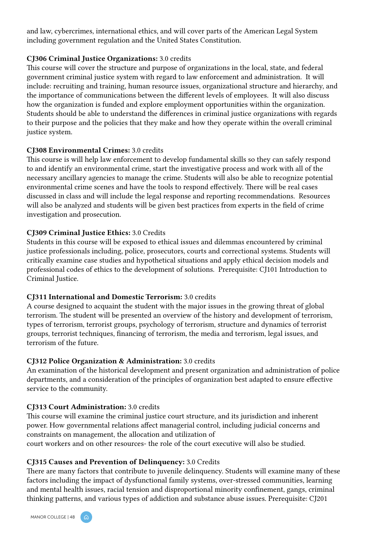and law, cybercrimes, international ethics, and will cover parts of the American Legal System including government regulation and the United States Constitution.

#### CJ306 Criminal Justice Organizations: 3.0 credits

This course will cover the structure and purpose of organizations in the local, state, and federal government criminal justice system with regard to law enforcement and administration. It will include: recruiting and training, human resource issues, organizational structure and hierarchy, and the importance of communications between the different levels of employees. It will also discuss how the organization is funded and explore employment opportunities within the organization. Students should be able to understand the differences in criminal justice organizations with regards to their purpose and the policies that they make and how they operate within the overall criminal justice system.

#### CJ308 Environmental Crimes: 3.0 credits

This course is will help law enforcement to develop fundamental skills so they can safely respond to and identify an environmental crime, start the investigative process and work with all of the necessary ancillary agencies to manage the crime. Students will also be able to recognize potential environmental crime scenes and have the tools to respond effectively. There will be real cases discussed in class and will include the legal response and reporting recommendations. Resources will also be analyzed and students will be given best practices from experts in the field of crime investigation and prosecution.

### CJ309 Criminal Justice Ethics: 3.0 Credits

Students in this course will be exposed to ethical issues and dilemmas encountered by criminal justice professionals including, police, prosecutors, courts and correctional systems. Students will critically examine case studies and hypothetical situations and apply ethical decision models and professional codes of ethics to the development of solutions. Prerequisite: CJ101 Introduction to Criminal Justice.

#### CJ311 International and Domestic Terrorism: 3.0 credits

A course designed to acquaint the student with the major issues in the growing threat of global terrorism. The student will be presented an overview of the history and development of terrorism, types of terrorism, terrorist groups, psychology of terrorism, structure and dynamics of terrorist groups, terrorist techniques, financing of terrorism, the media and terrorism, legal issues, and terrorism of the future.

#### CJ312 Police Organization & Administration: 3.0 credits

An examination of the historical development and present organization and administration of police departments, and a consideration of the principles of organization best adapted to ensure effective service to the community.

### CJ313 Court Administration: 3.0 credits

This course will examine the criminal justice court structure, and its jurisdiction and inherent power. How governmental relations affect managerial control, including judicial concerns and constraints on management, the allocation and utilization of

court workers and on other resources- the role of the court executive will also be studied.

### CJ315 Causes and Prevention of Delinquency: 3.0 Credits

There are many factors that contribute to juvenile delinquency. Students will examine many of these factors including the impact of dysfunctional family systems, over-stressed communities, learning and mental health issues, racial tension and disproportional minority confinement, gangs, criminal thinking patterns, and various types of addiction and substance abuse issues. Prerequisite: CJ201

MANOR COLLEGE | 48 ( C

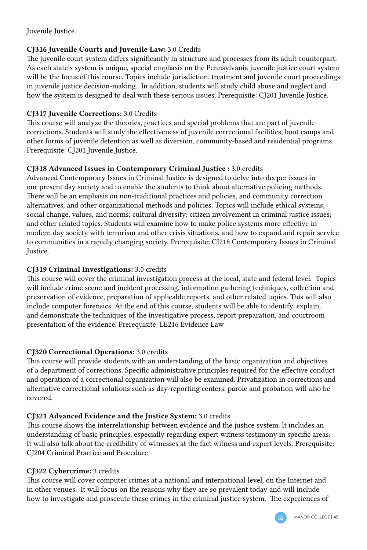Juvenile Justice.

### CJ316 Juvenile Courts and Juvenile Law: 3.0 Credits

The juvenile court system differs significantly in structure and processes from its adult counterpart. As each state's system is unique, special emphasis on the Pennsylvania juvenile justice court system will be the focus of this course. Topics include jurisdiction, treatment and juvenile court proceedings in juvenile justice decision-making. In addition, students will study child abuse and neglect and how the system is designed to deal with these serious issues. Prerequisite: CJ201 Juvenile Justice.

### CJ317 Juvenile Corrections: 3.0 Credits

This course will analyze the theories, practices and special problems that are part of juvenile corrections. Students will study the effectiveness of juvenile correctional facilities, boot camps and other forms of juvenile detention as well as diversion, community-based and residential programs. Prerequisite: CJ201 Juvenile Justice.

# CJ318 Advanced Issues in Contemporary Criminal Justice : 3.0 credits

Advanced Contemporary Issues in Criminal Justice is designed to delve into deeper issues in our present day society and to enable the students to think about alternative policing methods. There will be an emphasis on non-traditional practices and policies, and community correction alternatives, and other organizational methods and policies. Topics will include ethical systems; social change, values, and norms; cultural diversity; citizen involvement in criminal justice issues; and other related topics. Students will examine how to make police systems more effective in modern day society with terrorism and other crisis situations, and how to expand and repair service to communities in a rapidly changing society. Prerequisite: CJ218 Contemporary Issues in Criminal Justice.

# CJ319 Criminal Investigations: 3.0 credits

This course will cover the criminal investigation process at the local, state and federal level. Topics will include crime scene and incident processing, information gathering techniques, collection and preservation of evidence, preparation of applicable reports, and other related topics. This will also include computer forensics. At the end of this course, students will be able to identify, explain, and demonstrate the techniques of the investigative process, report preparation, and courtroom presentation of the evidence. Prerequisite: LE216 Evidence Law

# CJ320 Correctional Operations: 3.0 credits

This course will provide students with an understanding of the basic organization and objectives of a department of corrections. Specific administrative principles required for the effective conduct and operation of a correctional organization will also be examined. Privatization in corrections and alternative correctional solutions such as day-reporting centers, parole and probation will also be covered.

# CJ321 Advanced Evidence and the Justice System: 3.0 credits

This course shows the interrelationship between evidence and the justice system. It includes an understanding of basic principles, especially regarding expert witness testimony in specific areas. It will also talk about the credibility of witnesses at the fact witness and expert levels. Prerequisite: CJ204 Criminal Practice and Procedure

### CJ322 Cybercrime: 3 credits

This course will cover computer crimes at a national and international level, on the Internet and in other venues. It will focus on the reasons why they are so prevalent today and will include how to investigate and prosecute these crimes in the criminal justice system. The experiences of

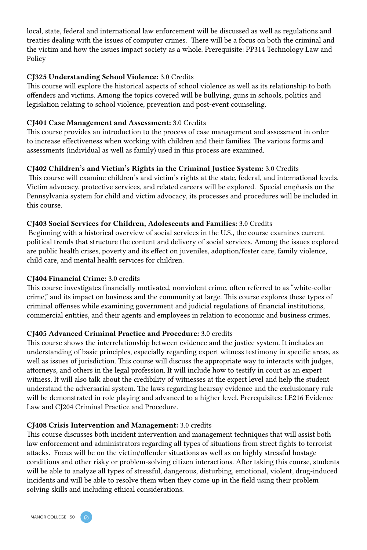local, state, federal and international law enforcement will be discussed as well as regulations and treaties dealing with the issues of computer crimes. There will be a focus on both the criminal and the victim and how the issues impact society as a whole. Prerequisite: PP314 Technology Law and Policy

### CJ325 Understanding School Violence: 3.0 Credits

This course will explore the historical aspects of school violence as well as its relationship to both offenders and victims. Among the topics covered will be bullying, guns in schools, politics and legislation relating to school violence, prevention and post-event counseling.

### CJ401 Case Management and Assessment: 3.0 Credits

This course provides an introduction to the process of case management and assessment in order to increase effectiveness when working with children and their families. The various forms and assessments (individual as well as family) used in this process are examined.

# CJ402 Children's and Victim's Rights in the Criminal Justice System: 3.0 Credits

 This course will examine children's and victim's rights at the state, federal, and international levels. Victim advocacy, protective services, and related careers will be explored. Special emphasis on the Pennsylvania system for child and victim advocacy, its processes and procedures will be included in this course.

### CJ403 Social Services for Children, Adolescents and Families: 3.0 Credits

 Beginning with a historical overview of social services in the U.S., the course examines current political trends that structure the content and delivery of social services. Among the issues explored are public health crises, poverty and its effect on juveniles, adoption/foster care, family violence, child care, and mental health services for children.

### CJ404 Financial Crime: 3.0 credits

This course investigates financially motivated, nonviolent crime, often referred to as "white-collar crime," and its impact on business and the community at large. This course explores these types of criminal offenses while examining government and judicial regulations of financial institutions, commercial entities, and their agents and employees in relation to economic and business crimes.

# CJ405 Advanced Criminal Practice and Procedure: 3.0 credits

This course shows the interrelationship between evidence and the justice system. It includes an understanding of basic principles, especially regarding expert witness testimony in specific areas, as well as issues of jurisdiction. This course will discuss the appropriate way to interacts with judges, attorneys, and others in the legal profession. It will include how to testify in court as an expert witness. It will also talk about the credibility of witnesses at the expert level and help the student understand the adversarial system. The laws regarding hearsay evidence and the exclusionary rule will be demonstrated in role playing and advanced to a higher level. Prerequisites: LE216 Evidence Law and CJ204 Criminal Practice and Procedure.

### CJ408 Crisis Intervention and Management: 3.0 credits

This course discusses both incident intervention and management techniques that will assist both law enforcement and administrators regarding all types of situations from street fights to terrorist attacks. Focus will be on the victim/offender situations as well as on highly stressful hostage conditions and other risky or problem-solving citizen interactions. After taking this course, students will be able to analyze all types of stressful, dangerous, disturbing, emotional, violent, drug-induced incidents and will be able to resolve them when they come up in the field using their problem solving skills and including ethical considerations.

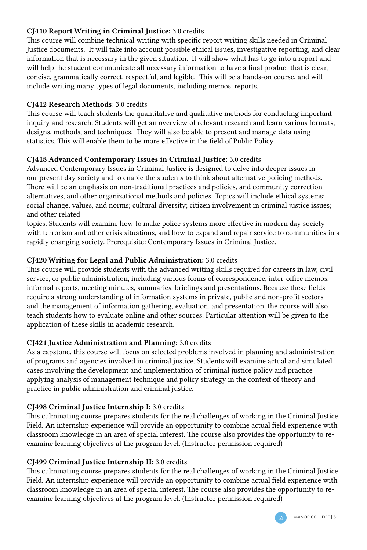# CJ410 Report Writing in Criminal Justice: 3.0 credits

This course will combine technical writing with specific report writing skills needed in Criminal Justice documents. It will take into account possible ethical issues, investigative reporting, and clear information that is necessary in the given situation. It will show what has to go into a report and will help the student communicate all necessary information to have a final product that is clear, concise, grammatically correct, respectful, and legible. This will be a hands-on course, and will include writing many types of legal documents, including memos, reports.

### CJ412 Research Methods: 3.0 credits

This course will teach students the quantitative and qualitative methods for conducting important inquiry and research. Students will get an overview of relevant research and learn various formats, designs, methods, and techniques. They will also be able to present and manage data using statistics. This will enable them to be more effective in the field of Public Policy.

### CJ418 Advanced Contemporary Issues in Criminal Justice: 3.0 credits

Advanced Contemporary Issues in Criminal Justice is designed to delve into deeper issues in our present day society and to enable the students to think about alternative policing methods. There will be an emphasis on non-traditional practices and policies, and community correction alternatives, and other organizational methods and policies. Topics will include ethical systems; social change, values, and norms; cultural diversity; citizen involvement in criminal justice issues; and other related

topics. Students will examine how to make police systems more effective in modern day society with terrorism and other crisis situations, and how to expand and repair service to communities in a rapidly changing society. Prerequisite: Contemporary Issues in Criminal Justice.

### CJ420 Writing for Legal and Public Administration: 3.0 credits

This course will provide students with the advanced writing skills required for careers in law, civil service, or public administration, including various forms of correspondence, inter-office memos, informal reports, meeting minutes, summaries, briefings and presentations. Because these fields require a strong understanding of information systems in private, public and non-profit sectors and the management of information gathering, evaluation, and presentation, the course will also teach students how to evaluate online and other sources. Particular attention will be given to the application of these skills in academic research.

### CJ421 Justice Administration and Planning: 3.0 credits

As a capstone, this course will focus on selected problems involved in planning and administration of programs and agencies involved in criminal justice. Students will examine actual and simulated cases involving the development and implementation of criminal justice policy and practice applying analysis of management technique and policy strategy in the context of theory and practice in public administration and criminal justice.

# CJ498 Criminal Justice Internship I: 3.0 credits

This culminating course prepares students for the real challenges of working in the Criminal Justice Field. An internship experience will provide an opportunity to combine actual field experience with classroom knowledge in an area of special interest. The course also provides the opportunity to reexamine learning objectives at the program level. (Instructor permission required)

### CJ499 Criminal Justice Internship II: 3.0 credits

This culminating course prepares students for the real challenges of working in the Criminal Justice Field. An internship experience will provide an opportunity to combine actual field experience with classroom knowledge in an area of special interest. The course also provides the opportunity to reexamine learning objectives at the program level. (Instructor permission required)

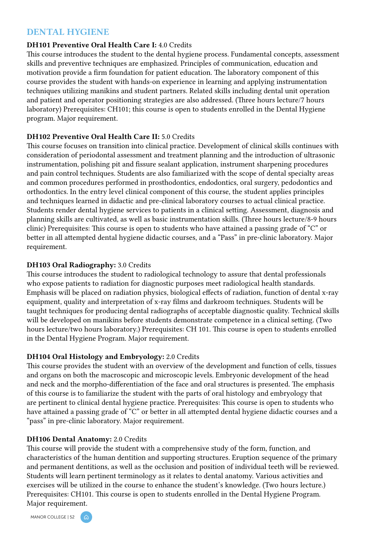# DENTAL HYGIENE

#### DH101 Preventive Oral Health Care I: 4.0 Credits

This course introduces the student to the dental hygiene process. Fundamental concepts, assessment skills and preventive techniques are emphasized. Principles of communication, education and motivation provide a firm foundation for patient education. The laboratory component of this course provides the student with hands-on experience in learning and applying instrumentation techniques utilizing manikins and student partners. Related skills including dental unit operation and patient and operator positioning strategies are also addressed. (Three hours lecture/7 hours laboratory) Prerequisites: CH101; this course is open to students enrolled in the Dental Hygiene program. Major requirement.

### DH102 Preventive Oral Health Care II: 5.0 Credits

This course focuses on transition into clinical practice. Development of clinical skills continues with consideration of periodontal assessment and treatment planning and the introduction of ultrasonic instrumentation, polishing pit and fissure sealant application, instrument sharpening procedures and pain control techniques. Students are also familiarized with the scope of dental specialty areas and common procedures performed in prosthodontics, endodontics, oral surgery, pedodontics and orthodontics. In the entry level clinical component of this course, the student applies principles and techniques learned in didactic and pre-clinical laboratory courses to actual clinical practice. Students render dental hygiene services to patients in a clinical setting. Assessment, diagnosis and planning skills are cultivated, as well as basic instrumentation skills. (Three hours lecture/8-9 hours clinic) Prerequisites: This course is open to students who have attained a passing grade of "C" or better in all attempted dental hygiene didactic courses, and a "Pass" in pre-clinic laboratory. Major requirement.

### DH103 Oral Radiography: 3.0 Credits

This course introduces the student to radiological technology to assure that dental professionals who expose patients to radiation for diagnostic purposes meet radiological health standards. Emphasis will be placed on radiation physics, biological effects of radiation, function of dental x-ray equipment, quality and interpretation of x-ray films and darkroom techniques. Students will be taught techniques for producing dental radiographs of acceptable diagnostic quality. Technical skills will be developed on manikins before students demonstrate competence in a clinical setting. (Two hours lecture/two hours laboratory.) Prerequisites: CH 101. This course is open to students enrolled in the Dental Hygiene Program. Major requirement.

### DH104 Oral Histology and Embryology: 2.0 Credits

This course provides the student with an overview of the development and function of cells, tissues and organs on both the macroscopic and microscopic levels. Embryonic development of the head and neck and the morpho-differentiation of the face and oral structures is presented. The emphasis of this course is to familiarize the student with the parts of oral histology and embryology that are pertinent to clinical dental hygiene practice. Prerequisites: This course is open to students who have attained a passing grade of "C" or better in all attempted dental hygiene didactic courses and a "pass" in pre-clinic laboratory. Major requirement.

### DH106 Dental Anatomy: 2.0 Credits

This course will provide the student with a comprehensive study of the form, function, and characteristics of the human dentition and supporting structures. Eruption sequence of the primary and permanent dentitions, as well as the occlusion and position of individual teeth will be reviewed. Students will learn pertinent terminology as it relates to dental anatomy. Various activities and exercises will be utilized in the course to enhance the student's knowledge. (Two hours lecture.) Prerequisites: CH101. This course is open to students enrolled in the Dental Hygiene Program. Major requirement.

MANOR COLLEGE | 52

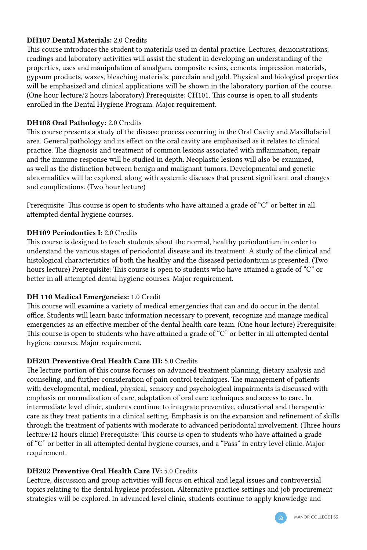### DH107 Dental Materials: 2.0 Credits

This course introduces the student to materials used in dental practice. Lectures, demonstrations, readings and laboratory activities will assist the student in developing an understanding of the properties, uses and manipulation of amalgam, composite resins, cements, impression materials, gypsum products, waxes, bleaching materials, porcelain and gold. Physical and biological properties will be emphasized and clinical applications will be shown in the laboratory portion of the course. (One hour lecture/2 hours laboratory) Prerequisite: CH101. This course is open to all students enrolled in the Dental Hygiene Program. Major requirement.

### DH108 Oral Pathology: 2.0 Credits

This course presents a study of the disease process occurring in the Oral Cavity and Maxillofacial area. General pathology and its effect on the oral cavity are emphasized as it relates to clinical practice. The diagnosis and treatment of common lesions associated with inflammation, repair and the immune response will be studied in depth. Neoplastic lesions will also be examined, as well as the distinction between benign and malignant tumors. Developmental and genetic abnormalities will be explored, along with systemic diseases that present significant oral changes and complications. (Two hour lecture)

Prerequisite: This course is open to students who have attained a grade of "C" or better in all attempted dental hygiene courses.

### DH109 Periodontics I: 2.0 Credits

This course is designed to teach students about the normal, healthy periodontium in order to understand the various stages of periodontal disease and its treatment. A study of the clinical and histological characteristics of both the healthy and the diseased periodontium is presented. (Two hours lecture) Prerequisite: This course is open to students who have attained a grade of "C" or better in all attempted dental hygiene courses. Major requirement.

### DH 110 Medical Emergencies: 1.0 Credit

This course will examine a variety of medical emergencies that can and do occur in the dental office. Students will learn basic information necessary to prevent, recognize and manage medical emergencies as an effective member of the dental health care team. (One hour lecture) Prerequisite: This course is open to students who have attained a grade of "C" or better in all attempted dental hygiene courses. Major requirement.

# DH201 Preventive Oral Health Care III: 5.0 Credits

The lecture portion of this course focuses on advanced treatment planning, dietary analysis and counseling, and further consideration of pain control techniques. The management of patients with developmental, medical, physical, sensory and psychological impairments is discussed with emphasis on normalization of care, adaptation of oral care techniques and access to care. In intermediate level clinic, students continue to integrate preventive, educational and therapeutic care as they treat patients in a clinical setting. Emphasis is on the expansion and refinement of skills through the treatment of patients with moderate to advanced periodontal involvement. (Three hours lecture/12 hours clinic) Prerequisite: This course is open to students who have attained a grade of "C" or better in all attempted dental hygiene courses, and a "Pass" in entry level clinic. Major requirement.

### DH202 Preventive Oral Health Care IV: 5.0 Credits

Lecture, discussion and group activities will focus on ethical and legal issues and controversial topics relating to the dental hygiene profession. Alternative practice settings and job procurement strategies will be explored. In advanced level clinic, students continue to apply knowledge and

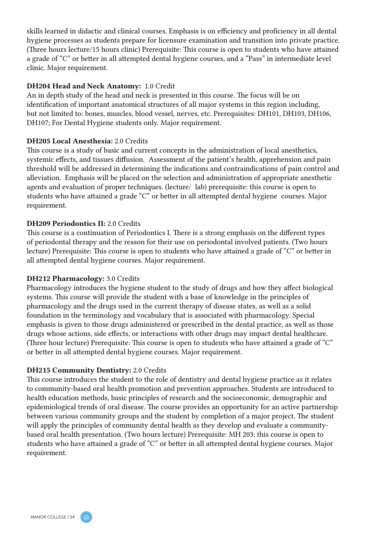skills learned in didactic and clinical courses. Emphasis is on efficiency and proficiency in all dental hygiene processes as students prepare for licensure examination and transition into private practice. (Three hours lecture/15 hours clinic) Prerequisite: This course is open to students who have attained a grade of "C" or better in all attempted dental hygiene courses, and a "Pass" in intermediate level clinic. Major requirement.

### DH204 Head and Neck Anatomy: 1.0 Credit

An in depth study of the head and neck is presented in this course. The focus will be on identification of important anatomical structures of all major systems in this region including, but not limited to: bones, muscles, blood vessel, nerves, etc. Prerequisites: DH101, DH103, DH106, DH107; For Dental Hygiene students only. Major requirement.

#### DH205 Local Anesthesia: 2.0 Credits

This course is a study of basic and current concepts in the administration of local anesthetics, systemic effects, and tissues diffusion. Assessment of the patient's health, apprehension and pain threshold will be addressed in determining the indications and contraindications of pain control and alleviation. Emphasis will be placed on the selection and administration of appropriate anesthetic agents and evaluation of proper techniques. (lecture/ lab) prerequisite: this course is open to students who have attained a grade "C" or better in all attempted dental hygiene courses. Major requirement.

#### DH209 Periodontics II: 2.0 Credits

This course is a continuation of Periodontics I. There is a strong emphasis on the different types of periodontal therapy and the reason for their use on periodontal involved patients. (Two hours lecture) Prerequisite: This course is open to students who have attained a grade of "C" or better in all attempted dental hygiene courses. Major requirement.

#### DH212 Pharmacology: 3.0 Credits

Pharmacology introduces the hygiene student to the study of drugs and how they affect biological systems. This course will provide the student with a base of knowledge in the principles of pharmacology and the drugs used in the current therapy of disease states, as well as a solid foundation in the terminology and vocabulary that is associated with pharmacology. Special emphasis is given to those drugs administered or prescribed in the dental practice, as well as those drugs whose actions, side effects, or interactions with other drugs may impact dental healthcare. (Three hour lecture) Prerequisite: This course is open to students who have attained a grade of "C" or better in all attempted dental hygiene courses. Major requirement.

### DH215 Community Dentistry: 2.0 Credits

This course introduces the student to the role of dentistry and dental hygiene practice as it relates to community-based oral health promotion and prevention approaches. Students are introduced to health education methods, basic principles of research and the socioeconomic, demographic and epidemiological trends of oral disease. The course provides an opportunity for an active partnership between various community groups and the student by completion of a major project. The student will apply the principles of community dental health as they develop and evaluate a communitybased oral health presentation. (Two hours lecture) Prerequisite: MH 203; this course is open to students who have attained a grade of "C" or better in all attempted dental hygiene courses. Major requirement.

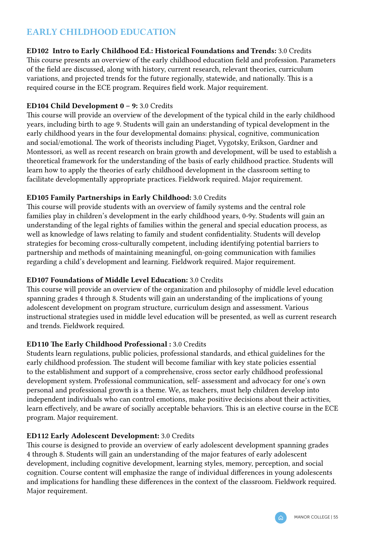# EARLY CHILDHOOD EDUCATION

ED102 Intro to Early Childhood Ed.: Historical Foundations and Trends: 3.0 Credits

This course presents an overview of the early childhood education field and profession. Parameters of the field are discussed, along with history, current research, relevant theories, curriculum variations, and projected trends for the future regionally, statewide, and nationally. This is a required course in the ECE program. Requires field work. Major requirement.

### ED104 Child Development 0 – 9: 3.0 Credits

This course will provide an overview of the development of the typical child in the early childhood years, including birth to age 9. Students will gain an understanding of typical development in the early childhood years in the four developmental domains: physical, cognitive, communication and social/emotional. The work of theorists including Piaget, Vygotsky, Erikson, Gardner and Montessori, as well as recent research on brain growth and development, will be used to establish a theoretical framework for the understanding of the basis of early childhood practice. Students will learn how to apply the theories of early childhood development in the classroom setting to facilitate developmentally appropriate practices. Fieldwork required. Major requirement.

# ED105 Family Partnerships in Early Childhood: 3.0 Credits

This course will provide students with an overview of family systems and the central role families play in children's development in the early childhood years, 0-9y. Students will gain an understanding of the legal rights of families within the general and special education process, as well as knowledge of laws relating to family and student confidentiality. Students will develop strategies for becoming cross-culturally competent, including identifying potential barriers to partnership and methods of maintaining meaningful, on-going communication with families regarding a child's development and learning. Fieldwork required. Major requirement.

# ED107 Foundations of Middle Level Education: 3.0 Credits

This course will provide an overview of the organization and philosophy of middle level education spanning grades 4 through 8. Students will gain an understanding of the implications of young adolescent development on program structure, curriculum design and assessment. Various instructional strategies used in middle level education will be presented, as well as current research and trends. Fieldwork required.

# ED110 The Early Childhood Professional : 3.0 Credits

Students learn regulations, public policies, professional standards, and ethical guidelines for the early childhood profession. The student will become familiar with key state policies essential to the establishment and support of a comprehensive, cross sector early childhood professional development system. Professional communication, self- assessment and advocacy for one's own personal and professional growth is a theme. We, as teachers, must help children develop into independent individuals who can control emotions, make positive decisions about their activities, learn effectively, and be aware of socially acceptable behaviors. This is an elective course in the ECE program. Major requirement.

# ED112 Early Adolescent Development: 3.0 Credits

This course is designed to provide an overview of early adolescent development spanning grades 4 through 8. Students will gain an understanding of the major features of early adolescent development, including cognitive development, learning styles, memory, perception, and social cognition. Course content will emphasize the range of individual differences in young adolescents and implications for handling these differences in the context of the classroom. Fieldwork required. Major requirement.

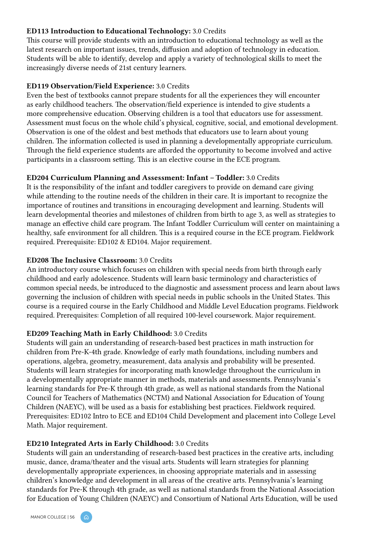#### ED113 Introduction to Educational Technology: 3.0 Credits

This course will provide students with an introduction to educational technology as well as the latest research on important issues, trends, diffusion and adoption of technology in education. Students will be able to identify, develop and apply a variety of technological skills to meet the increasingly diverse needs of 21st century learners.

#### ED119 Observation/Field Experience: 3.0 Credits

Even the best of textbooks cannot prepare students for all the experiences they will encounter as early childhood teachers. The observation/field experience is intended to give students a more comprehensive education. Observing children is a tool that educators use for assessment. Assessment must focus on the whole child's physical, cognitive, social, and emotional development. Observation is one of the oldest and best methods that educators use to learn about young children. The information collected is used in planning a developmentally appropriate curriculum. Through the field experience students are afforded the opportunity to become involved and active participants in a classroom setting. This is an elective course in the ECE program.

#### ED204 Curriculum Planning and Assessment: Infant – Toddler: 3.0 Credits

It is the responsibility of the infant and toddler caregivers to provide on demand care giving while attending to the routine needs of the children in their care. It is important to recognize the importance of routines and transitions in encouraging development and learning. Students will learn developmental theories and milestones of children from birth to age 3, as well as strategies to manage an effective child care program. The Infant Toddler Curriculum will center on maintaining a healthy, safe environment for all children. This is a required course in the ECE program. Fieldwork required. Prerequisite: ED102 & ED104. Major requirement.

#### ED208 The Inclusive Classroom: 3.0 Credits

An introductory course which focuses on children with special needs from birth through early childhood and early adolescence. Students will learn basic terminology and characteristics of common special needs, be introduced to the diagnostic and assessment process and learn about laws governing the inclusion of children with special needs in public schools in the United States. This course is a required course in the Early Childhood and Middle Level Education programs. Fieldwork required. Prerequisites: Completion of all required 100-level coursework. Major requirement.

### ED209 Teaching Math in Early Childhood: 3.0 Credits

Students will gain an understanding of research-based best practices in math instruction for children from Pre-K-4th grade. Knowledge of early math foundations, including numbers and operations, algebra, geometry, measurement, data analysis and probability will be presented. Students will learn strategies for incorporating math knowledge throughout the curriculum in a developmentally appropriate manner in methods, materials and assessments. Pennsylvania's learning standards for Pre-K through 4th grade, as well as national standards from the National Council for Teachers of Mathematics (NCTM) and National Association for Education of Young Children (NAEYC), will be used as a basis for establishing best practices. Fieldwork required. Prerequisites: ED102 Intro to ECE and ED104 Child Development and placement into College Level Math. Major requirement.

#### ED210 Integrated Arts in Early Childhood: 3.0 Credits

Students will gain an understanding of research-based best practices in the creative arts, including music, dance, drama/theater and the visual arts. Students will learn strategies for planning developmentally appropriate experiences, in choosing appropriate materials and in assessing children's knowledge and development in all areas of the creative arts. Pennsylvania's learning standards for Pre-K through 4th grade, as well as national standards from the National Association for Education of Young Children (NAEYC) and Consortium of National Arts Education, will be used

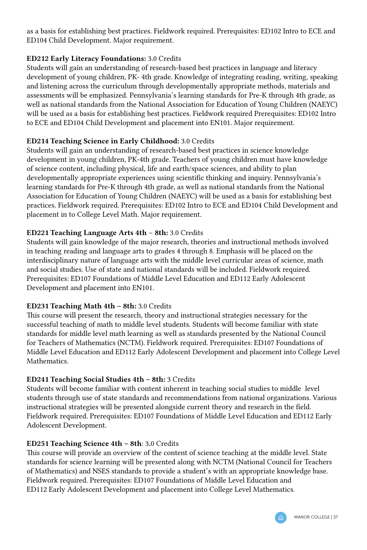as a basis for establishing best practices. Fieldwork required. Prerequisites: ED102 Intro to ECE and ED104 Child Development. Major requirement.

### ED212 Early Literacy Foundations: 3.0 Credits

Students will gain an understanding of research-based best practices in language and literacy development of young children, PK- 4th grade. Knowledge of integrating reading, writing, speaking and listening across the curriculum through developmentally appropriate methods, materials and assessments will be emphasized. Pennsylvania's learning standards for Pre-K through 4th grade, as well as national standards from the National Association for Education of Young Children (NAEYC) will be used as a basis for establishing best practices. Fieldwork required Prerequisites: ED102 Intro to ECE and ED104 Child Development and placement into EN101. Major requirement.

### ED214 Teaching Science in Early Childhood: 3.0 Credits

Students will gain an understanding of research-based best practices in science knowledge development in young children, PK-4th grade. Teachers of young children must have knowledge of science content, including physical, life and earth/space sciences, and ability to plan developmentally appropriate experiences using scientific thinking and inquiry. Pennsylvania's learning standards for Pre-K through 4th grade, as well as national standards from the National Association for Education of Young Children (NAEYC) will be used as a basis for establishing best practices. Fieldwork required. Prerequisites: ED102 Intro to ECE and ED104 Child Development and placement in to College Level Math. Major requirement.

### ED221 Teaching Language Arts 4th – 8th: 3.0 Credits

Students will gain knowledge of the major research, theories and instructional methods involved in teaching reading and language arts to grades 4 through 8. Emphasis will be placed on the interdisciplinary nature of language arts with the middle level curricular areas of science, math and social studies. Use of state and national standards will be included. Fieldwork required. Prerequisites: ED107 Foundations of Middle Level Education and ED112 Early Adolescent Development and placement into EN101.

### ED231 Teaching Math 4th – 8th: 3.0 Credits

This course will present the research, theory and instructional strategies necessary for the successful teaching of math to middle level students. Students will become familiar with state standards for middle level math learning as well as standards presented by the National Council for Teachers of Mathematics (NCTM). Fieldwork required. Prerequisites: ED107 Foundations of Middle Level Education and ED112 Early Adolescent Development and placement into College Level Mathematics.

# ED241 Teaching Social Studies 4th – 8th: 3 Credits

Students will become familiar with content inherent in teaching social studies to middle level students through use of state standards and recommendations from national organizations. Various instructional strategies will be presented alongside current theory and research in the field. Fieldwork required. Prerequisites: ED107 Foundations of Middle Level Education and ED112 Early Adolescent Development.

### ED251 Teaching Science 4th – 8th: 3.0 Credits

This course will provide an overview of the content of science teaching at the middle level. State standards for science learning will be presented along with NCTM (National Council for Teachers of Mathematics) and NSES standards to provide a student's with an appropriate knowledge base. Fieldwork required. Prerequisites: ED107 Foundations of Middle Level Education and ED112 Early Adolescent Development and placement into College Level Mathematics.

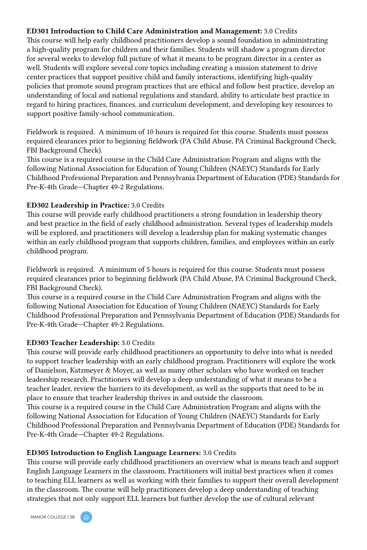### ED301 Introduction to Child Care Administration and Management: 3.0 Credits

This course will help early childhood practitioners develop a sound foundation in administrating a high-quality program for children and their families. Students will shadow a program director for several weeks to develop full picture of what it means to be program director in a center as well. Students will explore several core topics including creating a mission statement to drive center practices that support positive child and family interactions, identifying high-quality policies that promote sound program practices that are ethical and follow best practice, develop an understanding of local and national regulations and standard, ability to articulate best practice in regard to hiring practices, finances, and curriculum development, and developing key resources to support positive family-school communication.

Fieldwork is required. A minimum of 10 hours is required for this course. Students must possess required clearances prior to beginning fieldwork (PA Child Abuse, PA Criminal Background Check, FBI Background Check).

This course is a required course in the Child Care Administration Program and aligns with the following National Association for Education of Young Children (NAEYC) Standards for Early Childhood Professional Preparation and Pennsylvania Department of Education (PDE) Standards for Pre-K-4th Grade—Chapter 49-2 Regulations.

### ED302 Leadership in Practice: 3.0 Credits

This course will provide early childhood practitioners a strong foundation in leadership theory and best practice in the field of early childhood administration. Several types of leadership models will be explored, and practitioners will develop a leadership plan for making systematic changes within an early childhood program that supports children, families, and employees within an early childhood program.

Fieldwork is required. A minimum of 5 hours is required for this course. Students must possess required clearances prior to beginning fieldwork (PA Child Abuse, PA Criminal Background Check, FBI Background Check).

This course is a required course in the Child Care Administration Program and aligns with the following National Association for Education of Young Children (NAEYC) Standards for Early Childhood Professional Preparation and Pennsylvania Department of Education (PDE) Standards for Pre-K-4th Grade—Chapter 49-2 Regulations.

# ED303 Teacher Leadership: 3.0 Credits

This course will provide early childhood practitioners an opportunity to delve into what is needed to support teacher leadership with an early childhood program. Practitioners will explore the work of Danielson, Katzmeyer & Moyer, as well as many other scholars who have worked on teacher leadership research. Practitioners will develop a deep understanding of what it means to be a teacher leader, review the barriers to its development, as well as the supports that need to be in place to ensure that teacher leadership thrives in and outside the classroom.

This course is a required course in the Child Care Administration Program and aligns with the following National Association for Education of Young Children (NAEYC) Standards for Early Childhood Professional Preparation and Pennsylvania Department of Education (PDE) Standards for Pre-K-4th Grade—Chapter 49-2 Regulations.

### ED305 Introduction to English Language Learners: 3.0 Credits

This course will provide early childhood practitioners an overview what is means teach and support English Language Learners in the classroom. Practitioners will initial best practices when it comes to teaching ELL learners as well as working with their families to support their overall development in the classroom. The course will help practitioners develop a deep understanding of teaching strategies that not only support ELL learners but further develop the use of cultural relevant

MANOR COLLEGE | 58

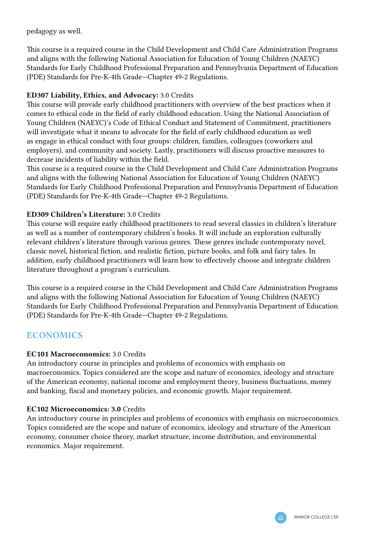pedagogy as well.

This course is a required course in the Child Development and Child Care Administration Programs and aligns with the following National Association for Education of Young Children (NAEYC) Standards for Early Childhood Professional Preparation and Pennsylvania Department of Education (PDE) Standards for Pre-K-4th Grade—Chapter 49-2 Regulations.

### ED307 Liability, Ethics, and Advocacy: 3.0 Credits

This course will provide early childhood practitioners with overview of the best practices when it comes to ethical code in the field of early childhood education. Using the National Association of Young Children (NAEYC)'s Code of Ethical Conduct and Statement of Commitment, practitioners will investigate what it means to advocate for the field of early childhood education as well as engage in ethical conduct with four groups: children, families, colleagues (coworkers and employers), and community and society. Lastly, practitioners will discuss proactive measures to decrease incidents of liability within the field.

This course is a required course in the Child Development and Child Care Administration Programs and aligns with the following National Association for Education of Young Children (NAEYC) Standards for Early Childhood Professional Preparation and Pennsylvania Department of Education (PDE) Standards for Pre-K-4th Grade—Chapter 49-2 Regulations.

### ED309 Children's Literature: 3.0 Credits

This course will require early childhood practitioners to read several classics in children's literature as well as a number of contemporary children's books. It will include an exploration culturally relevant children's literature through various genres. These genres include contemporary novel, classic novel, historical fiction, and realistic fiction, picture books, and folk and fairy tales. In addition, early childhood practitioners will learn how to effectively choose and integrate children literature throughout a program's curriculum.

This course is a required course in the Child Development and Child Care Administration Programs and aligns with the following National Association for Education of Young Children (NAEYC) Standards for Early Childhood Professional Preparation and Pennsylvania Department of Education (PDE) Standards for Pre-K-4th Grade—Chapter 49-2 Regulations.

# **ECONOMICS**

### EC101 Macroeconomics: 3.0 Credits

An introductory course in principles and problems of economics with emphasis on macroeconomics. Topics considered are the scope and nature of economics, ideology and structure of the American economy, national income and employment theory, business fluctuations, money and banking, fiscal and monetary policies, and economic growth. Major requirement.

### EC102 Microeconomics: 3.0 Credits

An introductory course in principles and problems of economics with emphasis on microeconomics. Topics considered are the scope and nature of economics, ideology and structure of the American economy, consumer choice theory, market structure, income distribution, and environmental economics. Major requirement.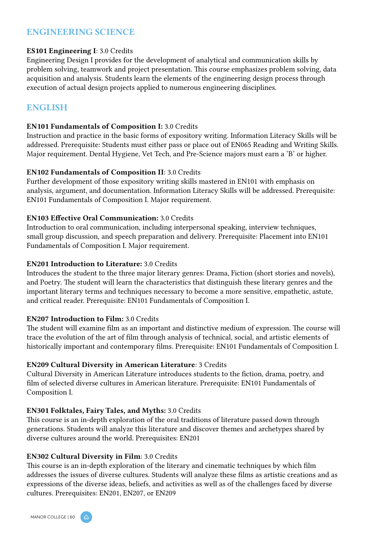# ENGINEERING SCIENCE

#### ES101 Engineering I: 3.0 Credits

Engineering Design I provides for the development of analytical and communication skills by problem solving, teamwork and project presentation. This course emphasizes problem solving, data acquisition and analysis. Students learn the elements of the engineering design process through execution of actual design projects applied to numerous engineering disciplines.

# ENGLISH

#### EN101 Fundamentals of Composition I: 3.0 Credits

Instruction and practice in the basic forms of expository writing. Information Literacy Skills will be addressed. Prerequisite: Students must either pass or place out of EN065 Reading and Writing Skills. Major requirement. Dental Hygiene, Vet Tech, and Pre-Science majors must earn a 'B' or higher.

### EN102 Fundamentals of Composition II: 3.0 Credits

Further development of those expository writing skills mastered in EN101 with emphasis on analysis, argument, and documentation. Information Literacy Skills will be addressed. Prerequisite: EN101 Fundamentals of Composition I. Major requirement.

#### EN103 Effective Oral Communication: 3.0 Credits

Introduction to oral communication, including interpersonal speaking, interview techniques, small group discussion, and speech preparation and delivery. Prerequisite: Placement into EN101 Fundamentals of Composition I. Major requirement.

#### EN201 Introduction to Literature: 3.0 Credits

Introduces the student to the three major literary genres: Drama, Fiction (short stories and novels), and Poetry. The student will learn the characteristics that distinguish these literary genres and the important literary terms and techniques necessary to become a more sensitive, empathetic, astute, and critical reader. Prerequisite: EN101 Fundamentals of Composition I.

### EN207 Introduction to Film: 3.0 Credits

The student will examine film as an important and distinctive medium of expression. The course will trace the evolution of the art of film through analysis of technical, social, and artistic elements of historically important and contemporary films. Prerequisite: EN101 Fundamentals of Composition I.

#### EN209 Cultural Diversity in American Literature: 3 Credits

Cultural Diversity in American Literature introduces students to the fiction, drama, poetry, and film of selected diverse cultures in American literature. Prerequisite: EN101 Fundamentals of Composition I.

#### EN301 Folktales, Fairy Tales, and Myths: 3.0 Credits

This course is an in-depth exploration of the oral traditions of literature passed down through generations. Students will analyze this literature and discover themes and archetypes shared by diverse cultures around the world. Prerequisites: EN201

#### EN302 Cultural Diversity in Film: 3.0 Credits

This course is an in-depth exploration of the literary and cinematic techniques by which film addresses the issues of diverse cultures. Students will analyze these films as artistic creations and as expressions of the diverse ideas, beliefs, and activities as well as of the challenges faced by diverse cultures. Prerequisites: EN201, EN207, or EN209

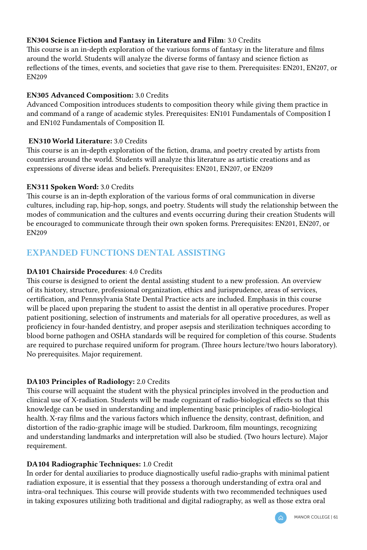### EN304 Science Fiction and Fantasy in Literature and Film: 3.0 Credits

This course is an in-depth exploration of the various forms of fantasy in the literature and films around the world. Students will analyze the diverse forms of fantasy and science fiction as reflections of the times, events, and societies that gave rise to them. Prerequisites: EN201, EN207, or EN209

### EN305 Advanced Composition: 3.0 Credits

Advanced Composition introduces students to composition theory while giving them practice in and command of a range of academic styles. Prerequisites: EN101 Fundamentals of Composition I and EN102 Fundamentals of Composition II.

### EN310 World Literature: 3.0 Credits

This course is an in-depth exploration of the fiction, drama, and poetry created by artists from countries around the world. Students will analyze this literature as artistic creations and as expressions of diverse ideas and beliefs. Prerequisites: EN201, EN207, or EN209

### EN311 Spoken Word: 3.0 Credits

This course is an in-depth exploration of the various forms of oral communication in diverse cultures, including rap, hip-hop, songs, and poetry. Students will study the relationship between the modes of communication and the cultures and events occurring during their creation Students will be encouraged to communicate through their own spoken forms. Prerequisites: EN201, EN207, or EN209

# EXPANDED FUNCTIONS DENTAL ASSISTING

### DA101 Chairside Procedures: 4.0 Credits

This course is designed to orient the dental assisting student to a new profession. An overview of its history, structure, professional organization, ethics and jurisprudence, areas of services, certification, and Pennsylvania State Dental Practice acts are included. Emphasis in this course will be placed upon preparing the student to assist the dentist in all operative procedures. Proper patient positioning, selection of instruments and materials for all operative procedures, as well as proficiency in four-handed dentistry, and proper asepsis and sterilization techniques according to blood borne pathogen and OSHA standards will be required for completion of this course. Students are required to purchase required uniform for program. (Three hours lecture/two hours laboratory). No prerequisites. Major requirement.

# DA103 Principles of Radiology: 2.0 Credits

This course will acquaint the student with the physical principles involved in the production and clinical use of X-radiation. Students will be made cognizant of radio-biological effects so that this knowledge can be used in understanding and implementing basic principles of radio-biological health. X-ray films and the various factors which influence the density, contrast, definition, and distortion of the radio-graphic image will be studied. Darkroom, film mountings, recognizing and understanding landmarks and interpretation will also be studied. (Two hours lecture). Major requirement.

# DA104 Radiographic Techniques: 1.0 Credit

In order for dental auxiliaries to produce diagnostically useful radio-graphs with minimal patient radiation exposure, it is essential that they possess a thorough understanding of extra oral and intra-oral techniques. This course will provide students with two recommended techniques used in taking exposures utilizing both traditional and digital radiography, as well as those extra oral

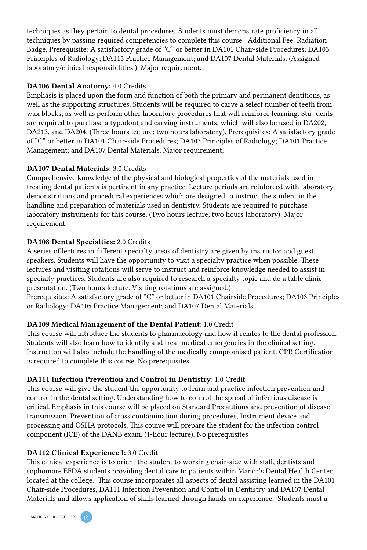techniques as they pertain to dental procedures. Students must demonstrate proficiency in all techniques by passing required competencies to complete this course. Additional Fee: Radiation Badge. Prerequisite: A satisfactory grade of "C" or better in DA101 Chair-side Procedures; DA103 Principles of Radiology; DA115 Practice Management; and DA107 Dental Materials. (Assigned laboratory/clinical responsibilities.). Major requirement.

### DA106 Dental Anatomy: 4.0 Credits

Emphasis is placed upon the form and function of both the primary and permanent dentitions, as well as the supporting structures. Students will be required to carve a select number of teeth from wax blocks, as well as perform other laboratory procedures that will reinforce learning. Stu- dents are required to purchase a typodont and carving instruments, which will also be used in DA202, DA213, and DA204. (Three hours lecture; two hours laboratory). Prerequisites: A satisfactory grade of "C" or better in DA101 Chair-side Procedures; DA103 Principles of Radiology; DA101 Practice Management; and DA107 Dental Materials. Major requirement.

### DA107 Dental Materials: 3.0 Credits

Comprehensive knowledge of the physical and biological properties of the materials used in treating dental patients is pertinent in any practice. Lecture periods are reinforced with laboratory demonstrations and procedural experiences which are designed to instruct the student in the handling and preparation of materials used in dentistry. Students are required to purchase laboratory instruments for this course. (Two hours lecture; two hours laboratory) Major requirement.

### DA108 Dental Specialties: 2.0 Credits

A series of lectures in different specialty areas of dentistry are given by instructor and guest speakers. Students will have the opportunity to visit a specialty practice when possible. These lectures and visiting rotations will serve to instruct and reinforce knowledge needed to assist in specialty practices. Students are also required to research a specialty topic and do a table clinic presentation. (Two hours lecture. Visiting rotations are assigned.)

Prerequisites: A satisfactory grade of "C" or better in DA101 Chairside Procedures; DA103 Principles or Radiology; DA105 Practice Management; and DA107 Dental Materials.

# DA109 Medical Management of the Dental Patient: 1.0 Credit

This course will introduce the students to pharmacology and how it relates to the dental profession. Students will also learn how to identify and treat medical emergencies in the clinical setting. Instruction will also include the handling of the medically compromised patient. CPR Certification is required to complete this course. No prerequisites.

### DA111 Infection Prevention and Control in Dentistry: 1.0 Credit

This course will give the student the opportunity to learn and practice infection prevention and control in the dental setting. Understanding how to control the spread of infectious disease is critical. Emphasis in this course will be placed on Standard Precautions and prevention of disease transmission, Prevention of cross contamination during procedures, Instrument device and processing and OSHA protocols. This course will prepare the student for the infection control component (ICE) of the DANB exam. (1-hour lecture). No prerequisites

# DA112 Clinical Experience I: 3.0 Credit

This clinical experience is to orient the student to working chair-side with staff, dentists and sophomore EFDA students providing dental care to patients within Manor's Dental Health Center located at the college. This course incorporates all aspects of dental assisting learned in the DA101 Chair-side Procedures, DA111 Infection Prevention and Control in Dentistry and DA107 Dental Materials and allows application of skills learned through hands on experience. Students must a

MANOR COLLEGE | 62

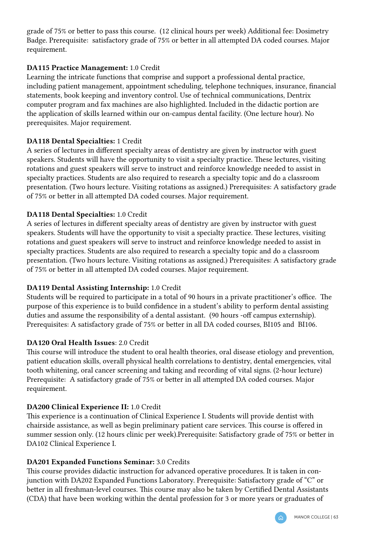grade of 75% or better to pass this course. (12 clinical hours per week) Additional fee: Dosimetry Badge. Prerequisite: satisfactory grade of 75% or better in all attempted DA coded courses. Major requirement.

# DA115 Practice Management: 1.0 Credit

Learning the intricate functions that comprise and support a professional dental practice, including patient management, appointment scheduling, telephone techniques, insurance, financial statements, book keeping and inventory control. Use of technical communications, Dentrix computer program and fax machines are also highlighted. Included in the didactic portion are the application of skills learned within our on-campus dental facility. (One lecture hour). No prerequisites. Major requirement.

### DA118 Dental Specialties: 1 Credit

A series of lectures in different specialty areas of dentistry are given by instructor with guest speakers. Students will have the opportunity to visit a specialty practice. These lectures, visiting rotations and guest speakers will serve to instruct and reinforce knowledge needed to assist in specialty practices. Students are also required to research a specialty topic and do a classroom presentation. (Two hours lecture. Visiting rotations as assigned.) Prerequisites: A satisfactory grade of 75% or better in all attempted DA coded courses. Major requirement.

### DA118 Dental Specialties: 1.0 Credit

A series of lectures in different specialty areas of dentistry are given by instructor with guest speakers. Students will have the opportunity to visit a specialty practice. These lectures, visiting rotations and guest speakers will serve to instruct and reinforce knowledge needed to assist in specialty practices. Students are also required to research a specialty topic and do a classroom presentation. (Two hours lecture. Visiting rotations as assigned.) Prerequisites: A satisfactory grade of 75% or better in all attempted DA coded courses. Major requirement.

# DA119 Dental Assisting Internship: 1.0 Credit

Students will be required to participate in a total of 90 hours in a private practitioner's office. The purpose of this experience is to build confidence in a student's ability to perform dental assisting duties and assume the responsibility of a dental assistant. (90 hours -off campus externship). Prerequisites: A satisfactory grade of 75% or better in all DA coded courses, BI105 and BI106.

### DA120 Oral Health Issues: 2.0 Credit

This course will introduce the student to oral health theories, oral disease etiology and prevention, patient education skills, overall physical health correlations to dentistry, dental emergencies, vital tooth whitening, oral cancer screening and taking and recording of vital signs. (2-hour lecture) Prerequisite: A satisfactory grade of 75% or better in all attempted DA coded courses. Major requirement.

# DA200 Clinical Experience II: 1.0 Credit

This experience is a continuation of Clinical Experience I. Students will provide dentist with chairside assistance, as well as begin preliminary patient care services. This course is offered in summer session only. (12 hours clinic per week).Prerequisite: Satisfactory grade of 75% or better in DA102 Clinical Experience I.

### DA201 Expanded Functions Seminar: 3.0 Credits

This course provides didactic instruction for advanced operative procedures. It is taken in conjunction with DA202 Expanded Functions Laboratory. Prerequisite: Satisfactory grade of "C" or better in all freshman-level courses. This course may also be taken by Certified Dental Assistants (CDA) that have been working within the dental profession for 3 or more years or graduates of

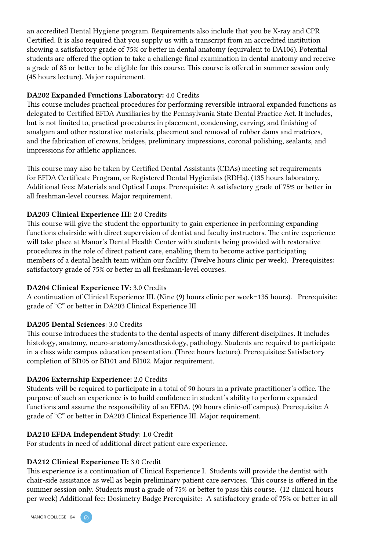an accredited Dental Hygiene program. Requirements also include that you be X-ray and CPR Certified. It is also required that you supply us with a transcript from an accredited institution showing a satisfactory grade of 75% or better in dental anatomy (equivalent to DA106). Potential students are offered the option to take a challenge final examination in dental anatomy and receive a grade of 85 or better to be eligible for this course. This course is offered in summer session only (45 hours lecture). Major requirement.

### DA202 Expanded Functions Laboratory: 4.0 Credits

This course includes practical procedures for performing reversible intraoral expanded functions as delegated to Certified EFDA Auxiliaries by the Pennsylvania State Dental Practice Act. It includes, but is not limited to, practical procedures in placement, condensing, carving, and finishing of amalgam and other restorative materials, placement and removal of rubber dams and matrices, and the fabrication of crowns, bridges, preliminary impressions, coronal polishing, sealants, and impressions for athletic appliances.

This course may also be taken by Certified Dental Assistants (CDAs) meeting set requirements for EFDA Certificate Program, or Registered Dental Hygienists (RDHs). (135 hours laboratory. Additional fees: Materials and Optical Loops. Prerequisite: A satisfactory grade of 75% or better in all freshman-level courses. Major requirement.

### DA203 Clinical Experience III: 2.0 Credits

This course will give the student the opportunity to gain experience in performing expanding functions chairside with direct supervision of dentist and faculty instructors. The entire experience will take place at Manor's Dental Health Center with students being provided with restorative procedures in the role of direct patient care, enabling them to become active participating members of a dental health team within our facility. (Twelve hours clinic per week). Prerequisites: satisfactory grade of 75% or better in all freshman-level courses.

# DA204 Clinical Experience IV: 3.0 Credits

A continuation of Clinical Experience III. (Nine (9) hours clinic per week=135 hours). Prerequisite: grade of "C" or better in DA203 Clinical Experience III

# DA205 Dental Sciences: 3.0 Credits

This course introduces the students to the dental aspects of many different disciplines. It includes histology, anatomy, neuro-anatomy/anesthesiology, pathology. Students are required to participate in a class wide campus education presentation. (Three hours lecture). Prerequisites: Satisfactory completion of BI105 or BI101 and BI102. Major requirement.

# DA206 Externship Experience: 2.0 Credits

Students will be required to participate in a total of 90 hours in a private practitioner's office. The purpose of such an experience is to build confidence in student's ability to perform expanded functions and assume the responsibility of an EFDA. (90 hours clinic-off campus). Prerequisite: A grade of "C" or better in DA203 Clinical Experience III. Major requirement.

# DA210 EFDA Independent Study: 1.0 Credit

For students in need of additional direct patient care experience.

# DA212 Clinical Experience II: 3.0 Credit

This experience is a continuation of Clinical Experience I. Students will provide the dentist with chair-side assistance as well as begin preliminary patient care services. This course is offered in the summer session only. Students must a grade of 75% or better to pass this course. (12 clinical hours per week) Additional fee: Dosimetry Badge Prerequisite: A satisfactory grade of 75% or better in all

MANOR COLLEGE | 64 A

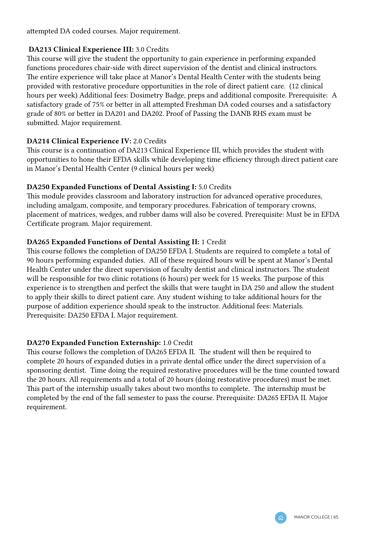attempted DA coded courses. Major requirement.

### DA213 Clinical Experience III: 3.0 Credits

This course will give the student the opportunity to gain experience in performing expanded functions procedures chair-side with direct supervision of the dentist and clinical instructors. The entire experience will take place at Manor's Dental Health Center with the students being provided with restorative procedure opportunities in the role of direct patient care. (12 clinical hours per week) Additional fees: Dosimetry Badge, preps and additional composite. Prerequisite: A satisfactory grade of 75% or better in all attempted Freshman DA coded courses and a satisfactory grade of 80% or better in DA201 and DA202. Proof of Passing the DANB RHS exam must be submitted. Major requirement.

# DA214 Clinical Experience IV: 2.0 Credits

This course is a continuation of DA213 Clinical Experience III, which provides the student with opportunities to hone their EFDA skills while developing time efficiency through direct patient care in Manor's Dental Health Center (9 clinical hours per week)

### DA250 Expanded Functions of Dental Assisting I: 5.0 Credits

This module provides classroom and laboratory instruction for advanced operative procedures, including amalgam, composite, and temporary procedures. Fabrication of temporary crowns, placement of matrices, wedges, and rubber dams will also be covered. Prerequisite: Must be in EFDA Certificate program. Major requirement.

# DA265 Expanded Functions of Dental Assisting II: 1 Credit

This course follows the completion of DA250 EFDA I. Students are required to complete a total of 90 hours performing expanded duties. All of these required hours will be spent at Manor's Dental Health Center under the direct supervision of faculty dentist and clinical instructors. The student will be responsible for two clinic rotations (6 hours) per week for 15 weeks. The purpose of this experience is to strengthen and perfect the skills that were taught in DA 250 and allow the student to apply their skills to direct patient care. Any student wishing to take additional hours for the purpose of addition experience should speak to the instructor. Additional fees: Materials. Prerequisite: DA250 EFDA I. Major requirement.

# DA270 Expanded Function Externship: 1.0 Credit

This course follows the completion of DA265 EFDA II. The student will then be required to complete 20 hours of expanded duties in a private dental office under the direct supervision of a sponsoring dentist. Time doing the required restorative procedures will be the time counted toward the 20 hours. All requirements and a total of 20 hours (doing restorative procedures) must be met. This part of the internship usually takes about two months to complete. The internship must be completed by the end of the fall semester to pass the course. Prerequisite: DA265 EFDA II. Major requirement.

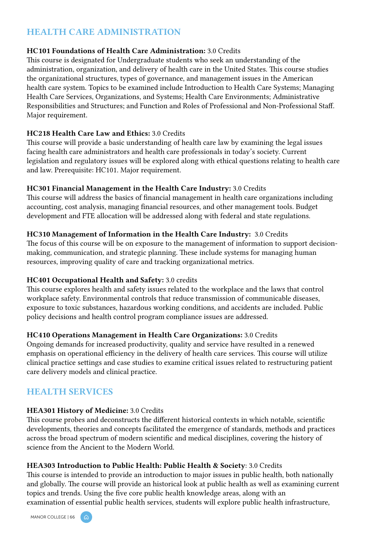# HEALTH CARE ADMINISTRATION

### HC101 Foundations of Health Care Administration: 3.0 Credits

This course is designated for Undergraduate students who seek an understanding of the administration, organization, and delivery of health care in the United States. This course studies the organizational structures, types of governance, and management issues in the American health care system. Topics to be examined include Introduction to Health Care Systems; Managing Health Care Services, Organizations, and Systems; Health Care Environments; Administrative Responsibilities and Structures; and Function and Roles of Professional and Non-Professional Staff. Major requirement.

### HC218 Health Care Law and Ethics: 3.0 Credits

This course will provide a basic understanding of health care law by examining the legal issues facing health care administrators and health care professionals in today's society. Current legislation and regulatory issues will be explored along with ethical questions relating to health care and law. Prerequisite: HC101. Major requirement.

### HC301 Financial Management in the Health Care Industry: 3.0 Credits

This course will address the basics of financial management in health care organizations including accounting, cost analysis, managing financial resources, and other management tools. Budget development and FTE allocation will be addressed along with federal and state regulations.

### HC310 Management of Information in the Health Care Industry: 3.0 Credits

The focus of this course will be on exposure to the management of information to support decisionmaking, communication, and strategic planning. These include systems for managing human resources, improving quality of care and tracking organizational metrics.

# HC401 Occupational Health and Safety: 3.0 credits

This course explores health and safety issues related to the workplace and the laws that control workplace safety. Environmental controls that reduce transmission of communicable diseases, exposure to toxic substances, hazardous working conditions, and accidents are included. Public policy decisions and health control program compliance issues are addressed.

### HC410 Operations Management in Health Care Organizations: 3.0 Credits

Ongoing demands for increased productivity, quality and service have resulted in a renewed emphasis on operational efficiency in the delivery of health care services. This course will utilize clinical practice settings and case studies to examine critical issues related to restructuring patient care delivery models and clinical practice.

# HEALTH SERVICES

### HEA301 History of Medicine: 3.0 Credits

This course probes and deconstructs the different historical contexts in which notable, scientific developments, theories and concepts facilitated the emergence of standards, methods and practices across the broad spectrum of modern scientific and medical disciplines, covering the history of science from the Ancient to the Modern World.

# HEA303 Introduction to Public Health: Public Health & Society: 3.0 Credits

This course is intended to provide an introduction to major issues in public health, both nationally and globally. The course will provide an historical look at public health as well as examining current topics and trends. Using the five core public health knowledge areas, along with an examination of essential public health services, students will explore public health infrastructure,

MANOR COLLEGE | 66 A

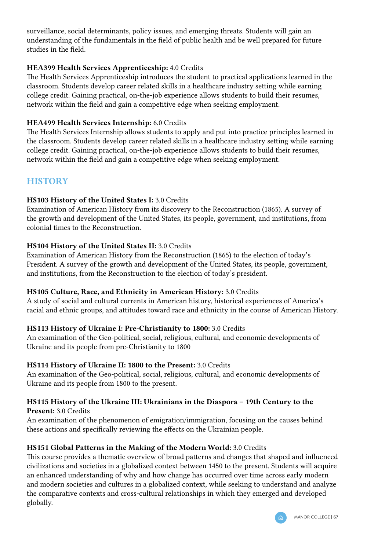surveillance, social determinants, policy issues, and emerging threats. Students will gain an understanding of the fundamentals in the field of public health and be well prepared for future studies in the field.

### HEA399 Health Services Apprenticeship: 4.0 Credits

The Health Services Apprenticeship introduces the student to practical applications learned in the classroom. Students develop career related skills in a healthcare industry setting while earning college credit. Gaining practical, on-the-job experience allows students to build their resumes, network within the field and gain a competitive edge when seeking employment.

### HEA499 Health Services Internship: 6.0 Credits

The Health Services Internship allows students to apply and put into practice principles learned in the classroom. Students develop career related skills in a healthcare industry setting while earning college credit. Gaining practical, on-the-job experience allows students to build their resumes, network within the field and gain a competitive edge when seeking employment.

# **HISTORY**

### HS103 History of the United States I: 3.0 Credits

Examination of American History from its discovery to the Reconstruction (1865). A survey of the growth and development of the United States, its people, government, and institutions, from colonial times to the Reconstruction.

### HS104 History of the United States II: 3.0 Credits

Examination of American History from the Reconstruction (1865) to the election of today's President. A survey of the growth and development of the United States, its people, government, and institutions, from the Reconstruction to the election of today's president.

### HS105 Culture, Race, and Ethnicity in American History: 3.0 Credits

A study of social and cultural currents in American history, historical experiences of America's racial and ethnic groups, and attitudes toward race and ethnicity in the course of American History.

# HS113 History of Ukraine I: Pre-Christianity to 1800: 3.0 Credits

An examination of the Geo-political, social, religious, cultural, and economic developments of Ukraine and its people from pre-Christianity to 1800

### HS114 History of Ukraine II: 1800 to the Present: 3.0 Credits

An examination of the Geo-political, social, religious, cultural, and economic developments of Ukraine and its people from 1800 to the present.

### HS115 History of the Ukraine III: Ukrainians in the Diaspora – 19th Century to the Present: 3.0 Credits

An examination of the phenomenon of emigration/immigration, focusing on the causes behind these actions and specifically reviewing the effects on the Ukrainian people.

### HS151 Global Patterns in the Making of the Modern World: 3.0 Credits

This course provides a thematic overview of broad patterns and changes that shaped and influenced civilizations and societies in a globalized context between 1450 to the present. Students will acquire an enhanced understanding of why and how change has occurred over time across early modern and modern societies and cultures in a globalized context, while seeking to understand and analyze the comparative contexts and cross-cultural relationships in which they emerged and developed globally.

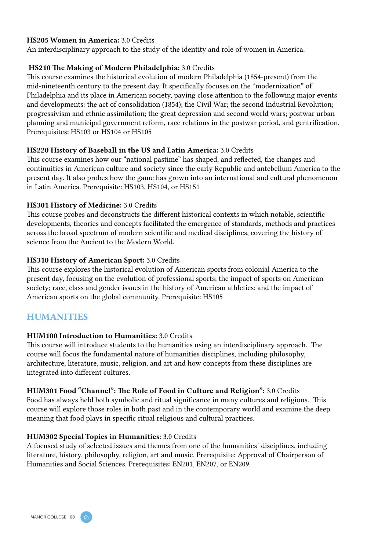#### HS205 Women in America: 3.0 Credits

An interdisciplinary approach to the study of the identity and role of women in America.

#### HS210 The Making of Modern Philadelphia: 3.0 Credits

This course examines the historical evolution of modern Philadelphia (1854-present) from the mid-nineteenth century to the present day. It specifically focuses on the "modernization" of Philadelphia and its place in American society, paying close attention to the following major events and developments: the act of consolidation (1854); the Civil War; the second Industrial Revolution; progressivism and ethnic assimilation; the great depression and second world wars; postwar urban planning and municipal government reform, race relations in the postwar period, and gentrification. Prerequisites: HS103 or HS104 or HS105

#### HS220 History of Baseball in the US and Latin America: 3.0 Credits

This course examines how our "national pastime" has shaped, and reflected, the changes and continuities in American culture and society since the early Republic and antebellum America to the present day. It also probes how the game has grown into an international and cultural phenomenon in Latin America. Prerequisite: HS103, HS104, or HS151

#### HS301 History of Medicine: 3.0 Credits

This course probes and deconstructs the different historical contexts in which notable, scientific developments, theories and concepts facilitated the emergence of standards, methods and practices across the broad spectrum of modern scientific and medical disciplines, covering the history of science from the Ancient to the Modern World.

#### HS310 History of American Sport: 3.0 Credits

This course explores the historical evolution of American sports from colonial America to the present day, focusing on the evolution of professional sports; the impact of sports on American society; race, class and gender issues in the history of American athletics; and the impact of American sports on the global community. Prerequisite: HS105

# **HUMANITIES**

#### HUM100 Introduction to Humanities: 3.0 Credits

This course will introduce students to the humanities using an interdisciplinary approach. The course will focus the fundamental nature of humanities disciplines, including philosophy, architecture, literature, music, religion, and art and how concepts from these disciplines are integrated into different cultures.

#### HUM301 Food "Channel": The Role of Food in Culture and Religion": 3.0 Credits

Food has always held both symbolic and ritual significance in many cultures and religions. This course will explore those roles in both past and in the contemporary world and examine the deep meaning that food plays in specific ritual religious and cultural practices.

#### HUM302 Special Topics in Humanities: 3.0 Credits

A focused study of selected issues and themes from one of the humanities' disciplines, including literature, history, philosophy, religion, art and music. Prerequisite: Approval of Chairperson of Humanities and Social Sciences. Prerequisites: EN201, EN207, or EN209.

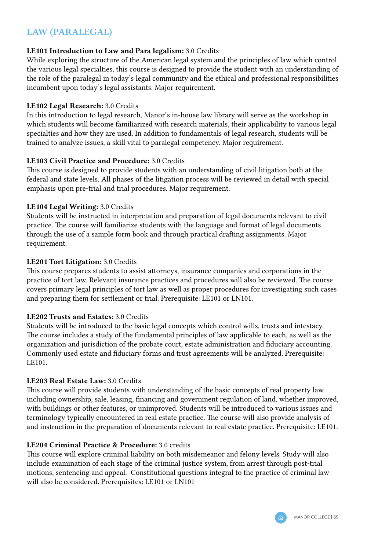# LAW (PARALEGAL)

### LE101 Introduction to Law and Para legalism: 3.0 Credits

While exploring the structure of the American legal system and the principles of law which control the various legal specialties, this course is designed to provide the student with an understanding of the role of the paralegal in today's legal community and the ethical and professional responsibilities incumbent upon today's legal assistants. Major requirement.

### LE102 Legal Research: 3.0 Credits

In this introduction to legal research, Manor's in-house law library will serve as the workshop in which students will become familiarized with research materials, their applicability to various legal specialties and how they are used. In addition to fundamentals of legal research, students will be trained to analyze issues, a skill vital to paralegal competency. Major requirement.

### LE103 Civil Practice and Procedure: 3.0 Credits

This course is designed to provide students with an understanding of civil litigation both at the federal and state levels. All phases of the litigation process will be reviewed in detail with special emphasis upon pre-trial and trial procedures. Major requirement.

#### LE104 Legal Writing: 3.0 Credits

Students will be instructed in interpretation and preparation of legal documents relevant to civil practice. The course will familiarize students with the language and format of legal documents through the use of a sample form book and through practical drafting assignments. Major requirement.

#### LE201 Tort Litigation: 3.0 Credits

This course prepares students to assist attorneys, insurance companies and corporations in the practice of tort law. Relevant insurance practices and procedures will also be reviewed. The course covers primary legal principles of tort law as well as proper procedures for investigating such cases and preparing them for settlement or trial. Prerequisite: LE101 or LN101.

### LE202 Trusts and Estates: 3.0 Credits

Students will be introduced to the basic legal concepts which control wills, trusts and intestacy. The course includes a study of the fundamental principles of law applicable to each, as well as the organization and jurisdiction of the probate court, estate administration and fiduciary accounting. Commonly used estate and fiduciary forms and trust agreements will be analyzed. Prerequisite: LE101.

### LE203 Real Estate Law: 3.0 Credits

This course will provide students with understanding of the basic concepts of real property law including ownership, sale, leasing, financing and government regulation of land, whether improved, with buildings or other features, or unimproved. Students will be introduced to various issues and terminology typically encountered in real estate practice. The course will also provide analysis of and instruction in the preparation of documents relevant to real estate practice. Prerequisite: LE101.

#### LE204 Criminal Practice & Procedure: 3.0 credits

This course will explore criminal liability on both misdemeanor and felony levels. Study will also include examination of each stage of the criminal justice system, from arrest through post-trial motions, sentencing and appeal. Constitutional questions integral to the practice of criminal law will also be considered. Prerequisites: LE101 or LN101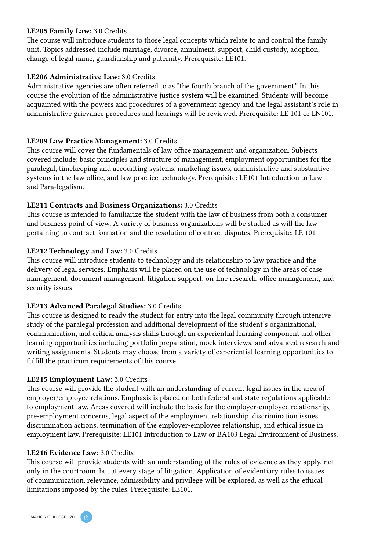#### LE205 Family Law: 3.0 Credits

The course will introduce students to those legal concepts which relate to and control the family unit. Topics addressed include marriage, divorce, annulment, support, child custody, adoption, change of legal name, guardianship and paternity. Prerequisite: LE101.

#### LE206 Administrative Law: 3.0 Credits

Administrative agencies are often referred to as "the fourth branch of the government." In this course the evolution of the administrative justice system will be examined. Students will become acquainted with the powers and procedures of a government agency and the legal assistant's role in administrative grievance procedures and hearings will be reviewed. Prerequisite: LE 101 or LN101.

#### LE209 Law Practice Management: 3.0 Credits

This course will cover the fundamentals of law office management and organization. Subjects covered include: basic principles and structure of management, employment opportunities for the paralegal, timekeeping and accounting systems, marketing issues, administrative and substantive systems in the law office, and law practice technology. Prerequisite: LE101 Introduction to Law and Para-legalism.

#### LE211 Contracts and Business Organizations: 3.0 Credits

This course is intended to familiarize the student with the law of business from both a consumer and business point of view. A variety of business organizations will be studied as will the law pertaining to contract formation and the resolution of contract disputes. Prerequisite: LE 101

#### LE212 Technology and Law: 3.0 Credits

This course will introduce students to technology and its relationship to law practice and the delivery of legal services. Emphasis will be placed on the use of technology in the areas of case management, document management, litigation support, on-line research, office management, and security issues.

#### LE213 Advanced Paralegal Studies: 3.0 Credits

This course is designed to ready the student for entry into the legal community through intensive study of the paralegal profession and additional development of the student's organizational, communication, and critical analysis skills through an experiential learning component and other learning opportunities including portfolio preparation, mock interviews, and advanced research and writing assignments. Students may choose from a variety of experiential learning opportunities to fulfill the practicum requirements of this course.

### LE215 Employment Law: 3.0 Credits

This course will provide the student with an understanding of current legal issues in the area of employer/employee relations. Emphasis is placed on both federal and state regulations applicable to employment law. Areas covered will include the basis for the employer-employee relationship, pre-employment concerns, legal aspect of the employment relationship, discrimination issues, discrimination actions, termination of the employer-employee relationship, and ethical issue in employment law. Prerequisite: LE101 Introduction to Law or BA103 Legal Environment of Business.

#### LE216 Evidence Law: 3.0 Credits

This course will provide students with an understanding of the rules of evidence as they apply, not only in the courtroom, but at every stage of litigation. Application of evidentiary rules to issues of communication, relevance, admissibility and privilege will be explored, as well as the ethical limitations imposed by the rules. Prerequisite: LE101.

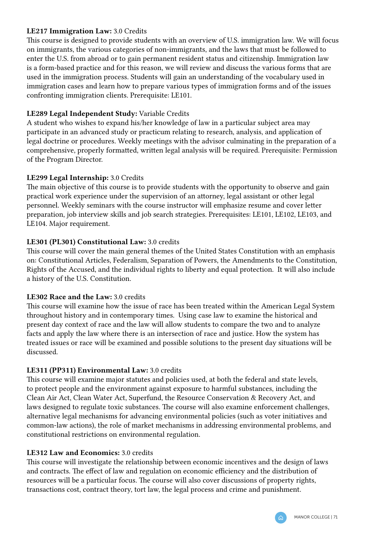### LE217 Immigration Law: 3.0 Credits

This course is designed to provide students with an overview of U.S. immigration law. We will focus on immigrants, the various categories of non-immigrants, and the laws that must be followed to enter the U.S. from abroad or to gain permanent resident status and citizenship. Immigration law is a form-based practice and for this reason, we will review and discuss the various forms that are used in the immigration process. Students will gain an understanding of the vocabulary used in immigration cases and learn how to prepare various types of immigration forms and of the issues confronting immigration clients. Prerequisite: LE101.

### LE289 Legal Independent Study: Variable Credits

A student who wishes to expand his/her knowledge of law in a particular subject area may participate in an advanced study or practicum relating to research, analysis, and application of legal doctrine or procedures. Weekly meetings with the advisor culminating in the preparation of a comprehensive, properly formatted, written legal analysis will be required. Prerequisite: Permission of the Program Director.

### LE299 Legal Internship: 3.0 Credits

The main objective of this course is to provide students with the opportunity to observe and gain practical work experience under the supervision of an attorney, legal assistant or other legal personnel. Weekly seminars with the course instructor will emphasize resume and cover letter preparation, job interview skills and job search strategies. Prerequisites: LE101, LE102, LE103, and LE104. Major requirement.

### LE301 (PL301) Constitutional Law: 3.0 credits

This course will cover the main general themes of the United States Constitution with an emphasis on: Constitutional Articles, Federalism, Separation of Powers, the Amendments to the Constitution, Rights of the Accused, and the individual rights to liberty and equal protection. It will also include a history of the U.S. Constitution.

### LE302 Race and the Law: 3.0 credits

This course will examine how the issue of race has been treated within the American Legal System throughout history and in contemporary times. Using case law to examine the historical and present day context of race and the law will allow students to compare the two and to analyze facts and apply the law where there is an intersection of race and justice. How the system has treated issues or race will be examined and possible solutions to the present day situations will be discussed.

# LE311 (PP311) Environmental Law: 3.0 credits

This course will examine major statutes and policies used, at both the federal and state levels, to protect people and the environment against exposure to harmful substances, including the Clean Air Act, Clean Water Act, Superfund, the Resource Conservation & Recovery Act, and laws designed to regulate toxic substances. The course will also examine enforcement challenges, alternative legal mechanisms for advancing environmental policies (such as voter initiatives and common-law actions), the role of market mechanisms in addressing environmental problems, and constitutional restrictions on environmental regulation.

### LE312 Law and Economics: 3.0 credits

This course will investigate the relationship between economic incentives and the design of laws and contracts. The effect of law and regulation on economic efficiency and the distribution of resources will be a particular focus. The course will also cover discussions of property rights, transactions cost, contract theory, tort law, the legal process and crime and punishment.

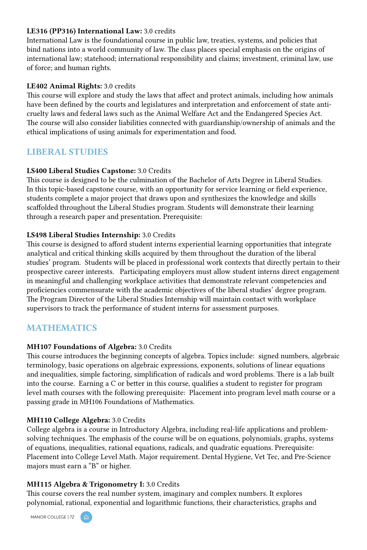#### LE316 (PP316) International Law: 3.0 credits

International Law is the foundational course in public law, treaties, systems, and policies that bind nations into a world community of law. The class places special emphasis on the origins of international law; statehood; international responsibility and claims; investment, criminal law, use of force; and human rights.

# LE402 Animal Rights: 3.0 credits

This course will explore and study the laws that affect and protect animals, including how animals have been defined by the courts and legislatures and interpretation and enforcement of state anticruelty laws and federal laws such as the Animal Welfare Act and the Endangered Species Act. The course will also consider liabilities connected with guardianship/ownership of animals and the ethical implications of using animals for experimentation and food.

# LIBERAL STUDIES

# LS400 Liberal Studies Capstone: 3.0 Credits

This course is designed to be the culmination of the Bachelor of Arts Degree in Liberal Studies. In this topic-based capstone course, with an opportunity for service learning or field experience, students complete a major project that draws upon and synthesizes the knowledge and skills scaffolded throughout the Liberal Studies program. Students will demonstrate their learning through a research paper and presentation. Prerequisite:

# LS498 Liberal Studies Internship: 3.0 Credits

This course is designed to afford student interns experiential learning opportunities that integrate analytical and critical thinking skills acquired by them throughout the duration of the liberal studies' program. Students will be placed in professional work contexts that directly pertain to their prospective career interests. Participating employers must allow student interns direct engagement in meaningful and challenging workplace activities that demonstrate relevant competencies and proficiencies commensurate with the academic objectives of the liberal studies' degree program. The Program Director of the Liberal Studies Internship will maintain contact with workplace supervisors to track the performance of student interns for assessment purposes.

# MATHEMATICS

# MH107 Foundations of Algebra: 3.0 Credits

This course introduces the beginning concepts of algebra. Topics include: signed numbers, algebraic terminology, basic operations on algebraic expressions, exponents, solutions of linear equations and inequalities, simple factoring, simplification of radicals and word problems. There is a lab built into the course. Earning a C or better in this course, qualifies a student to register for program level math courses with the following prerequisite: Placement into program level math course or a passing grade in MH106 Foundations of Mathematics.

# MH110 College Algebra: 3.0 Credits

College algebra is a course in Introductory Algebra, including real-life applications and problemsolving techniques. The emphasis of the course will be on equations, polynomials, graphs, systems of equations, inequalities, rational equations, radicals, and quadratic equations. Prerequisite: Placement into College Level Math. Major requirement. Dental Hygiene, Vet Tec, and Pre-Science majors must earn a "B" or higher.

#### MH115 Algebra & Trigonometry I: 3.0 Credits

This course covers the real number system, imaginary and complex numbers. It explores polynomial, rational, exponential and logarithmic functions, their characteristics, graphs and

MANOR COLLEGE | 72 (A)

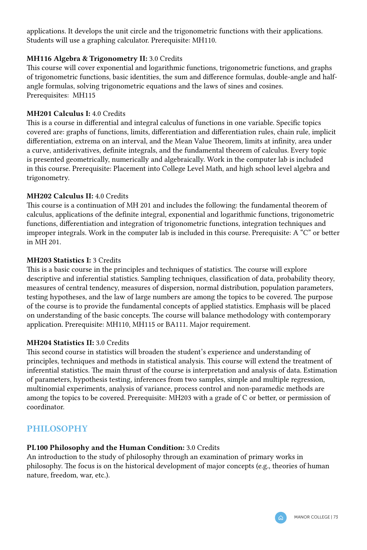applications. It develops the unit circle and the trigonometric functions with their applications. Students will use a graphing calculator. Prerequisite: MH110.

#### MH116 Algebra & Trigonometry II: 3.0 Credits

This course will cover exponential and logarithmic functions, trigonometric functions, and graphs of trigonometric functions, basic identities, the sum and difference formulas, double-angle and halfangle formulas, solving trigonometric equations and the laws of sines and cosines. Prerequisites: MH115

# MH201 Calculus I: 4.0 Credits

This is a course in differential and integral calculus of functions in one variable. Specific topics covered are: graphs of functions, limits, differentiation and differentiation rules, chain rule, implicit differentiation, extrema on an interval, and the Mean Value Theorem, limits at infinity, area under a curve, antiderivatives, definite integrals, and the fundamental theorem of calculus. Every topic is presented geometrically, numerically and algebraically. Work in the computer lab is included in this course. Prerequisite: Placement into College Level Math, and high school level algebra and trigonometry.

#### MH202 Calculus II: 4.0 Credits

This course is a continuation of MH 201 and includes the following: the fundamental theorem of calculus, applications of the definite integral, exponential and logarithmic functions, trigonometric functions, differentiation and integration of trigonometric functions, integration techniques and improper integrals. Work in the computer lab is included in this course. Prerequisite: A "C" or better in MH 201.

#### MH203 Statistics I: 3 Credits

This is a basic course in the principles and techniques of statistics. The course will explore descriptive and inferential statistics. Sampling techniques, classification of data, probability theory, measures of central tendency, measures of dispersion, normal distribution, population parameters, testing hypotheses, and the law of large numbers are among the topics to be covered. The purpose of the course is to provide the fundamental concepts of applied statistics. Emphasis will be placed on understanding of the basic concepts. The course will balance methodology with contemporary application. Prerequisite: MH110, MH115 or BA111. Major requirement.

#### MH204 Statistics II: 3.0 Credits

This second course in statistics will broaden the student's experience and understanding of principles, techniques and methods in statistical analysis. This course will extend the treatment of inferential statistics. The main thrust of the course is interpretation and analysis of data. Estimation of parameters, hypothesis testing, inferences from two samples, simple and multiple regression, multinomial experiments, analysis of variance, process control and non-paramedic methods are among the topics to be covered. Prerequisite: MH203 with a grade of C or better, or permission of coordinator.

# PHILOSOPHY

#### PL100 Philosophy and the Human Condition: 3.0 Credits

An introduction to the study of philosophy through an examination of primary works in philosophy. The focus is on the historical development of major concepts (e.g., theories of human nature, freedom, war, etc.).

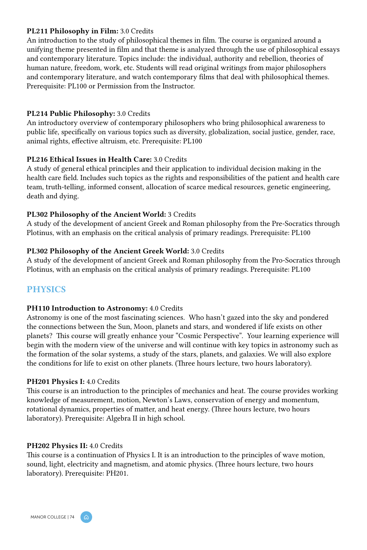#### PL211 Philosophy in Film: 3.0 Credits

An introduction to the study of philosophical themes in film. The course is organized around a unifying theme presented in film and that theme is analyzed through the use of philosophical essays and contemporary literature. Topics include: the individual, authority and rebellion, theories of human nature, freedom, work, etc. Students will read original writings from major philosophers and contemporary literature, and watch contemporary films that deal with philosophical themes. Prerequisite: PL100 or Permission from the Instructor.

#### PL214 Public Philosophy: 3.0 Credits

An introductory overview of contemporary philosophers who bring philosophical awareness to public life, specifically on various topics such as diversity, globalization, social justice, gender, race, animal rights, effective altruism, etc. Prerequisite: PL100

#### PL216 Ethical Issues in Health Care: 3.0 Credits

A study of general ethical principles and their application to individual decision making in the health care field. Includes such topics as the rights and responsibilities of the patient and health care team, truth-telling, informed consent, allocation of scarce medical resources, genetic engineering, death and dying.

#### PL302 Philosophy of the Ancient World: 3 Credits

A study of the development of ancient Greek and Roman philosophy from the Pre-Socratics through Plotinus, with an emphasis on the critical analysis of primary readings. Prerequisite: PL100

#### PL302 Philosophy of the Ancient Greek World: 3.0 Credits

A study of the development of ancient Greek and Roman philosophy from the Pro-Socratics through Plotinus, with an emphasis on the critical analysis of primary readings. Prerequisite: PL100

# **PHYSICS**

#### PH110 Introduction to Astronomy: 4.0 Credits

Astronomy is one of the most fascinating sciences. Who hasn't gazed into the sky and pondered the connections between the Sun, Moon, planets and stars, and wondered if life exists on other planets? This course will greatly enhance your "Cosmic Perspective". Your learning experience will begin with the modern view of the universe and will continue with key topics in astronomy such as the formation of the solar systems, a study of the stars, planets, and galaxies. We will also explore the conditions for life to exist on other planets. (Three hours lecture, two hours laboratory).

#### PH201 Physics I: 4.0 Credits

This course is an introduction to the principles of mechanics and heat. The course provides working knowledge of measurement, motion, Newton's Laws, conservation of energy and momentum, rotational dynamics, properties of matter, and heat energy. (Three hours lecture, two hours laboratory). Prerequisite: Algebra II in high school.

#### PH202 Physics II: 4.0 Credits

This course is a continuation of Physics I. It is an introduction to the principles of wave motion, sound, light, electricity and magnetism, and atomic physics. (Three hours lecture, two hours laboratory). Prerequisite: PH201.

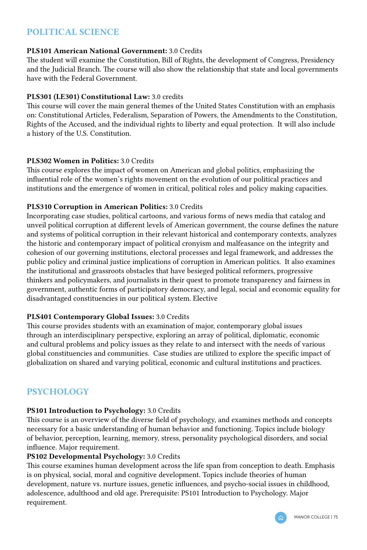# POLITICAL SCIENCE

# PLS101 American National Government: 3.0 Credits

The student will examine the Constitution, Bill of Rights, the development of Congress, Presidency and the Judicial Branch. The course will also show the relationship that state and local governments have with the Federal Government.

# PLS301 (LE301) Constitutional Law: 3.0 credits

This course will cover the main general themes of the United States Constitution with an emphasis on: Constitutional Articles, Federalism, Separation of Powers, the Amendments to the Constitution, Rights of the Accused, and the individual rights to liberty and equal protection. It will also include a history of the U.S. Constitution.

# PLS302 Women in Politics: 3.0 Credits

This course explores the impact of women on American and global politics, emphasizing the influential role of the women's rights movement on the evolution of our political practices and institutions and the emergence of women in critical, political roles and policy making capacities.

# PLS310 Corruption in American Politics: 3.0 Credits

Incorporating case studies, political cartoons, and various forms of news media that catalog and unveil political corruption at different levels of American government, the course defines the nature and systems of political corruption in their relevant historical and contemporary contexts, analyzes the historic and contemporary impact of political cronyism and malfeasance on the integrity and cohesion of our governing institutions, electoral processes and legal framework, and addresses the public policy and criminal justice implications of corruption in American politics. It also examines the institutional and grassroots obstacles that have besieged political reformers, progressive thinkers and policymakers, and journalists in their quest to promote transparency and fairness in government, authentic forms of participatory democracy, and legal, social and economic equality for disadvantaged constituencies in our political system. Elective

#### PLS401 Contemporary Global Issues: 3.0 Credits

This course provides students with an examination of major, contemporary global issues through an interdisciplinary perspective, exploring an array of political, diplomatic, economic and cultural problems and policy issues as they relate to and intersect with the needs of various global constituencies and communities. Case studies are utilized to explore the specific impact of globalization on shared and varying political, economic and cultural institutions and practices.

# **PSYCHOLOGY**

# PS101 Introduction to Psychology: 3.0 Credits

This course is an overview of the diverse field of psychology, and examines methods and concepts necessary for a basic understanding of human behavior and functioning. Topics include biology of behavior, perception, learning, memory, stress, personality psychological disorders, and social influence. Major requirement.

#### PS102 Developmental Psychology: 3.0 Credits

This course examines human development across the life span from conception to death. Emphasis is on physical, social, moral and cognitive development. Topics include theories of human development, nature vs. nurture issues, genetic influences, and psycho-social issues in childhood, adolescence, adulthood and old age. Prerequisite: PS101 Introduction to Psychology. Major requirement.

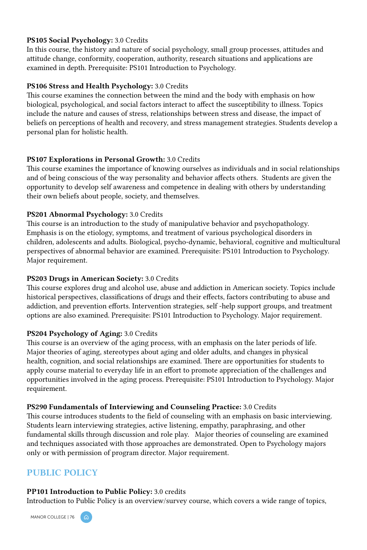# PS105 Social Psychology: 3.0 Credits

In this course, the history and nature of social psychology, small group processes, attitudes and attitude change, conformity, cooperation, authority, research situations and applications are examined in depth. Prerequisite: PS101 Introduction to Psychology.

# PS106 Stress and Health Psychology: 3.0 Credits

This course examines the connection between the mind and the body with emphasis on how biological, psychological, and social factors interact to affect the susceptibility to illness. Topics include the nature and causes of stress, relationships between stress and disease, the impact of beliefs on perceptions of health and recovery, and stress management strategies. Students develop a personal plan for holistic health.

# PS107 Explorations in Personal Growth: 3.0 Credits

This course examines the importance of knowing ourselves as individuals and in social relationships and of being conscious of the way personality and behavior affects others. Students are given the opportunity to develop self awareness and competence in dealing with others by understanding their own beliefs about people, society, and themselves.

#### PS201 Abnormal Psychology: 3.0 Credits

This course is an introduction to the study of manipulative behavior and psychopathology. Emphasis is on the etiology, symptoms, and treatment of various psychological disorders in children, adolescents and adults. Biological, psycho-dynamic, behavioral, cognitive and multicultural perspectives of abnormal behavior are examined. Prerequisite: PS101 Introduction to Psychology. Major requirement.

#### PS203 Drugs in American Society: 3.0 Credits

This course explores drug and alcohol use, abuse and addiction in American society. Topics include historical perspectives, classifications of drugs and their effects, factors contributing to abuse and addiction, and prevention efforts. Intervention strategies, self -help support groups, and treatment options are also examined. Prerequisite: PS101 Introduction to Psychology. Major requirement.

# PS204 Psychology of Aging: 3.0 Credits

This course is an overview of the aging process, with an emphasis on the later periods of life. Major theories of aging, stereotypes about aging and older adults, and changes in physical health, cognition, and social relationships are examined. There are opportunities for students to apply course material to everyday life in an effort to promote appreciation of the challenges and opportunities involved in the aging process. Prerequisite: PS101 Introduction to Psychology. Major requirement.

#### PS290 Fundamentals of Interviewing and Counseling Practice: 3.0 Credits

This course introduces students to the field of counseling with an emphasis on basic interviewing. Students learn interviewing strategies, active listening, empathy, paraphrasing, and other fundamental skills through discussion and role play. Major theories of counseling are examined and techniques associated with those approaches are demonstrated. Open to Psychology majors only or with permission of program director. Major requirement.

# PUBLIC POLICY

#### PP101 Introduction to Public Policy: 3.0 credits

Introduction to Public Policy is an overview/survey course, which covers a wide range of topics,

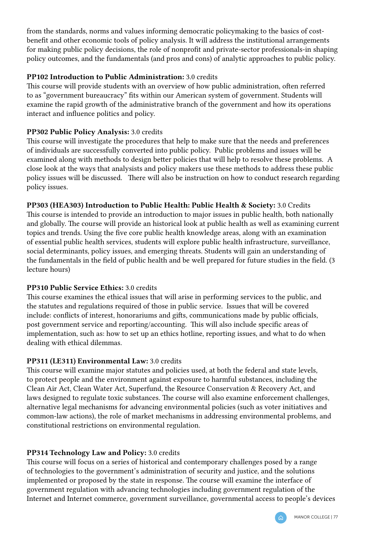from the standards, norms and values informing democratic policymaking to the basics of costbenefit and other economic tools of policy analysis. It will address the institutional arrangements for making public policy decisions, the role of nonprofit and private-sector professionals-in shaping policy outcomes, and the fundamentals (and pros and cons) of analytic approaches to public policy.

# PP102 Introduction to Public Administration: 3.0 credits

This course will provide students with an overview of how public administration, often referred to as "government bureaucracy" fits within our American system of government. Students will examine the rapid growth of the administrative branch of the government and how its operations interact and influence politics and policy.

# PP302 Public Policy Analysis: 3.0 credits

This course will investigate the procedures that help to make sure that the needs and preferences of individuals are successfully converted into public policy. Public problems and issues will be examined along with methods to design better policies that will help to resolve these problems. A close look at the ways that analysists and policy makers use these methods to address these public policy issues will be discussed. There will also be instruction on how to conduct research regarding policy issues.

# PP303 (HEA303) Introduction to Public Health: Public Health & Society: 3.0 Credits

This course is intended to provide an introduction to major issues in public health, both nationally and globally. The course will provide an historical look at public health as well as examining current topics and trends. Using the five core public health knowledge areas, along with an examination of essential public health services, students will explore public health infrastructure, surveillance, social determinants, policy issues, and emerging threats. Students will gain an understanding of the fundamentals in the field of public health and be well prepared for future studies in the field. (3 lecture hours)

# PP310 Public Service Ethics: 3.0 credits

This course examines the ethical issues that will arise in performing services to the public, and the statutes and regulations required of those in public service. Issues that will be covered include: conflicts of interest, honorariums and gifts, communications made by public officials, post government service and reporting/accounting. This will also include specific areas of implementation, such as: how to set up an ethics hotline, reporting issues, and what to do when dealing with ethical dilemmas.

#### PP311 (LE311) Environmental Law: 3.0 credits

This course will examine major statutes and policies used, at both the federal and state levels, to protect people and the environment against exposure to harmful substances, including the Clean Air Act, Clean Water Act, Superfund, the Resource Conservation & Recovery Act, and laws designed to regulate toxic substances. The course will also examine enforcement challenges, alternative legal mechanisms for advancing environmental policies (such as voter initiatives and common-law actions), the role of market mechanisms in addressing environmental problems, and constitutional restrictions on environmental regulation.

# PP314 Technology Law and Policy: 3.0 credits

This course will focus on a series of historical and contemporary challenges posed by a range of technologies to the government's administration of security and justice, and the solutions implemented or proposed by the state in response. The course will examine the interface of government regulation with advancing technologies including government regulation of the Internet and Internet commerce, government surveillance, governmental access to people's devices

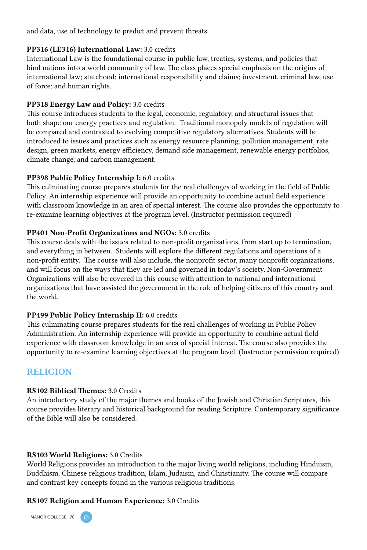and data, use of technology to predict and prevent threats.

#### PP316 (LE316) International Law: 3.0 credits

International Law is the foundational course in public law, treaties, systems, and policies that bind nations into a world community of law. The class places special emphasis on the origins of international law; statehood; international responsibility and claims; investment, criminal law, use of force; and human rights.

### PP318 Energy Law and Policy: 3.0 credits

This course introduces students to the legal, economic, regulatory, and structural issues that both shape our energy practices and regulation. Traditional monopoly models of regulation will be compared and contrasted to evolving competitive regulatory alternatives. Students will be introduced to issues and practices such as energy resource planning, pollution management, rate design, green markets, energy efficiency, demand side management, renewable energy portfolios, climate change, and carbon management.

#### PP398 Public Policy Internship I: 6.0 credits

This culminating course prepares students for the real challenges of working in the field of Public Policy. An internship experience will provide an opportunity to combine actual field experience with classroom knowledge in an area of special interest. The course also provides the opportunity to re-examine learning objectives at the program level. (Instructor permission required)

# PP401 Non-Profit Organizations and NGOs: 3.0 credits

This course deals with the issues related to non-profit organizations, from start up to termination, and everything in between. Students will explore the different regulations and operations of a non-profit entity. The course will also include, the nonprofit sector, many nonprofit organizations, and will focus on the ways that they are led and governed in today's society. Non-Government Organizations will also be covered in this course with attention to national and international organizations that have assisted the government in the role of helping citizens of this country and the world.

#### PP499 Public Policy Internship II: 6.0 credits

This culminating course prepares students for the real challenges of working in Public Policy Administration. An internship experience will provide an opportunity to combine actual field experience with classroom knowledge in an area of special interest. The course also provides the opportunity to re-examine learning objectives at the program level. (Instructor permission required)

# RELIGION

#### RS102 Biblical Themes: 3.0 Credits

An introductory study of the major themes and books of the Jewish and Christian Scriptures, this course provides literary and historical background for reading Scripture. Contemporary significance of the Bible will also be considered.

#### RS103 World Religions: 3.0 Credits

World Religions provides an introduction to the major living world religions, including Hinduism, Buddhism, Chinese religious tradition, Islam, Judaism, and Christianity. The course will compare and contrast key concepts found in the various religious traditions.

#### RS107 Religion and Human Experience: 3.0 Credits



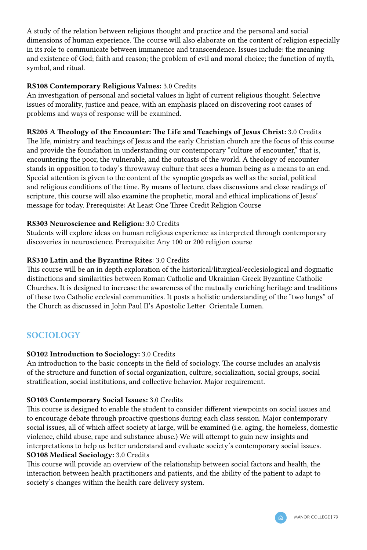A study of the relation between religious thought and practice and the personal and social dimensions of human experience. The course will also elaborate on the content of religion especially in its role to communicate between immanence and transcendence. Issues include: the meaning and existence of God; faith and reason; the problem of evil and moral choice; the function of myth, symbol, and ritual.

#### RS108 Contemporary Religious Values: 3.0 Credits

An investigation of personal and societal values in light of current religious thought. Selective issues of morality, justice and peace, with an emphasis placed on discovering root causes of problems and ways of response will be examined.

# RS205 A Theology of the Encounter: The Life and Teachings of Jesus Christ: 3.0 Credits

The life, ministry and teachings of Jesus and the early Christian church are the focus of this course and provide the foundation in understanding our contemporary "culture of encounter," that is, encountering the poor, the vulnerable, and the outcasts of the world. A theology of encounter stands in opposition to today's throwaway culture that sees a human being as a means to an end. Special attention is given to the content of the synoptic gospels as well as the social, political and religious conditions of the time. By means of lecture, class discussions and close readings of scripture, this course will also examine the prophetic, moral and ethical implications of Jesus' message for today. Prerequisite: At Least One Three Credit Religion Course

# RS303 Neuroscience and Religion: 3.0 Credits

Students will explore ideas on human religious experience as interpreted through contemporary discoveries in neuroscience. Prerequisite: Any 100 or 200 religion course

# RS310 Latin and the Byzantine Rites: 3.0 Credits

This course will be an in depth exploration of the historical/liturgical/ecclesiological and dogmatic distinctions and similarities between Roman Catholic and Ukrainian-Greek Byzantine Catholic Churches. It is designed to increase the awareness of the mutually enriching heritage and traditions of these two Catholic ecclesial communities. It posts a holistic understanding of the "two lungs" of the Church as discussed in John Paul II's Apostolic Letter Orientale Lumen.

# **SOCIOLOGY**

#### SO102 Introduction to Sociology: 3.0 Credits

An introduction to the basic concepts in the field of sociology. The course includes an analysis of the structure and function of social organization, culture, socialization, social groups, social stratification, social institutions, and collective behavior. Major requirement.

#### SO103 Contemporary Social Issues: 3.0 Credits

This course is designed to enable the student to consider different viewpoints on social issues and to encourage debate through proactive questions during each class session. Major contemporary social issues, all of which affect society at large, will be examined (i.e. aging, the homeless, domestic violence, child abuse, rape and substance abuse.) We will attempt to gain new insights and interpretations to help us better understand and evaluate society's contemporary social issues. SO108 Medical Sociology: 3.0 Credits

This course will provide an overview of the relationship between social factors and health, the interaction between health practitioners and patients, and the ability of the patient to adapt to society's changes within the health care delivery system.

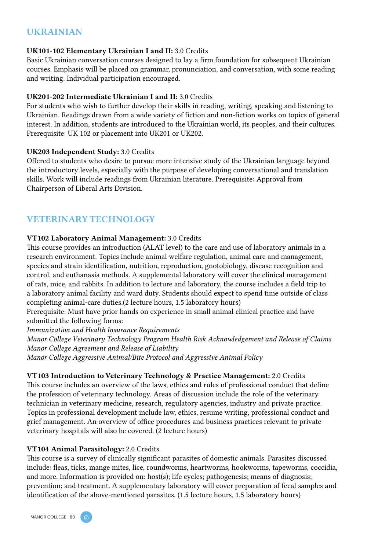# UKRAINIAN

#### UK101-102 Elementary Ukrainian I and II: 3.0 Credits

Basic Ukrainian conversation courses designed to lay a firm foundation for subsequent Ukrainian courses. Emphasis will be placed on grammar, pronunciation, and conversation, with some reading and writing. Individual participation encouraged.

#### UK201-202 Intermediate Ukrainian I and II: 3.0 Credits

For students who wish to further develop their skills in reading, writing, speaking and listening to Ukrainian. Readings drawn from a wide variety of fiction and non-fiction works on topics of general interest. In addition, students are introduced to the Ukrainian world, its peoples, and their cultures. Prerequisite: UK 102 or placement into UK201 or UK202.

#### UK203 Independent Study: 3.0 Credits

Offered to students who desire to pursue more intensive study of the Ukrainian language beyond the introductory levels, especially with the purpose of developing conversational and translation skills. Work will include readings from Ukrainian literature. Prerequisite: Approval from Chairperson of Liberal Arts Division.

# VETERINARY TECHNOLOGY

#### VT102 Laboratory Animal Management: 3.0 Credits

This course provides an introduction (ALAT level) to the care and use of laboratory animals in a research environment. Topics include animal welfare regulation, animal care and management, species and strain identification, nutrition, reproduction, gnotobiology, disease recognition and control, and euthanasia methods. A supplemental laboratory will cover the clinical management of rats, mice, and rabbits. In addition to lecture and laboratory, the course includes a field trip to a laboratory animal facility and ward duty. Students should expect to spend time outside of class completing animal-care duties.(2 lecture hours, 1.5 laboratory hours)

Prerequisite: Must have prior hands on experience in small animal clinical practice and have submitted the following forms:

*Immunization and Health Insurance Requirements*

*Manor College Veterinary Technology Program Health Risk Acknowledgement and Release of Claims Manor College Agreement and Release of Liability*

*Manor College Aggressive Animal/Bite Protocol and Aggressive Animal Policy*

#### VT103 Introduction to Veterinary Technology & Practice Management: 2.0 Credits

This course includes an overview of the laws, ethics and rules of professional conduct that define the profession of veterinary technology. Areas of discussion include the role of the veterinary technician in veterinary medicine, research, regulatory agencies, industry and private practice. Topics in professional development include law, ethics, resume writing, professional conduct and grief management. An overview of office procedures and business practices relevant to private veterinary hospitals will also be covered. (2 lecture hours)

#### VT104 Animal Parasitology: 2.0 Credits

This course is a survey of clinically significant parasites of domestic animals. Parasites discussed include: fleas, ticks, mange mites, lice, roundworms, heartworms, hookworms, tapeworms, coccidia, and more. Information is provided on: host(s); life cycles; pathogenesis; means of diagnosis; prevention; and treatment. A supplementary laboratory will cover preparation of fecal samples and identification of the above-mentioned parasites. (1.5 lecture hours, 1.5 laboratory hours)

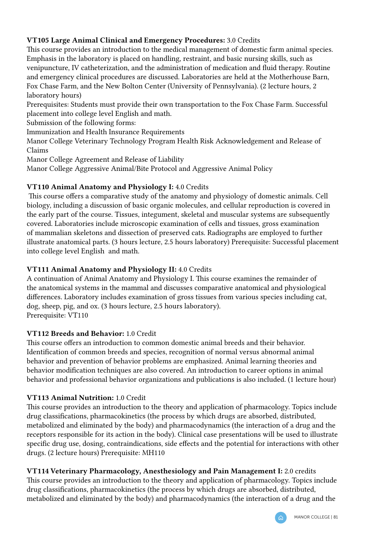# VT105 Large Animal Clinical and Emergency Procedures: 3.0 Credits

This course provides an introduction to the medical management of domestic farm animal species. Emphasis in the laboratory is placed on handling, restraint, and basic nursing skills, such as venipuncture, IV catheterization, and the administration of medication and fluid therapy. Routine and emergency clinical procedures are discussed. Laboratories are held at the Motherhouse Barn, Fox Chase Farm, and the New Bolton Center (University of Pennsylvania). (2 lecture hours, 2 laboratory hours)

Prerequisites: Students must provide their own transportation to the Fox Chase Farm. Successful placement into college level English and math.

Submission of the following forms:

Immunization and Health Insurance Requirements

Manor College Veterinary Technology Program Health Risk Acknowledgement and Release of Claims

Manor College Agreement and Release of Liability

Manor College Aggressive Animal/Bite Protocol and Aggressive Animal Policy

# VT110 Animal Anatomy and Physiology I: 4.0 Credits

 This course offers a comparative study of the anatomy and physiology of domestic animals. Cell biology, including a discussion of basic organic molecules, and cellular reproduction is covered in the early part of the course. Tissues, integument, skeletal and muscular systems are subsequently covered. Laboratories include microscopic examination of cells and tissues, gross examination of mammalian skeletons and dissection of preserved cats. Radiographs are employed to further illustrate anatomical parts. (3 hours lecture, 2.5 hours laboratory) Prerequisite: Successful placement into college level English and math.

# VT111 Animal Anatomy and Physiology II: 4.0 Credits

A continuation of Animal Anatomy and Physiology I. This course examines the remainder of the anatomical systems in the mammal and discusses comparative anatomical and physiological differences. Laboratory includes examination of gross tissues from various species including cat, dog, sheep, pig, and ox. (3 hours lecture, 2.5 hours laboratory). Prerequisite: VT110

# VT112 Breeds and Behavior: 1.0 Credit

This course offers an introduction to common domestic animal breeds and their behavior. Identification of common breeds and species, recognition of normal versus abnormal animal behavior and prevention of behavior problems are emphasized. Animal learning theories and behavior modification techniques are also covered. An introduction to career options in animal behavior and professional behavior organizations and publications is also included. (1 lecture hour)

# VT113 Animal Nutrition: 1.0 Credit

This course provides an introduction to the theory and application of pharmacology. Topics include drug classifications, pharmacokinetics (the process by which drugs are absorbed, distributed, metabolized and eliminated by the body) and pharmacodynamics (the interaction of a drug and the receptors responsible for its action in the body). Clinical case presentations will be used to illustrate specific drug use, dosing, contraindications, side effects and the potential for interactions with other drugs. (2 lecture hours) Prerequisite: MH110

#### VT114 Veterinary Pharmacology, Anesthesiology and Pain Management I: 2.0 credits

This course provides an introduction to the theory and application of pharmacology. Topics include drug classifications, pharmacokinetics (the process by which drugs are absorbed, distributed, metabolized and eliminated by the body) and pharmacodynamics (the interaction of a drug and the

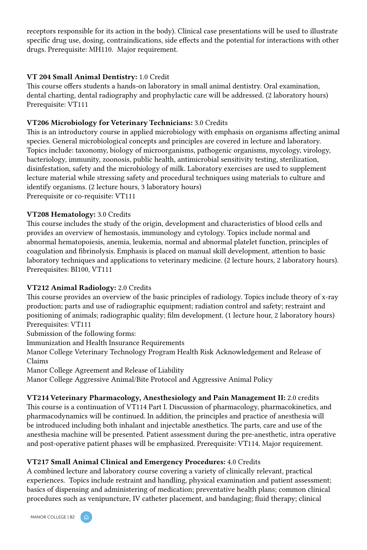receptors responsible for its action in the body). Clinical case presentations will be used to illustrate specific drug use, dosing, contraindications, side effects and the potential for interactions with other drugs. Prerequisite: MH110. Major requirement.

#### VT 204 Small Animal Dentistry: 1.0 Credit

This course offers students a hands-on laboratory in small animal dentistry. Oral examination, dental charting, dental radiography and prophylactic care will be addressed. (2 laboratory hours) Prerequisite: VT111

#### VT206 Microbiology for Veterinary Technicians: 3.0 Credits

This is an introductory course in applied microbiology with emphasis on organisms affecting animal species. General microbiological concepts and principles are covered in lecture and laboratory. Topics include: taxonomy, biology of microorganisms, pathogenic organisms, mycology, virology, bacteriology, immunity, zoonosis, public health, antimicrobial sensitivity testing, sterilization, disinfestation, safety and the microbiology of milk. Laboratory exercises are used to supplement lecture material while stressing safety and procedural techniques using materials to culture and identify organisms. (2 lecture hours, 3 laboratory hours) Prerequisite or co-requisite: VT111

#### VT208 Hematology: 3.0 Credits

This course includes the study of the origin, development and characteristics of blood cells and provides an overview of hemostasis, immunology and cytology. Topics include normal and abnormal hematopoiesis, anemia, leukemia, normal and abnormal platelet function, principles of coagulation and fibrinolysis. Emphasis is placed on manual skill development, attention to basic laboratory techniques and applications to veterinary medicine. (2 lecture hours, 2 laboratory hours). Prerequisites: BI100, VT111

#### VT212 Animal Radiology: 2.0 Credits

This course provides an overview of the basic principles of radiology. Topics include theory of x-ray production; parts and use of radiographic equipment; radiation control and safety; restraint and positioning of animals; radiographic quality; film development. (1 lecture hour, 2 laboratory hours) Prerequisites: VT111

Submission of the following forms:

Immunization and Health Insurance Requirements

Manor College Veterinary Technology Program Health Risk Acknowledgement and Release of Claims

Manor College Agreement and Release of Liability

Manor College Aggressive Animal/Bite Protocol and Aggressive Animal Policy

VT214 Veterinary Pharmacology, Anesthesiology and Pain Management II: 2.0 credits This course is a continuation of VT114 Part I. Discussion of pharmacology, pharmacokinetics, and pharmacodynamics will be continued. In addition, the principles and practice of anesthesia will be introduced including both inhalant and injectable anesthetics. The parts, care and use of the anesthesia machine will be presented. Patient assessment during the pre-anesthetic, intra operative and post-operative patient phases will be emphasized. Prerequisite: VT114. Major requirement.

#### VT217 Small Animal Clinical and Emergency Procedures: 4.0 Credits

A combined lecture and laboratory course covering a variety of clinically relevant, practical experiences. Topics include restraint and handling, physical examination and patient assessment; basics of dispensing and administering of medication; preventative health plans; common clinical procedures such as venipuncture, IV catheter placement, and bandaging; fluid therapy; clinical

MANOR COLLEGE | 82

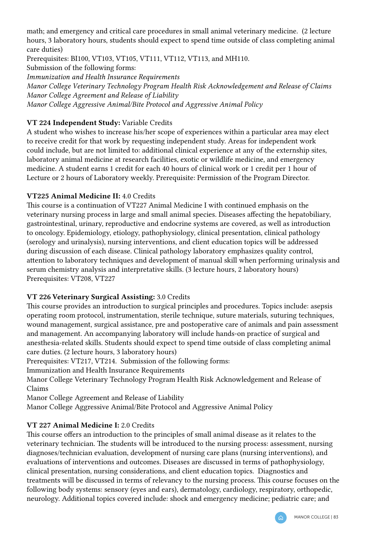math; and emergency and critical care procedures in small animal veterinary medicine. (2 lecture hours, 3 laboratory hours, students should expect to spend time outside of class completing animal care duties)

Prerequisites: BI100, VT103, VT105, VT111, VT112, VT113, and MH110.

Submission of the following forms:

*Immunization and Health Insurance Requirements*

*Manor College Veterinary Technology Program Health Risk Acknowledgement and Release of Claims Manor College Agreement and Release of Liability Manor College Aggressive Animal/Bite Protocol and Aggressive Animal Policy*

# VT 224 Independent Study: Variable Credits

A student who wishes to increase his/her scope of experiences within a particular area may elect to receive credit for that work by requesting independent study. Areas for independent work could include, but are not limited to: additional clinical experience at any of the externship sites, laboratory animal medicine at research facilities, exotic or wildlife medicine, and emergency medicine. A student earns 1 credit for each 40 hours of clinical work or 1 credit per 1 hour of Lecture or 2 hours of Laboratory weekly. Prerequisite: Permission of the Program Director.

# VT225 Animal Medicine II: 4.0 Credits

This course is a continuation of VT227 Animal Medicine I with continued emphasis on the veterinary nursing process in large and small animal species. Diseases affecting the hepatobiliary, gastrointestinal, urinary, reproductive and endocrine systems are covered, as well as introduction to oncology. Epidemiology, etiology, pathophysiology, clinical presentation, clinical pathology (serology and urinalysis), nursing interventions, and client education topics will be addressed during discussion of each disease. Clinical pathology laboratory emphasizes quality control, attention to laboratory techniques and development of manual skill when performing urinalysis and serum chemistry analysis and interpretative skills. (3 lecture hours, 2 laboratory hours) Prerequisites: VT208, VT227

# VT 226 Veterinary Surgical Assisting: 3.0 Credits

This course provides an introduction to surgical principles and procedures. Topics include: asepsis operating room protocol, instrumentation, sterile technique, suture materials, suturing techniques, wound management, surgical assistance, pre and postoperative care of animals and pain assessment and management. An accompanying laboratory will include hands-on practice of surgical and anesthesia-related skills. Students should expect to spend time outside of class completing animal care duties. (2 lecture hours, 3 laboratory hours)

Prerequisites: VT217, VT214. Submission of the following forms:

Immunization and Health Insurance Requirements

Manor College Veterinary Technology Program Health Risk Acknowledgement and Release of Claims

Manor College Agreement and Release of Liability

Manor College Aggressive Animal/Bite Protocol and Aggressive Animal Policy

# VT 227 Animal Medicine I: 2.0 Credits

This course offers an introduction to the principles of small animal disease as it relates to the veterinary technician. The students will be introduced to the nursing process: assessment, nursing diagnoses/technician evaluation, development of nursing care plans (nursing interventions), and evaluations of interventions and outcomes. Diseases are discussed in terms of pathophysiology, clinical presentation, nursing considerations, and client education topics. Diagnostics and treatments will be discussed in terms of relevancy to the nursing process. This course focuses on the following body systems: sensory (eyes and ears), dermatology, cardiology, respiratory, orthopedic, neurology. Additional topics covered include: shock and emergency medicine; pediatric care; and

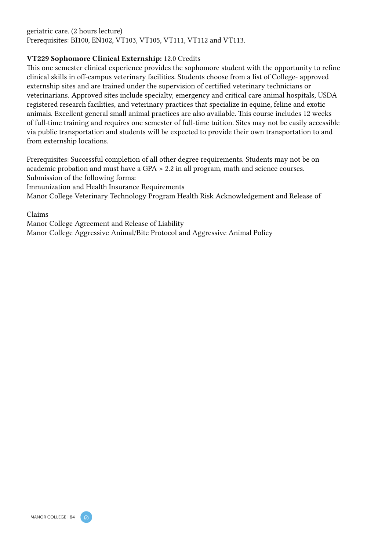#### geriatric care. (2 hours lecture) Prerequisites: BI100, EN102, VT103, VT105, VT111, VT112 and VT113.

#### VT229 Sophomore Clinical Externship: 12.0 Credits

This one semester clinical experience provides the sophomore student with the opportunity to refine clinical skills in off-campus veterinary facilities. Students choose from a list of College- approved externship sites and are trained under the supervision of certified veterinary technicians or veterinarians. Approved sites include specialty, emergency and critical care animal hospitals, USDA registered research facilities, and veterinary practices that specialize in equine, feline and exotic animals. Excellent general small animal practices are also available. This course includes 12 weeks of full-time training and requires one semester of full-time tuition. Sites may not be easily accessible via public transportation and students will be expected to provide their own transportation to and from externship locations.

Prerequisites: Successful completion of all other degree requirements. Students may not be on academic probation and must have a GPA > 2.2 in all program, math and science courses. Submission of the following forms:

Immunization and Health Insurance Requirements

Manor College Veterinary Technology Program Health Risk Acknowledgement and Release of

#### Claims

Manor College Agreement and Release of Liability Manor College Aggressive Animal/Bite Protocol and Aggressive Animal Policy



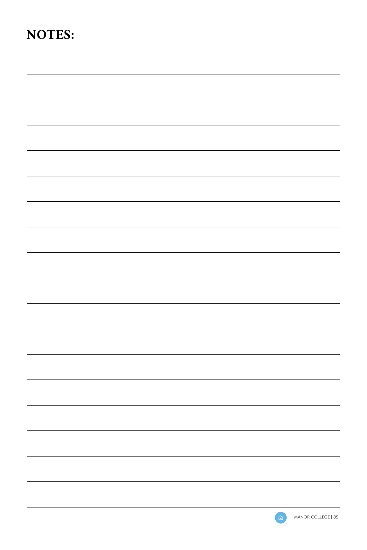# NOTES:

|   | MANOR COLLEGE   85 |
|---|--------------------|
| ີ |                    |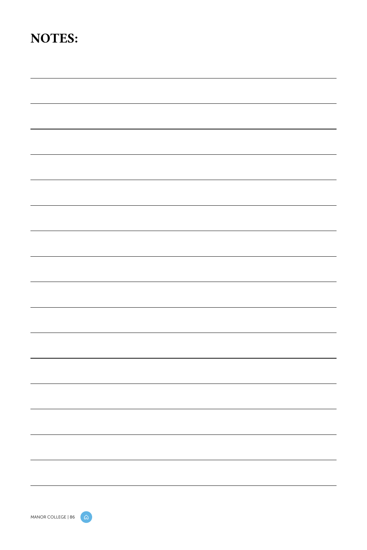# NOTES: